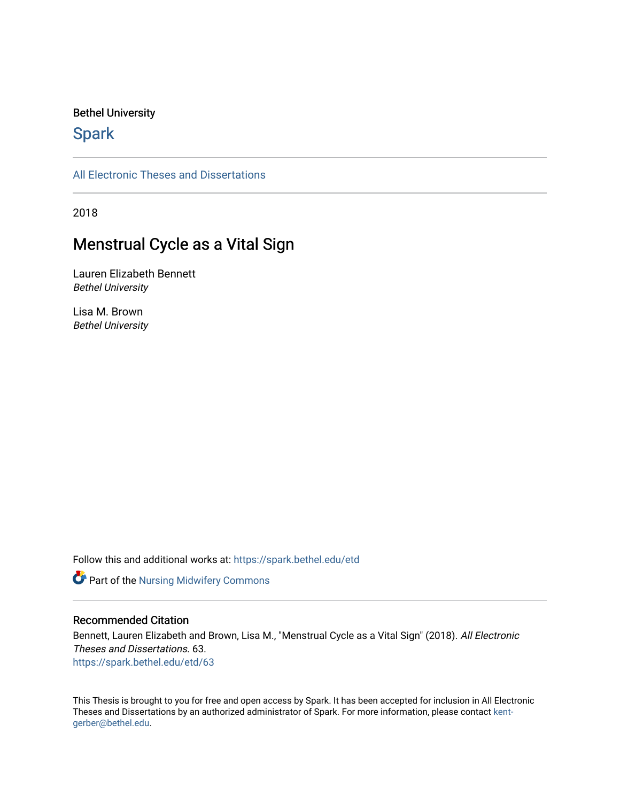### Bethel University

# **Spark**

[All Electronic Theses and Dissertations](https://spark.bethel.edu/etd) 

2018

# Menstrual Cycle as a Vital Sign

Lauren Elizabeth Bennett Bethel University

Lisa M. Brown Bethel University

Follow this and additional works at: [https://spark.bethel.edu/etd](https://spark.bethel.edu/etd?utm_source=spark.bethel.edu%2Fetd%2F63&utm_medium=PDF&utm_campaign=PDFCoverPages)

Part of the [Nursing Midwifery Commons](http://network.bepress.com/hgg/discipline/722?utm_source=spark.bethel.edu%2Fetd%2F63&utm_medium=PDF&utm_campaign=PDFCoverPages) 

### Recommended Citation

Bennett, Lauren Elizabeth and Brown, Lisa M., "Menstrual Cycle as a Vital Sign" (2018). All Electronic Theses and Dissertations. 63. [https://spark.bethel.edu/etd/63](https://spark.bethel.edu/etd/63?utm_source=spark.bethel.edu%2Fetd%2F63&utm_medium=PDF&utm_campaign=PDFCoverPages) 

This Thesis is brought to you for free and open access by Spark. It has been accepted for inclusion in All Electronic Theses and Dissertations by an authorized administrator of Spark. For more information, please contact [kent](mailto:kent-gerber@bethel.edu)[gerber@bethel.edu.](mailto:kent-gerber@bethel.edu)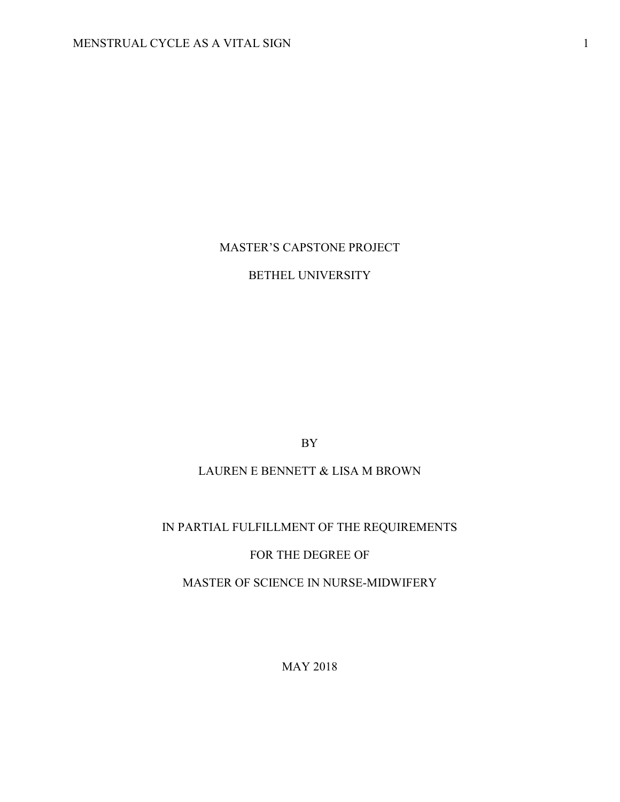# MASTER'S CAPSTONE PROJECT

# BETHEL UNIVERSITY

BY

# LAUREN E BENNETT & LISA M BROWN

# IN PARTIAL FULFILLMENT OF THE REQUIREMENTS

# FOR THE DEGREE OF

# MASTER OF SCIENCE IN NURSE-MIDWIFERY

MAY 2018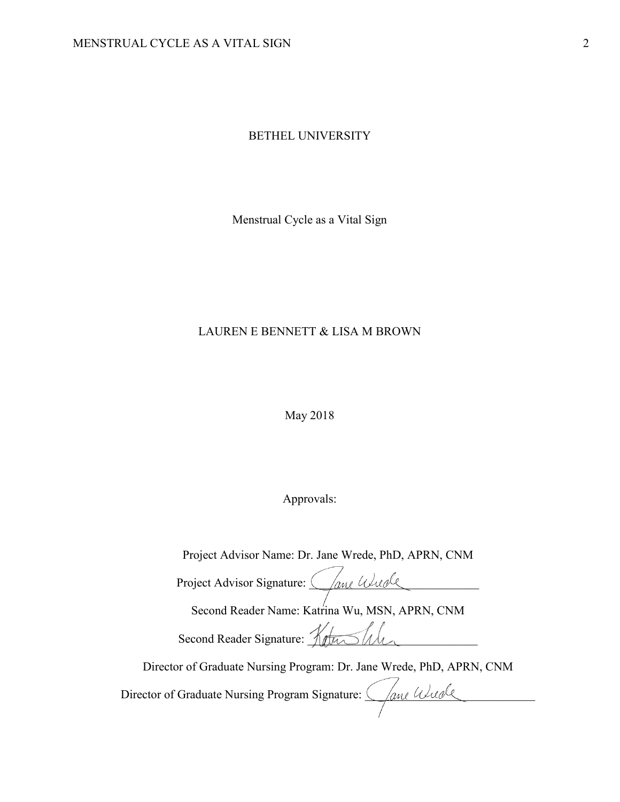BETHEL UNIVERSITY

Menstrual Cycle as a Vital Sign

# LAUREN E BENNETT & LISA M BROWN

May 2018

Approvals:

Project Advisor Name: Dr. Jane Wrede, PhD, APRN, CNM

Project Advisor Signature: Cane Wuole

Second Reader Name: Katrina Wu, MSN, APRN, CNM

Second Reader Signature: KetuShh

Director of Graduate Nursing Program: Dr. Jane Wrede, PhD, APRN, CNM

Director of Graduate Nursing Program Signature:  $\frac{\sqrt{a_{\text{ML}}\omega a_{\text{ML}}}}{\sqrt{a_{\text{ML}}\omega a_{\text{ML}}}}$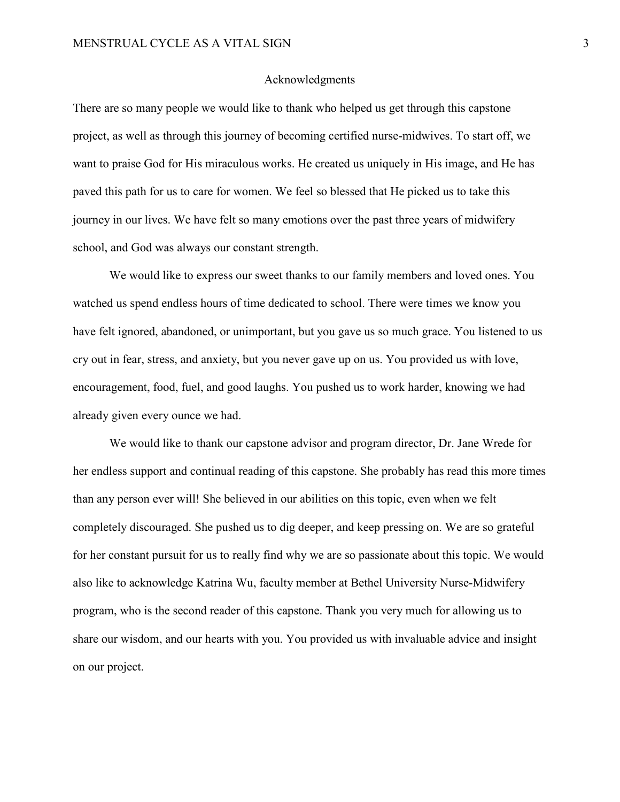#### Acknowledgments

There are so many people we would like to thank who helped us get through this capstone project, as well as through this journey of becoming certified nurse-midwives. To start off, we want to praise God for His miraculous works. He created us uniquely in His image, and He has paved this path for us to care for women. We feel so blessed that He picked us to take this journey in our lives. We have felt so many emotions over the past three years of midwifery school, and God was always our constant strength.

 We would like to express our sweet thanks to our family members and loved ones. You watched us spend endless hours of time dedicated to school. There were times we know you have felt ignored, abandoned, or unimportant, but you gave us so much grace. You listened to us cry out in fear, stress, and anxiety, but you never gave up on us. You provided us with love, encouragement, food, fuel, and good laughs. You pushed us to work harder, knowing we had already given every ounce we had.

 We would like to thank our capstone advisor and program director, Dr. Jane Wrede for her endless support and continual reading of this capstone. She probably has read this more times than any person ever will! She believed in our abilities on this topic, even when we felt completely discouraged. She pushed us to dig deeper, and keep pressing on. We are so grateful for her constant pursuit for us to really find why we are so passionate about this topic. We would also like to acknowledge Katrina Wu, faculty member at Bethel University Nurse-Midwifery program, who is the second reader of this capstone. Thank you very much for allowing us to share our wisdom, and our hearts with you. You provided us with invaluable advice and insight on our project.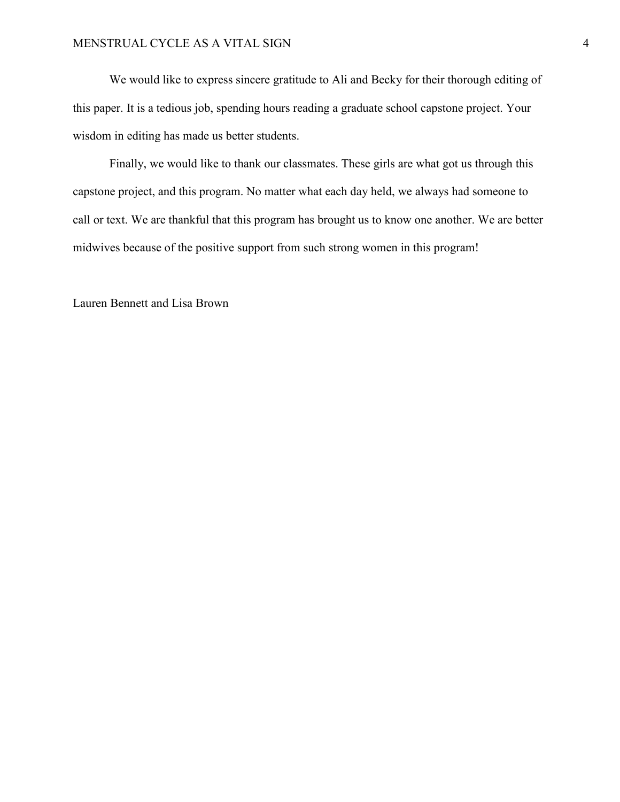We would like to express sincere gratitude to Ali and Becky for their thorough editing of this paper. It is a tedious job, spending hours reading a graduate school capstone project. Your wisdom in editing has made us better students.

 Finally, we would like to thank our classmates. These girls are what got us through this capstone project, and this program. No matter what each day held, we always had someone to call or text. We are thankful that this program has brought us to know one another. We are better midwives because of the positive support from such strong women in this program!

Lauren Bennett and Lisa Brown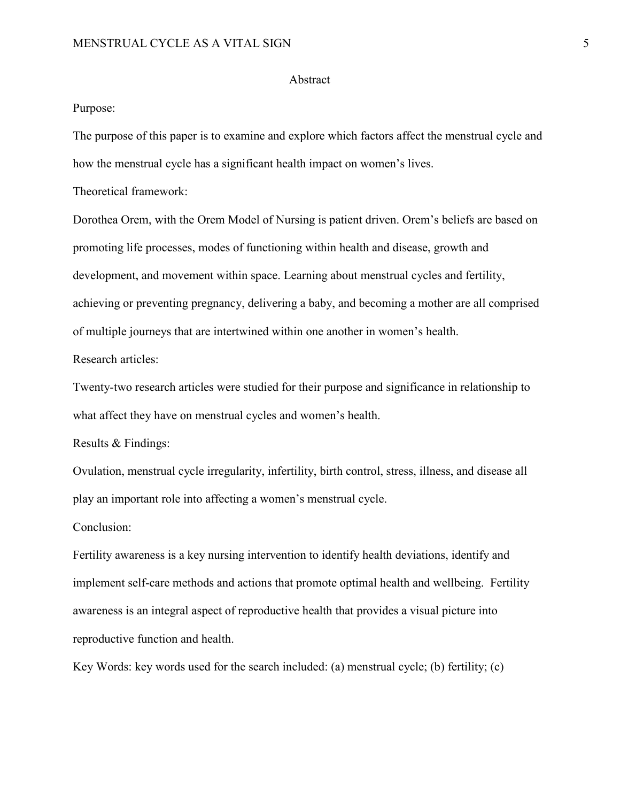#### Abstract

#### Purpose:

The purpose of this paper is to examine and explore which factors affect the menstrual cycle and how the menstrual cycle has a significant health impact on women's lives.

Theoretical framework:

Dorothea Orem, with the Orem Model of Nursing is patient driven. Orem's beliefs are based on promoting life processes, modes of functioning within health and disease, growth and development, and movement within space. Learning about menstrual cycles and fertility, achieving or preventing pregnancy, delivering a baby, and becoming a mother are all comprised of multiple journeys that are intertwined within one another in women's health.

Research articles:

Twenty-two research articles were studied for their purpose and significance in relationship to what affect they have on menstrual cycles and women's health.

Results & Findings:

Ovulation, menstrual cycle irregularity, infertility, birth control, stress, illness, and disease all play an important role into affecting a women's menstrual cycle.

Conclusion:

Fertility awareness is a key nursing intervention to identify health deviations, identify and implement self-care methods and actions that promote optimal health and wellbeing. Fertility awareness is an integral aspect of reproductive health that provides a visual picture into reproductive function and health.

Key Words: key words used for the search included: (a) menstrual cycle; (b) fertility; (c)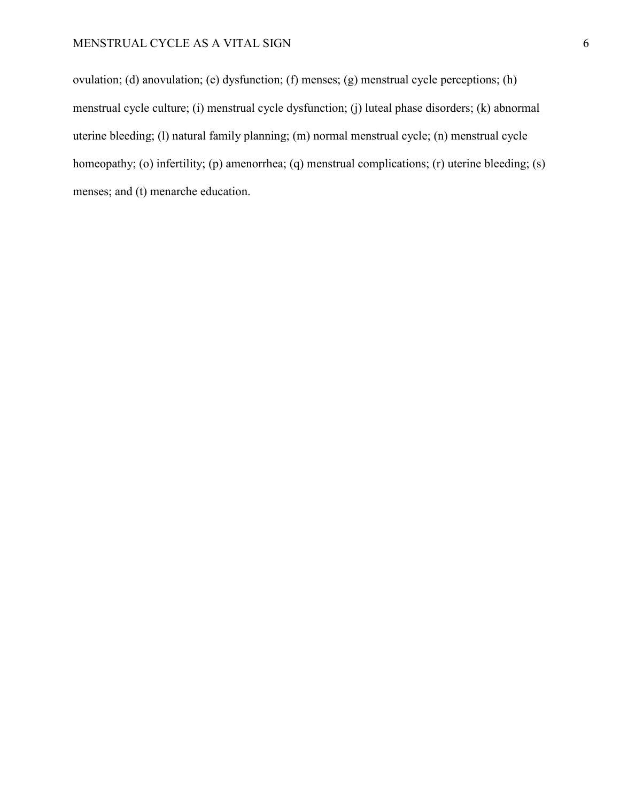ovulation; (d) anovulation; (e) dysfunction; (f) menses; (g) menstrual cycle perceptions; (h) menstrual cycle culture; (i) menstrual cycle dysfunction; (j) luteal phase disorders; (k) abnormal uterine bleeding; (l) natural family planning; (m) normal menstrual cycle; (n) menstrual cycle homeopathy; (o) infertility; (p) amenorrhea; (q) menstrual complications; (r) uterine bleeding; (s) menses; and (t) menarche education.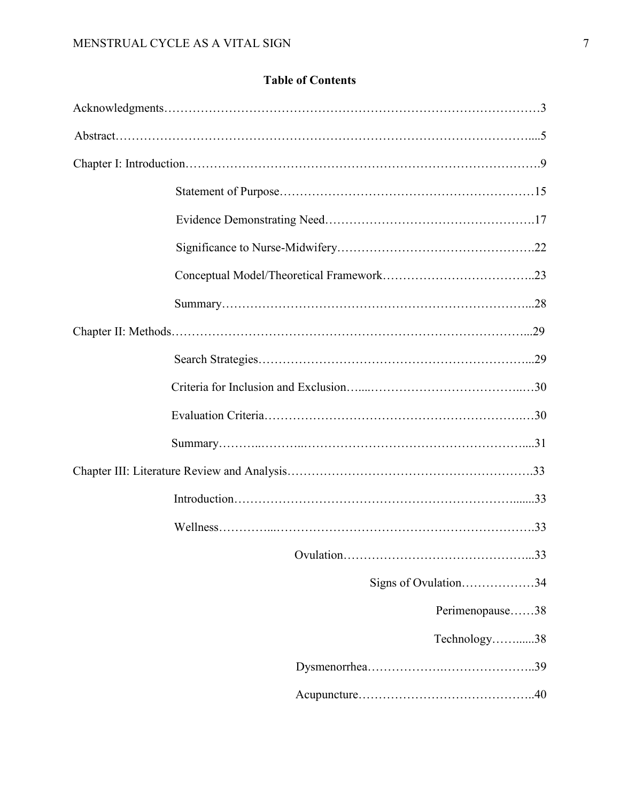# **Table of Contents**

|  | Signs of Ovulation34 |
|--|----------------------|
|  | Perimenopause38      |
|  | Technology38         |
|  |                      |
|  |                      |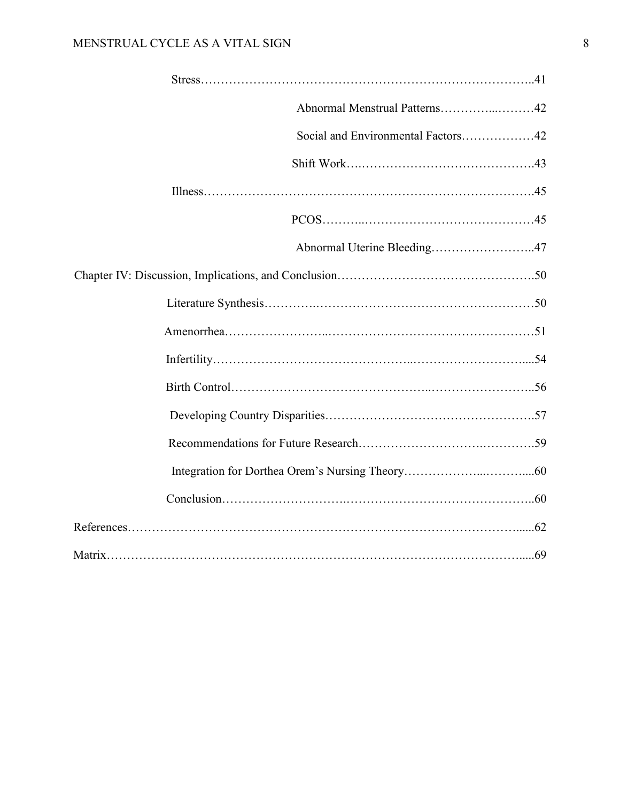| Abnormal Menstrual Patterns42      |  |
|------------------------------------|--|
| Social and Environmental Factors42 |  |
|                                    |  |
|                                    |  |
|                                    |  |
| Abnormal Uterine Bleeding47        |  |
|                                    |  |
|                                    |  |
|                                    |  |
|                                    |  |
|                                    |  |
|                                    |  |
|                                    |  |
|                                    |  |
|                                    |  |
|                                    |  |
|                                    |  |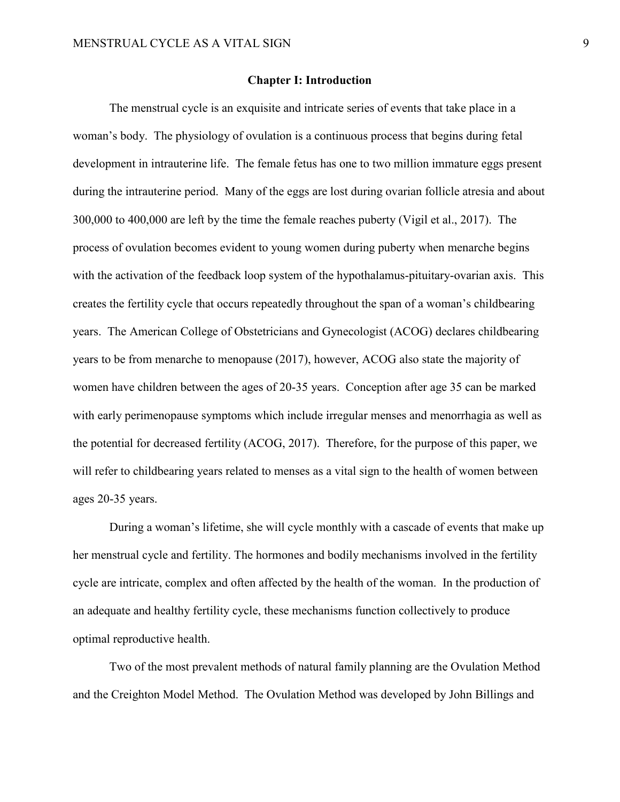#### **Chapter I: Introduction**

The menstrual cycle is an exquisite and intricate series of events that take place in a woman's body. The physiology of ovulation is a continuous process that begins during fetal development in intrauterine life. The female fetus has one to two million immature eggs present during the intrauterine period. Many of the eggs are lost during ovarian follicle atresia and about 300,000 to 400,000 are left by the time the female reaches puberty (Vigil et al., 2017). The process of ovulation becomes evident to young women during puberty when menarche begins with the activation of the feedback loop system of the hypothalamus-pituitary-ovarian axis. This creates the fertility cycle that occurs repeatedly throughout the span of a woman's childbearing years. The American College of Obstetricians and Gynecologist (ACOG) declares childbearing years to be from menarche to menopause (2017), however, ACOG also state the majority of women have children between the ages of 20-35 years. Conception after age 35 can be marked with early perimenopause symptoms which include irregular menses and menorrhagia as well as the potential for decreased fertility (ACOG, 2017). Therefore, for the purpose of this paper, we will refer to childbearing years related to menses as a vital sign to the health of women between ages 20-35 years.

During a woman's lifetime, she will cycle monthly with a cascade of events that make up her menstrual cycle and fertility. The hormones and bodily mechanisms involved in the fertility cycle are intricate, complex and often affected by the health of the woman. In the production of an adequate and healthy fertility cycle, these mechanisms function collectively to produce optimal reproductive health.

Two of the most prevalent methods of natural family planning are the Ovulation Method and the Creighton Model Method. The Ovulation Method was developed by John Billings and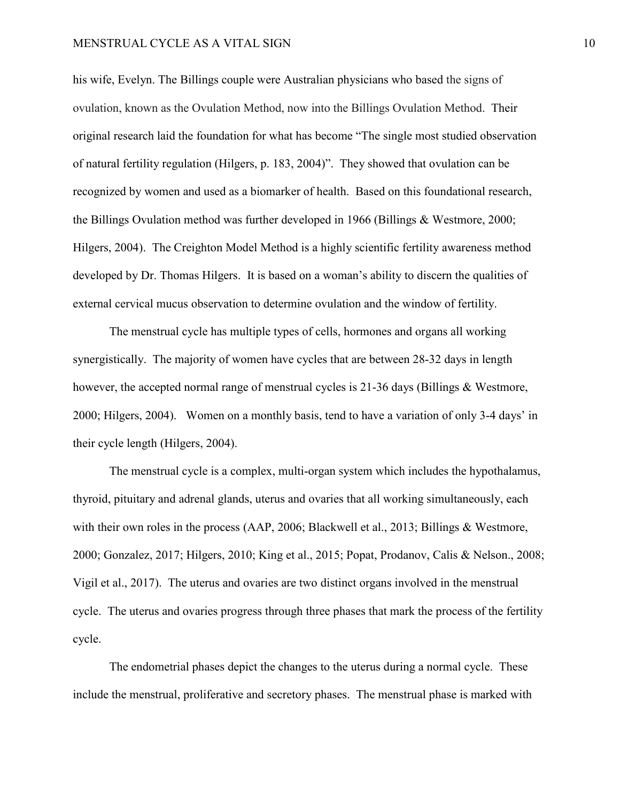#### MENSTRUAL CYCLE AS A VITAL SIGN 10

his wife, Evelyn. The Billings couple were Australian physicians who based the signs of ovulation, known as the Ovulation Method, now into the Billings Ovulation Method. Their original research laid the foundation for what has become "The single most studied observation of natural fertility regulation (Hilgers, p. 183, 2004)". They showed that ovulation can be recognized by women and used as a biomarker of health. Based on this foundational research, the Billings Ovulation method was further developed in 1966 (Billings & Westmore, 2000; Hilgers, 2004). The Creighton Model Method is a highly scientific fertility awareness method developed by Dr. Thomas Hilgers. It is based on a woman's ability to discern the qualities of external cervical mucus observation to determine ovulation and the window of fertility.

The menstrual cycle has multiple types of cells, hormones and organs all working synergistically. The majority of women have cycles that are between 28-32 days in length however, the accepted normal range of menstrual cycles is 21-36 days (Billings & Westmore, 2000; Hilgers, 2004). Women on a monthly basis, tend to have a variation of only 3-4 days' in their cycle length (Hilgers, 2004).

The menstrual cycle is a complex, multi-organ system which includes the hypothalamus, thyroid, pituitary and adrenal glands, uterus and ovaries that all working simultaneously, each with their own roles in the process (AAP, 2006; Blackwell et al., 2013; Billings & Westmore, 2000; Gonzalez, 2017; Hilgers, 2010; King et al., 2015; Popat, Prodanov, Calis & Nelson., 2008; Vigil et al., 2017). The uterus and ovaries are two distinct organs involved in the menstrual cycle. The uterus and ovaries progress through three phases that mark the process of the fertility cycle.

The endometrial phases depict the changes to the uterus during a normal cycle. These include the menstrual, proliferative and secretory phases. The menstrual phase is marked with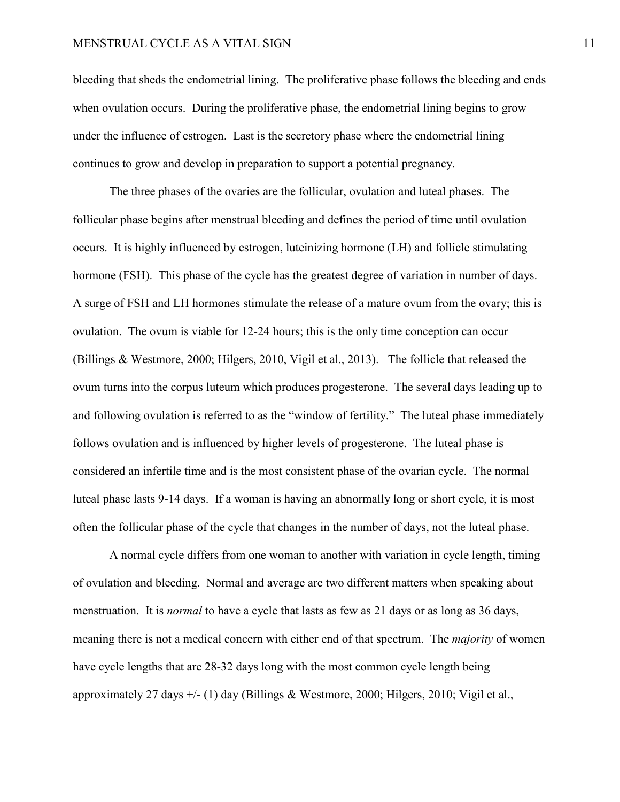bleeding that sheds the endometrial lining. The proliferative phase follows the bleeding and ends when ovulation occurs. During the proliferative phase, the endometrial lining begins to grow under the influence of estrogen. Last is the secretory phase where the endometrial lining continues to grow and develop in preparation to support a potential pregnancy.

The three phases of the ovaries are the follicular, ovulation and luteal phases. The follicular phase begins after menstrual bleeding and defines the period of time until ovulation occurs. It is highly influenced by estrogen, luteinizing hormone (LH) and follicle stimulating hormone (FSH). This phase of the cycle has the greatest degree of variation in number of days. A surge of FSH and LH hormones stimulate the release of a mature ovum from the ovary; this is ovulation. The ovum is viable for 12-24 hours; this is the only time conception can occur (Billings & Westmore, 2000; Hilgers, 2010, Vigil et al., 2013). The follicle that released the ovum turns into the corpus luteum which produces progesterone. The several days leading up to and following ovulation is referred to as the "window of fertility." The luteal phase immediately follows ovulation and is influenced by higher levels of progesterone. The luteal phase is considered an infertile time and is the most consistent phase of the ovarian cycle. The normal luteal phase lasts 9-14 days. If a woman is having an abnormally long or short cycle, it is most often the follicular phase of the cycle that changes in the number of days, not the luteal phase.

A normal cycle differs from one woman to another with variation in cycle length, timing of ovulation and bleeding. Normal and average are two different matters when speaking about menstruation. It is *normal* to have a cycle that lasts as few as 21 days or as long as 36 days, meaning there is not a medical concern with either end of that spectrum. The *majority* of women have cycle lengths that are 28-32 days long with the most common cycle length being approximately 27 days  $+/-$  (1) day (Billings & Westmore, 2000; Hilgers, 2010; Vigil et al.,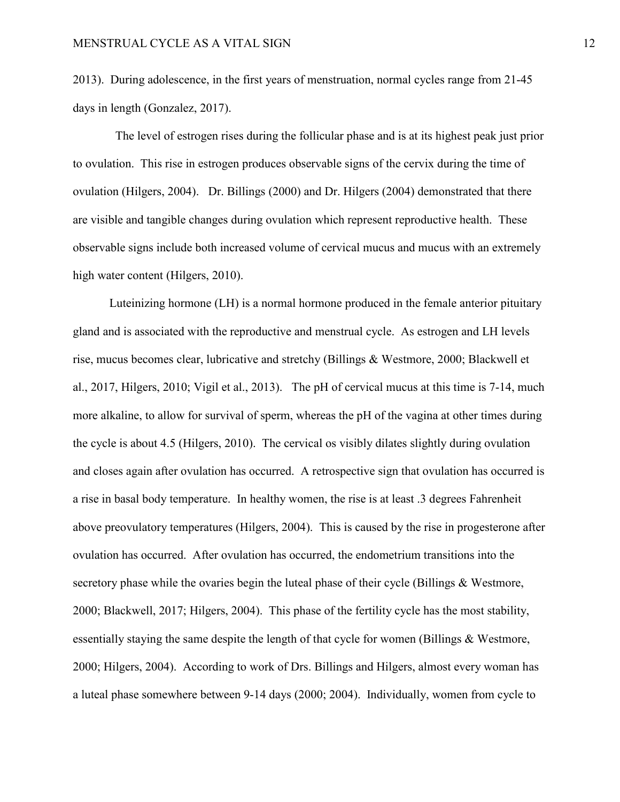2013). During adolescence, in the first years of menstruation, normal cycles range from 21-45 days in length (Gonzalez, 2017).

 The level of estrogen rises during the follicular phase and is at its highest peak just prior to ovulation. This rise in estrogen produces observable signs of the cervix during the time of ovulation (Hilgers, 2004). Dr. Billings (2000) and Dr. Hilgers (2004) demonstrated that there are visible and tangible changes during ovulation which represent reproductive health. These observable signs include both increased volume of cervical mucus and mucus with an extremely high water content (Hilgers, 2010).

Luteinizing hormone (LH) is a normal hormone produced in the female anterior pituitary gland and is associated with the reproductive and menstrual cycle. As estrogen and LH levels rise, mucus becomes clear, lubricative and stretchy (Billings & Westmore, 2000; Blackwell et al., 2017, Hilgers, 2010; Vigil et al., 2013). The pH of cervical mucus at this time is 7-14, much more alkaline, to allow for survival of sperm, whereas the pH of the vagina at other times during the cycle is about 4.5 (Hilgers, 2010). The cervical os visibly dilates slightly during ovulation and closes again after ovulation has occurred. A retrospective sign that ovulation has occurred is a rise in basal body temperature. In healthy women, the rise is at least .3 degrees Fahrenheit above preovulatory temperatures (Hilgers, 2004). This is caused by the rise in progesterone after ovulation has occurred. After ovulation has occurred, the endometrium transitions into the secretory phase while the ovaries begin the luteal phase of their cycle (Billings & Westmore, 2000; Blackwell, 2017; Hilgers, 2004). This phase of the fertility cycle has the most stability, essentially staying the same despite the length of that cycle for women (Billings & Westmore, 2000; Hilgers, 2004). According to work of Drs. Billings and Hilgers, almost every woman has a luteal phase somewhere between 9-14 days (2000; 2004). Individually, women from cycle to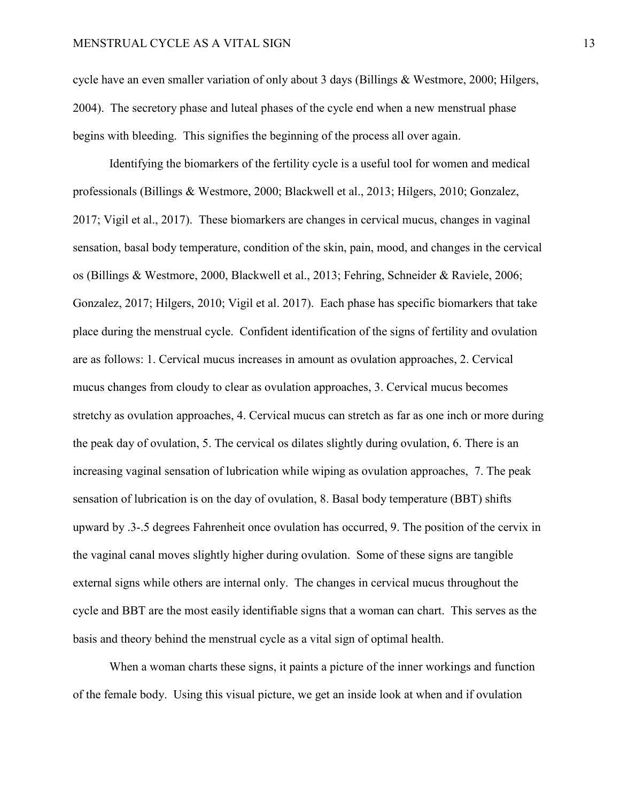cycle have an even smaller variation of only about 3 days (Billings & Westmore, 2000; Hilgers, 2004). The secretory phase and luteal phases of the cycle end when a new menstrual phase begins with bleeding. This signifies the beginning of the process all over again.

Identifying the biomarkers of the fertility cycle is a useful tool for women and medical professionals (Billings & Westmore, 2000; Blackwell et al., 2013; Hilgers, 2010; Gonzalez, 2017; Vigil et al., 2017). These biomarkers are changes in cervical mucus, changes in vaginal sensation, basal body temperature, condition of the skin, pain, mood, and changes in the cervical os (Billings & Westmore, 2000, Blackwell et al., 2013; Fehring, Schneider & Raviele, 2006; Gonzalez, 2017; Hilgers, 2010; Vigil et al. 2017). Each phase has specific biomarkers that take place during the menstrual cycle. Confident identification of the signs of fertility and ovulation are as follows: 1. Cervical mucus increases in amount as ovulation approaches, 2. Cervical mucus changes from cloudy to clear as ovulation approaches, 3. Cervical mucus becomes stretchy as ovulation approaches, 4. Cervical mucus can stretch as far as one inch or more during the peak day of ovulation, 5. The cervical os dilates slightly during ovulation, 6. There is an increasing vaginal sensation of lubrication while wiping as ovulation approaches, 7. The peak sensation of lubrication is on the day of ovulation, 8. Basal body temperature (BBT) shifts upward by .3-.5 degrees Fahrenheit once ovulation has occurred, 9. The position of the cervix in the vaginal canal moves slightly higher during ovulation. Some of these signs are tangible external signs while others are internal only. The changes in cervical mucus throughout the cycle and BBT are the most easily identifiable signs that a woman can chart. This serves as the basis and theory behind the menstrual cycle as a vital sign of optimal health.

When a woman charts these signs, it paints a picture of the inner workings and function of the female body. Using this visual picture, we get an inside look at when and if ovulation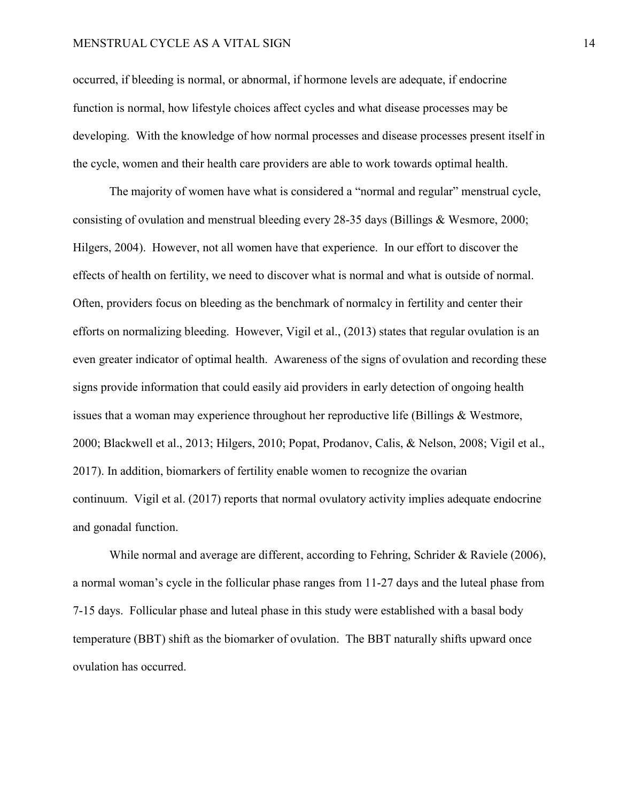#### MENSTRUAL CYCLE AS A VITAL SIGN 14

occurred, if bleeding is normal, or abnormal, if hormone levels are adequate, if endocrine function is normal, how lifestyle choices affect cycles and what disease processes may be developing. With the knowledge of how normal processes and disease processes present itself in the cycle, women and their health care providers are able to work towards optimal health.

The majority of women have what is considered a "normal and regular" menstrual cycle, consisting of ovulation and menstrual bleeding every 28-35 days (Billings & Wesmore, 2000; Hilgers, 2004). However, not all women have that experience. In our effort to discover the effects of health on fertility, we need to discover what is normal and what is outside of normal. Often, providers focus on bleeding as the benchmark of normalcy in fertility and center their efforts on normalizing bleeding. However, Vigil et al., (2013) states that regular ovulation is an even greater indicator of optimal health. Awareness of the signs of ovulation and recording these signs provide information that could easily aid providers in early detection of ongoing health issues that a woman may experience throughout her reproductive life (Billings & Westmore, 2000; Blackwell et al., 2013; Hilgers, 2010; Popat, Prodanov, Calis, & Nelson, 2008; Vigil et al., 2017). In addition, biomarkers of fertility enable women to recognize the ovarian continuum. Vigil et al. (2017) reports that normal ovulatory activity implies adequate endocrine and gonadal function.

While normal and average are different, according to Fehring, Schrider & Raviele (2006), a normal woman's cycle in the follicular phase ranges from 11-27 days and the luteal phase from 7-15 days. Follicular phase and luteal phase in this study were established with a basal body temperature (BBT) shift as the biomarker of ovulation. The BBT naturally shifts upward once ovulation has occurred.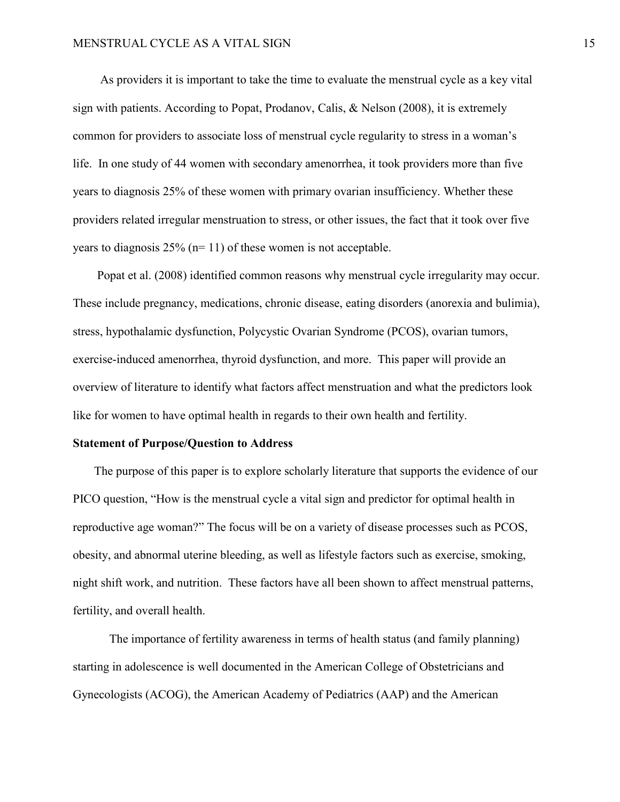As providers it is important to take the time to evaluate the menstrual cycle as a key vital sign with patients. According to Popat, Prodanov, Calis, & Nelson (2008), it is extremely common for providers to associate loss of menstrual cycle regularity to stress in a woman's life. In one study of 44 women with secondary amenorrhea, it took providers more than five years to diagnosis 25% of these women with primary ovarian insufficiency. Whether these providers related irregular menstruation to stress, or other issues, the fact that it took over five years to diagnosis  $25\%$  (n= 11) of these women is not acceptable.

 Popat et al. (2008) identified common reasons why menstrual cycle irregularity may occur. These include pregnancy, medications, chronic disease, eating disorders (anorexia and bulimia), stress, hypothalamic dysfunction, Polycystic Ovarian Syndrome (PCOS), ovarian tumors, exercise-induced amenorrhea, thyroid dysfunction, and more. This paper will provide an overview of literature to identify what factors affect menstruation and what the predictors look like for women to have optimal health in regards to their own health and fertility.

### **Statement of Purpose/Question to Address**

 The purpose of this paper is to explore scholarly literature that supports the evidence of our PICO question, "How is the menstrual cycle a vital sign and predictor for optimal health in reproductive age woman?" The focus will be on a variety of disease processes such as PCOS, obesity, and abnormal uterine bleeding, as well as lifestyle factors such as exercise, smoking, night shift work, and nutrition. These factors have all been shown to affect menstrual patterns, fertility, and overall health.

The importance of fertility awareness in terms of health status (and family planning) starting in adolescence is well documented in the American College of Obstetricians and Gynecologists (ACOG), the American Academy of Pediatrics (AAP) and the American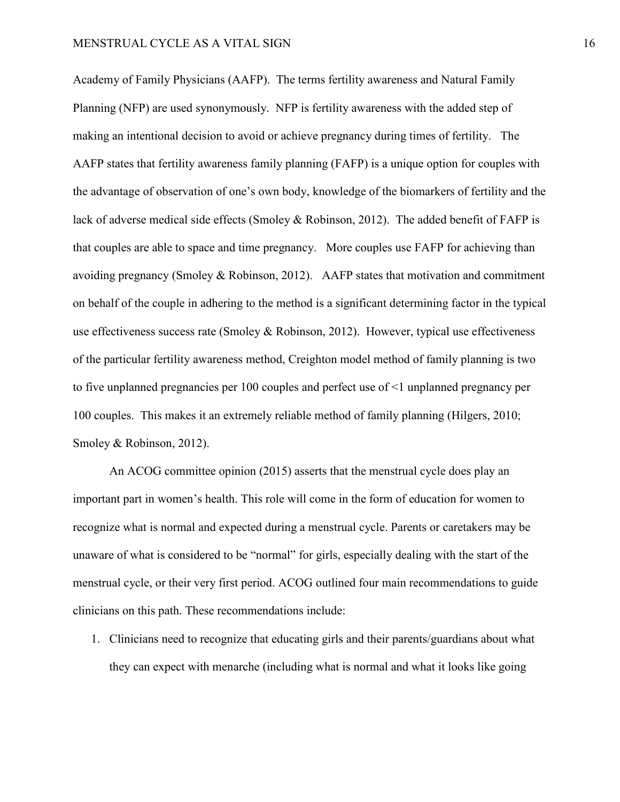Academy of Family Physicians (AAFP). The terms fertility awareness and Natural Family Planning (NFP) are used synonymously. NFP is fertility awareness with the added step of making an intentional decision to avoid or achieve pregnancy during times of fertility. The AAFP states that fertility awareness family planning (FAFP) is a unique option for couples with the advantage of observation of one's own body, knowledge of the biomarkers of fertility and the lack of adverse medical side effects (Smoley & Robinson, 2012). The added benefit of FAFP is that couples are able to space and time pregnancy. More couples use FAFP for achieving than avoiding pregnancy (Smoley & Robinson, 2012). AAFP states that motivation and commitment on behalf of the couple in adhering to the method is a significant determining factor in the typical use effectiveness success rate (Smoley & Robinson, 2012). However, typical use effectiveness of the particular fertility awareness method, Creighton model method of family planning is two to five unplanned pregnancies per 100 couples and perfect use of <1 unplanned pregnancy per 100 couples. This makes it an extremely reliable method of family planning (Hilgers, 2010; Smoley & Robinson, 2012).

An ACOG committee opinion (2015) asserts that the menstrual cycle does play an important part in women's health. This role will come in the form of education for women to recognize what is normal and expected during a menstrual cycle. Parents or caretakers may be unaware of what is considered to be "normal" for girls, especially dealing with the start of the menstrual cycle, or their very first period. ACOG outlined four main recommendations to guide clinicians on this path. These recommendations include:

1. Clinicians need to recognize that educating girls and their parents/guardians about what they can expect with menarche (including what is normal and what it looks like going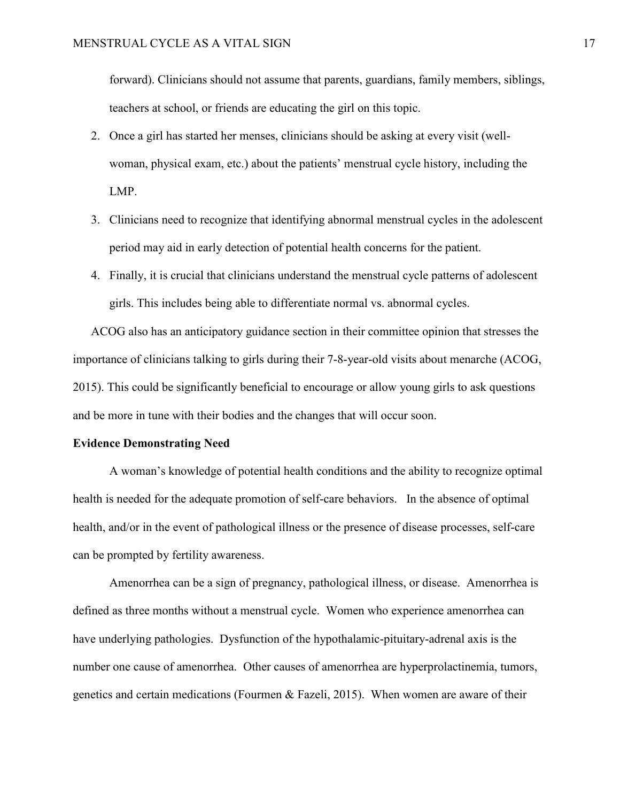forward). Clinicians should not assume that parents, guardians, family members, siblings, teachers at school, or friends are educating the girl on this topic.

- 2. Once a girl has started her menses, clinicians should be asking at every visit (wellwoman, physical exam, etc.) about the patients' menstrual cycle history, including the LMP.
- 3. Clinicians need to recognize that identifying abnormal menstrual cycles in the adolescent period may aid in early detection of potential health concerns for the patient.
- 4. Finally, it is crucial that clinicians understand the menstrual cycle patterns of adolescent girls. This includes being able to differentiate normal vs. abnormal cycles.

ACOG also has an anticipatory guidance section in their committee opinion that stresses the importance of clinicians talking to girls during their 7-8-year-old visits about menarche (ACOG, 2015). This could be significantly beneficial to encourage or allow young girls to ask questions and be more in tune with their bodies and the changes that will occur soon.

#### **Evidence Demonstrating Need**

A woman's knowledge of potential health conditions and the ability to recognize optimal health is needed for the adequate promotion of self-care behaviors. In the absence of optimal health, and/or in the event of pathological illness or the presence of disease processes, self-care can be prompted by fertility awareness.

Amenorrhea can be a sign of pregnancy, pathological illness, or disease. Amenorrhea is defined as three months without a menstrual cycle. Women who experience amenorrhea can have underlying pathologies. Dysfunction of the hypothalamic-pituitary-adrenal axis is the number one cause of amenorrhea. Other causes of amenorrhea are hyperprolactinemia, tumors, genetics and certain medications (Fourmen & Fazeli, 2015). When women are aware of their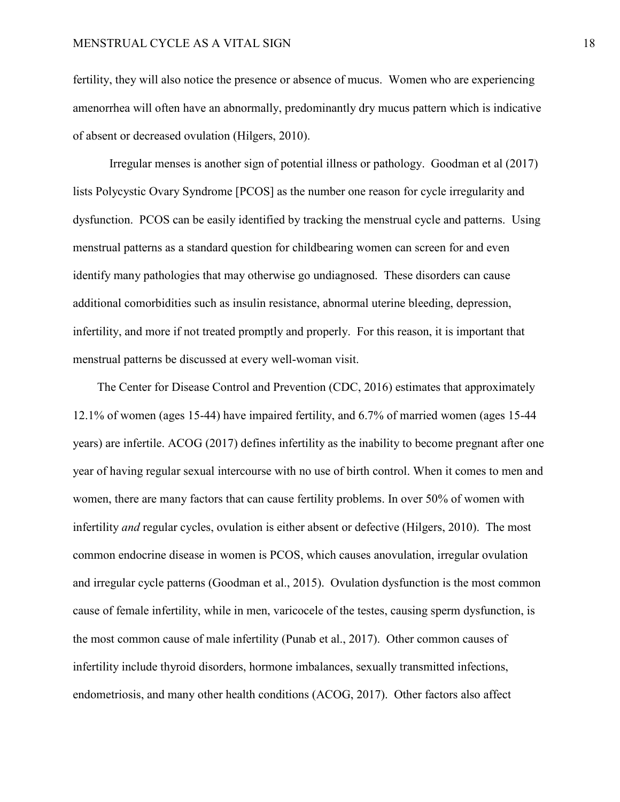fertility, they will also notice the presence or absence of mucus. Women who are experiencing amenorrhea will often have an abnormally, predominantly dry mucus pattern which is indicative of absent or decreased ovulation (Hilgers, 2010).

Irregular menses is another sign of potential illness or pathology. Goodman et al (2017) lists Polycystic Ovary Syndrome [PCOS] as the number one reason for cycle irregularity and dysfunction. PCOS can be easily identified by tracking the menstrual cycle and patterns. Using menstrual patterns as a standard question for childbearing women can screen for and even identify many pathologies that may otherwise go undiagnosed. These disorders can cause additional comorbidities such as insulin resistance, abnormal uterine bleeding, depression, infertility, and more if not treated promptly and properly. For this reason, it is important that menstrual patterns be discussed at every well-woman visit.

 The Center for Disease Control and Prevention (CDC, 2016) estimates that approximately 12.1% of women (ages 15-44) have impaired fertility, and 6.7% of married women (ages 15-44 years) are infertile. ACOG (2017) defines infertility as the inability to become pregnant after one year of having regular sexual intercourse with no use of birth control. When it comes to men and women, there are many factors that can cause fertility problems. In over 50% of women with infertility *and* regular cycles, ovulation is either absent or defective (Hilgers, 2010). The most common endocrine disease in women is PCOS, which causes anovulation, irregular ovulation and irregular cycle patterns (Goodman et al., 2015). Ovulation dysfunction is the most common cause of female infertility, while in men, varicocele of the testes, causing sperm dysfunction, is the most common cause of male infertility (Punab et al., 2017). Other common causes of infertility include thyroid disorders, hormone imbalances, sexually transmitted infections, endometriosis, and many other health conditions (ACOG, 2017). Other factors also affect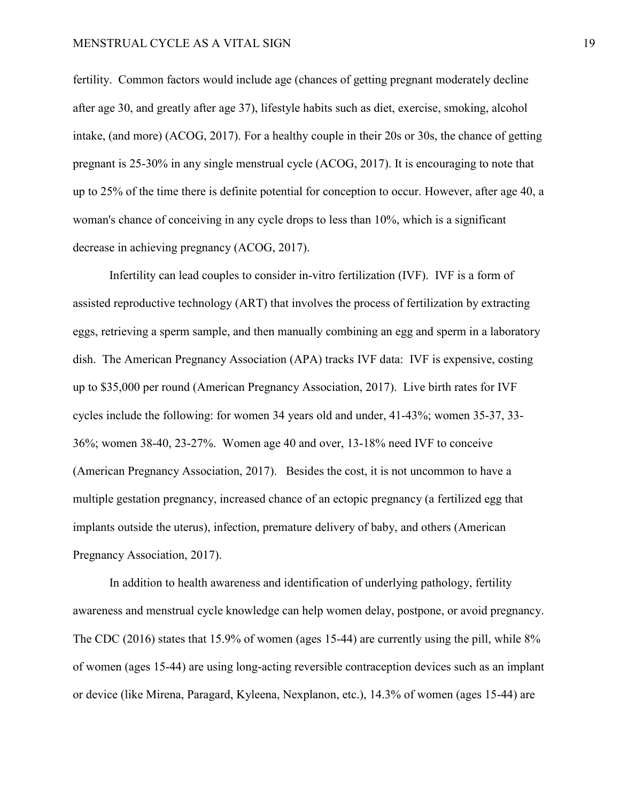### MENSTRUAL CYCLE AS A VITAL SIGN 19

fertility. Common factors would include age (chances of getting pregnant moderately decline after age 30, and greatly after age 37), lifestyle habits such as diet, exercise, smoking, alcohol intake, (and more) (ACOG, 2017). For a healthy couple in their 20s or 30s, the chance of getting pregnant is 25-30% in any single menstrual cycle (ACOG, 2017). It is encouraging to note that up to 25% of the time there is definite potential for conception to occur. However, after age 40, a woman's chance of conceiving in any cycle drops to less than 10%, which is a significant decrease in achieving pregnancy (ACOG, 2017).

Infertility can lead couples to consider in-vitro fertilization (IVF). IVF is a form of assisted reproductive technology (ART) that involves the process of fertilization by extracting eggs, retrieving a sperm sample, and then manually combining an egg and sperm in a laboratory dish. The American Pregnancy Association (APA) tracks IVF data: IVF is expensive, costing up to \$35,000 per round (American Pregnancy Association, 2017). Live birth rates for IVF cycles include the following: for women 34 years old and under, 41-43%; women 35-37, 33- 36%; women 38-40, 23-27%. Women age 40 and over, 13-18% need IVF to conceive (American Pregnancy Association, 2017). Besides the cost, it is not uncommon to have a multiple gestation pregnancy, increased chance of an ectopic pregnancy (a fertilized egg that implants outside the uterus), infection, premature delivery of baby, and others (American Pregnancy Association, 2017).

 In addition to health awareness and identification of underlying pathology, fertility awareness and menstrual cycle knowledge can help women delay, postpone, or avoid pregnancy. The CDC (2016) states that 15.9% of women (ages 15-44) are currently using the pill, while 8% of women (ages 15-44) are using long-acting reversible contraception devices such as an implant or device (like Mirena, Paragard, Kyleena, Nexplanon, etc.), 14.3% of women (ages 15-44) are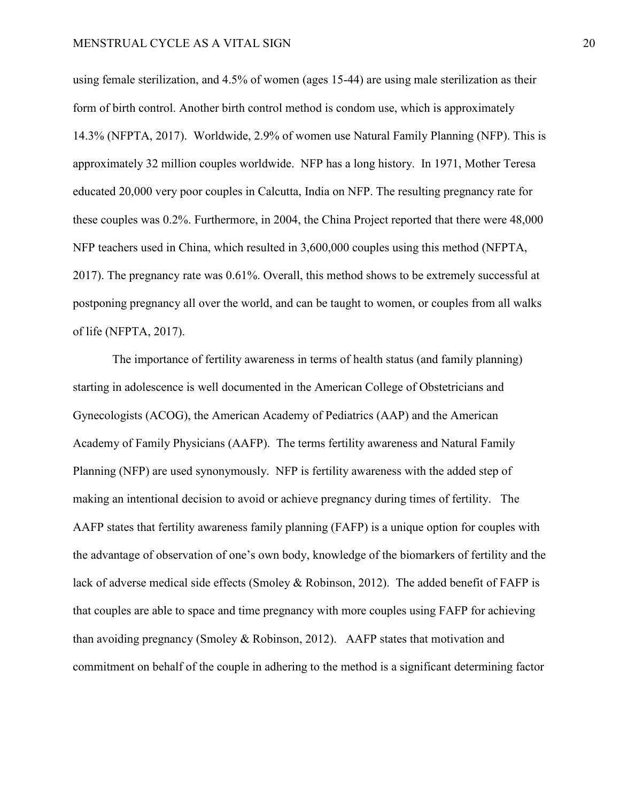using female sterilization, and 4.5% of women (ages 15-44) are using male sterilization as their form of birth control. Another birth control method is condom use, which is approximately 14.3% (NFPTA, 2017). Worldwide, 2.9% of women use Natural Family Planning (NFP). This is approximately 32 million couples worldwide. NFP has a long history. In 1971, Mother Teresa educated 20,000 very poor couples in Calcutta, India on NFP. The resulting pregnancy rate for these couples was 0.2%. Furthermore, in 2004, the China Project reported that there were 48,000 NFP teachers used in China, which resulted in 3,600,000 couples using this method (NFPTA, 2017). The pregnancy rate was 0.61%. Overall, this method shows to be extremely successful at postponing pregnancy all over the world, and can be taught to women, or couples from all walks of life (NFPTA, 2017).

The importance of fertility awareness in terms of health status (and family planning) starting in adolescence is well documented in the American College of Obstetricians and Gynecologists (ACOG), the American Academy of Pediatrics (AAP) and the American Academy of Family Physicians (AAFP). The terms fertility awareness and Natural Family Planning (NFP) are used synonymously. NFP is fertility awareness with the added step of making an intentional decision to avoid or achieve pregnancy during times of fertility. The AAFP states that fertility awareness family planning (FAFP) is a unique option for couples with the advantage of observation of one's own body, knowledge of the biomarkers of fertility and the lack of adverse medical side effects (Smoley & Robinson, 2012). The added benefit of FAFP is that couples are able to space and time pregnancy with more couples using FAFP for achieving than avoiding pregnancy (Smoley & Robinson, 2012). AAFP states that motivation and commitment on behalf of the couple in adhering to the method is a significant determining factor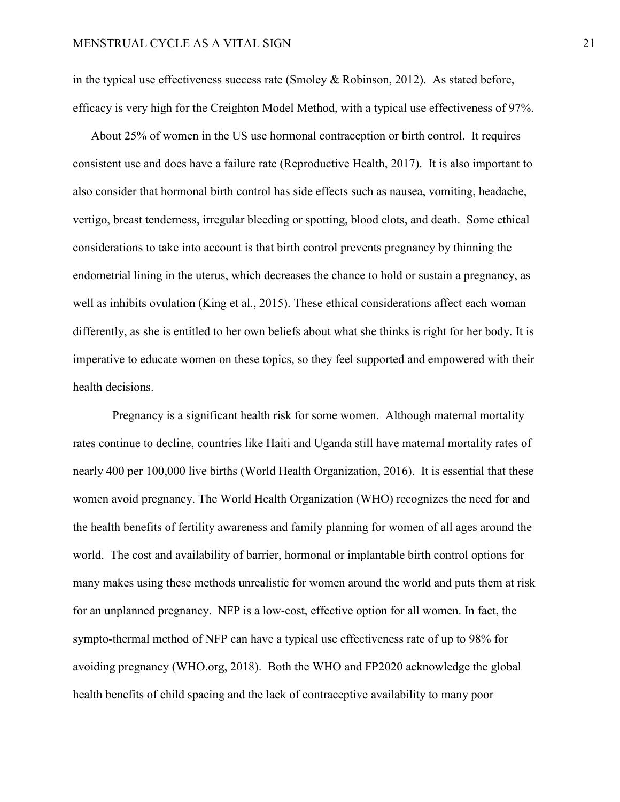in the typical use effectiveness success rate (Smoley & Robinson, 2012). As stated before, efficacy is very high for the Creighton Model Method, with a typical use effectiveness of 97%.

 About 25% of women in the US use hormonal contraception or birth control. It requires consistent use and does have a failure rate (Reproductive Health, 2017). It is also important to also consider that hormonal birth control has side effects such as nausea, vomiting, headache, vertigo, breast tenderness, irregular bleeding or spotting, blood clots, and death. Some ethical considerations to take into account is that birth control prevents pregnancy by thinning the endometrial lining in the uterus, which decreases the chance to hold or sustain a pregnancy, as well as inhibits ovulation (King et al., 2015). These ethical considerations affect each woman differently, as she is entitled to her own beliefs about what she thinks is right for her body. It is imperative to educate women on these topics, so they feel supported and empowered with their health decisions.

Pregnancy is a significant health risk for some women. Although maternal mortality rates continue to decline, countries like Haiti and Uganda still have maternal mortality rates of nearly 400 per 100,000 live births (World Health Organization, 2016). It is essential that these women avoid pregnancy. The World Health Organization (WHO) recognizes the need for and the health benefits of fertility awareness and family planning for women of all ages around the world. The cost and availability of barrier, hormonal or implantable birth control options for many makes using these methods unrealistic for women around the world and puts them at risk for an unplanned pregnancy. NFP is a low-cost, effective option for all women. In fact, the sympto-thermal method of NFP can have a typical use effectiveness rate of up to 98% for avoiding pregnancy (WHO.org, 2018). Both the WHO and FP2020 acknowledge the global health benefits of child spacing and the lack of contraceptive availability to many poor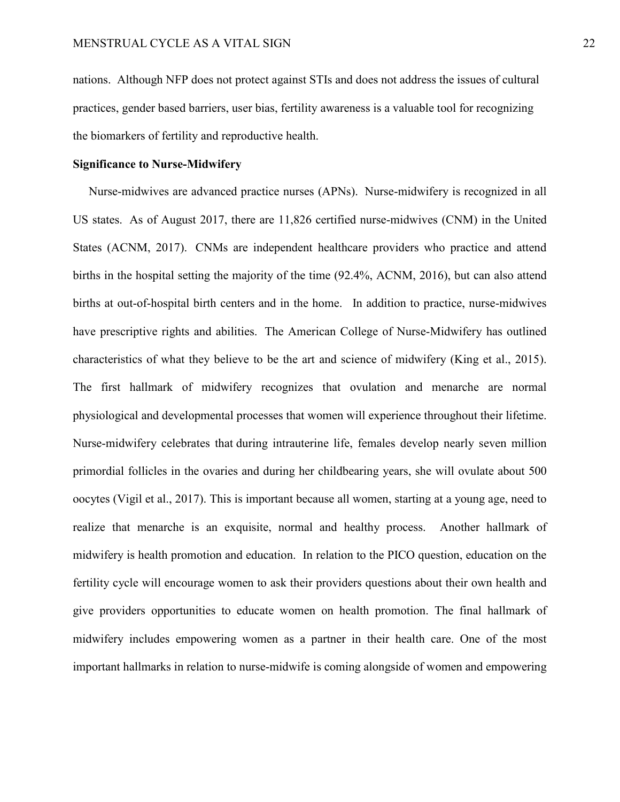nations. Although NFP does not protect against STIs and does not address the issues of cultural practices, gender based barriers, user bias, fertility awareness is a valuable tool for recognizing the biomarkers of fertility and reproductive health.

# **Significance to Nurse-Midwifery**

 Nurse-midwives are advanced practice nurses (APNs). Nurse-midwifery is recognized in all US states. As of August 2017, there are 11,826 certified nurse-midwives (CNM) in the United States (ACNM, 2017). CNMs are independent healthcare providers who practice and attend births in the hospital setting the majority of the time (92.4%, ACNM, 2016), but can also attend births at out-of-hospital birth centers and in the home. In addition to practice, nurse-midwives have prescriptive rights and abilities. The American College of Nurse-Midwifery has outlined characteristics of what they believe to be the art and science of midwifery (King et al., 2015). The first hallmark of midwifery recognizes that ovulation and menarche are normal physiological and developmental processes that women will experience throughout their lifetime. Nurse-midwifery celebrates that during intrauterine life, females develop nearly seven million primordial follicles in the ovaries and during her childbearing years, she will ovulate about 500 oocytes (Vigil et al., 2017). This is important because all women, starting at a young age, need to realize that menarche is an exquisite, normal and healthy process. Another hallmark of midwifery is health promotion and education. In relation to the PICO question, education on the fertility cycle will encourage women to ask their providers questions about their own health and give providers opportunities to educate women on health promotion. The final hallmark of midwifery includes empowering women as a partner in their health care. One of the most important hallmarks in relation to nurse-midwife is coming alongside of women and empowering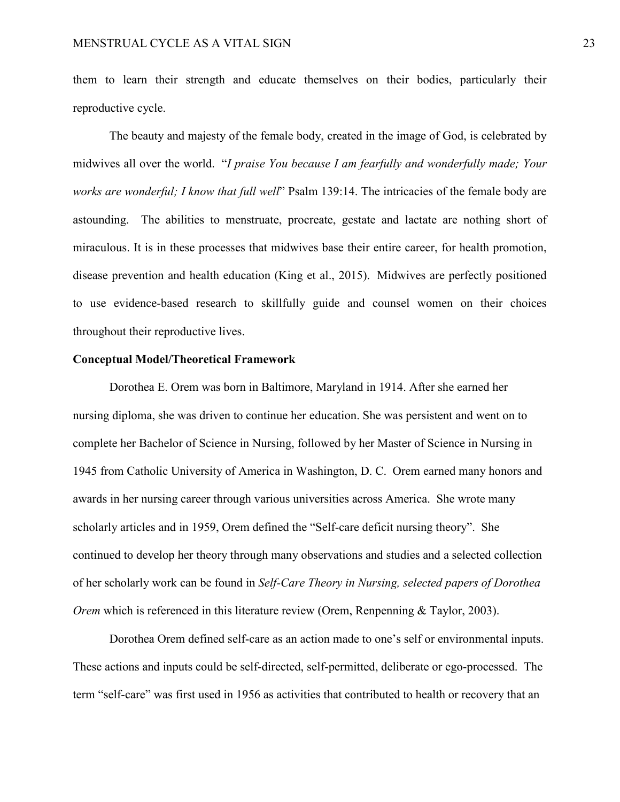them to learn their strength and educate themselves on their bodies, particularly their reproductive cycle.

The beauty and majesty of the female body, created in the image of God, is celebrated by midwives all over the world. "*I praise You because I am fearfully and wonderfully made; Your works are wonderful; I know that full well*" Psalm 139:14. The intricacies of the female body are astounding. The abilities to menstruate, procreate, gestate and lactate are nothing short of miraculous. It is in these processes that midwives base their entire career, for health promotion, disease prevention and health education (King et al., 2015). Midwives are perfectly positioned to use evidence-based research to skillfully guide and counsel women on their choices throughout their reproductive lives.

## **Conceptual Model/Theoretical Framework**

Dorothea E. Orem was born in Baltimore, Maryland in 1914. After she earned her nursing diploma, she was driven to continue her education. She was persistent and went on to complete her Bachelor of Science in Nursing, followed by her Master of Science in Nursing in 1945 from Catholic University of America in Washington, D. C. Orem earned many honors and awards in her nursing career through various universities across America. She wrote many scholarly articles and in 1959, Orem defined the "Self-care deficit nursing theory". She continued to develop her theory through many observations and studies and a selected collection of her scholarly work can be found in *Self-Care Theory in Nursing, selected papers of Dorothea Orem* which is referenced in this literature review (Orem, Renpenning & Taylor, 2003).

Dorothea Orem defined self-care as an action made to one's self or environmental inputs. These actions and inputs could be self-directed, self-permitted, deliberate or ego-processed. The term "self-care" was first used in 1956 as activities that contributed to health or recovery that an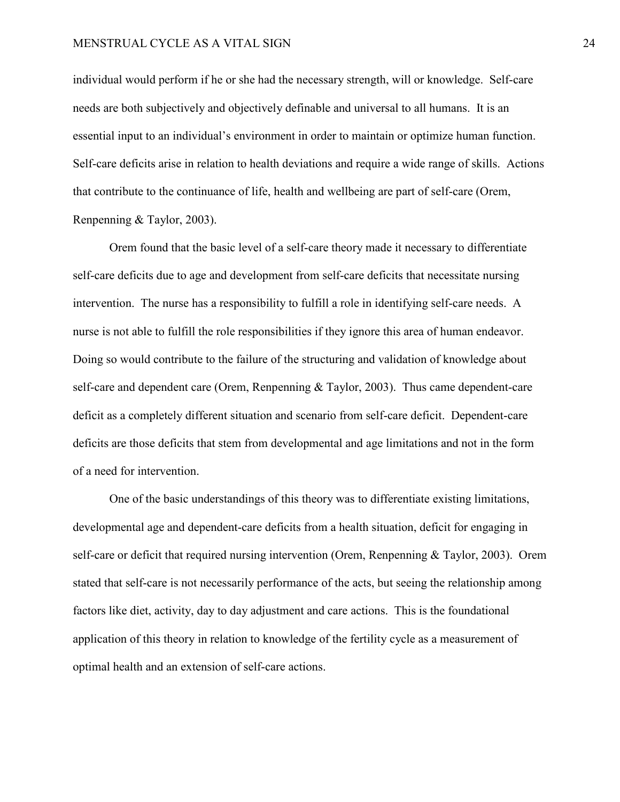#### MENSTRUAL CYCLE AS A VITAL SIGN 24

individual would perform if he or she had the necessary strength, will or knowledge. Self-care needs are both subjectively and objectively definable and universal to all humans. It is an essential input to an individual's environment in order to maintain or optimize human function. Self-care deficits arise in relation to health deviations and require a wide range of skills. Actions that contribute to the continuance of life, health and wellbeing are part of self-care (Orem, Renpenning & Taylor, 2003).

Orem found that the basic level of a self-care theory made it necessary to differentiate self-care deficits due to age and development from self-care deficits that necessitate nursing intervention. The nurse has a responsibility to fulfill a role in identifying self-care needs. A nurse is not able to fulfill the role responsibilities if they ignore this area of human endeavor. Doing so would contribute to the failure of the structuring and validation of knowledge about self-care and dependent care (Orem, Renpenning & Taylor, 2003). Thus came dependent-care deficit as a completely different situation and scenario from self-care deficit. Dependent-care deficits are those deficits that stem from developmental and age limitations and not in the form of a need for intervention.

One of the basic understandings of this theory was to differentiate existing limitations, developmental age and dependent-care deficits from a health situation, deficit for engaging in self-care or deficit that required nursing intervention (Orem, Renpenning & Taylor, 2003). Orem stated that self-care is not necessarily performance of the acts, but seeing the relationship among factors like diet, activity, day to day adjustment and care actions. This is the foundational application of this theory in relation to knowledge of the fertility cycle as a measurement of optimal health and an extension of self-care actions.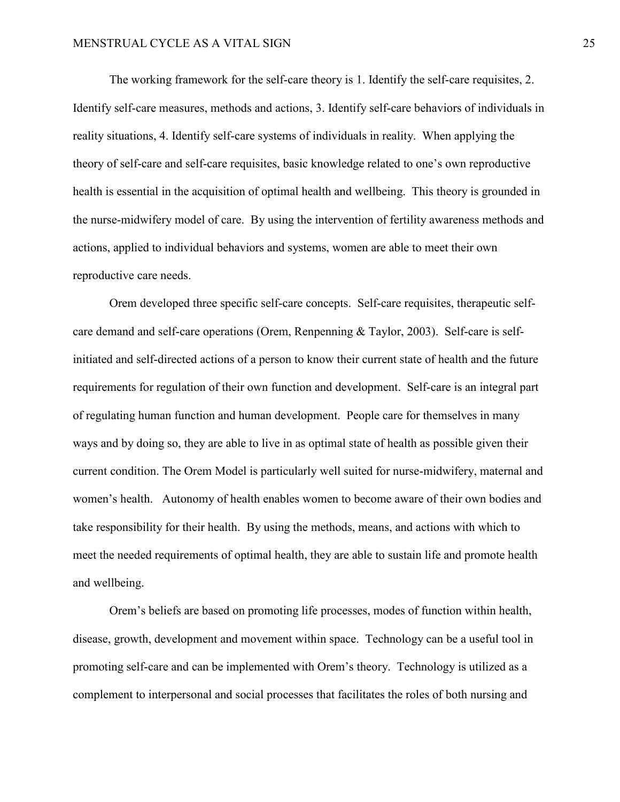The working framework for the self-care theory is 1. Identify the self-care requisites, 2. Identify self-care measures, methods and actions, 3. Identify self-care behaviors of individuals in reality situations, 4. Identify self-care systems of individuals in reality. When applying the theory of self-care and self-care requisites, basic knowledge related to one's own reproductive health is essential in the acquisition of optimal health and wellbeing. This theory is grounded in the nurse-midwifery model of care. By using the intervention of fertility awareness methods and actions, applied to individual behaviors and systems, women are able to meet their own reproductive care needs.

Orem developed three specific self-care concepts. Self-care requisites, therapeutic selfcare demand and self-care operations (Orem, Renpenning & Taylor, 2003). Self-care is selfinitiated and self-directed actions of a person to know their current state of health and the future requirements for regulation of their own function and development. Self-care is an integral part of regulating human function and human development. People care for themselves in many ways and by doing so, they are able to live in as optimal state of health as possible given their current condition. The Orem Model is particularly well suited for nurse-midwifery, maternal and women's health. Autonomy of health enables women to become aware of their own bodies and take responsibility for their health. By using the methods, means, and actions with which to meet the needed requirements of optimal health, they are able to sustain life and promote health and wellbeing.

Orem's beliefs are based on promoting life processes, modes of function within health, disease, growth, development and movement within space. Technology can be a useful tool in promoting self-care and can be implemented with Orem's theory. Technology is utilized as a complement to interpersonal and social processes that facilitates the roles of both nursing and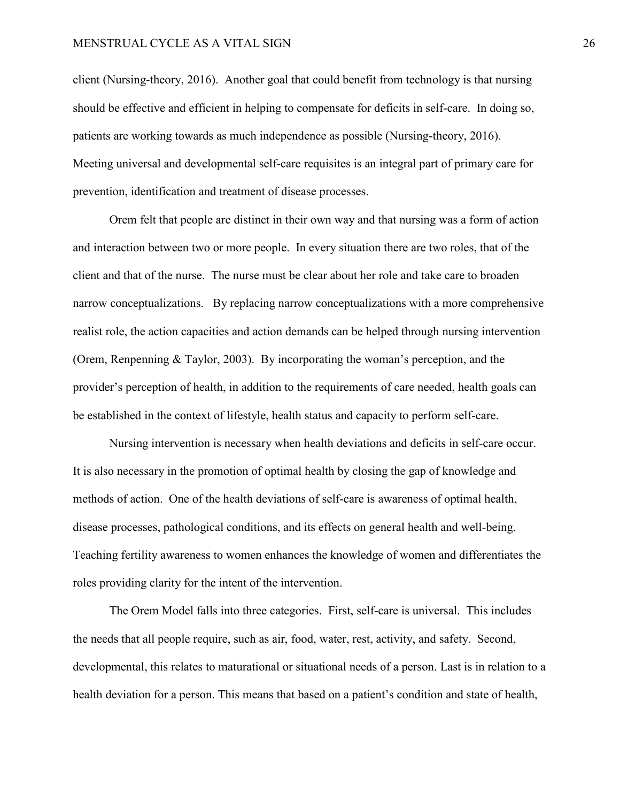#### MENSTRUAL CYCLE AS A VITAL SIGN 26

client (Nursing-theory, 2016). Another goal that could benefit from technology is that nursing should be effective and efficient in helping to compensate for deficits in self-care. In doing so, patients are working towards as much independence as possible (Nursing-theory, 2016). Meeting universal and developmental self-care requisites is an integral part of primary care for prevention, identification and treatment of disease processes.

Orem felt that people are distinct in their own way and that nursing was a form of action and interaction between two or more people. In every situation there are two roles, that of the client and that of the nurse. The nurse must be clear about her role and take care to broaden narrow conceptualizations. By replacing narrow conceptualizations with a more comprehensive realist role, the action capacities and action demands can be helped through nursing intervention (Orem, Renpenning & Taylor, 2003). By incorporating the woman's perception, and the provider's perception of health, in addition to the requirements of care needed, health goals can be established in the context of lifestyle, health status and capacity to perform self-care.

Nursing intervention is necessary when health deviations and deficits in self-care occur. It is also necessary in the promotion of optimal health by closing the gap of knowledge and methods of action. One of the health deviations of self-care is awareness of optimal health, disease processes, pathological conditions, and its effects on general health and well-being. Teaching fertility awareness to women enhances the knowledge of women and differentiates the roles providing clarity for the intent of the intervention.

The Orem Model falls into three categories. First, self-care is universal. This includes the needs that all people require, such as air, food, water, rest, activity, and safety. Second, developmental, this relates to maturational or situational needs of a person. Last is in relation to a health deviation for a person. This means that based on a patient's condition and state of health,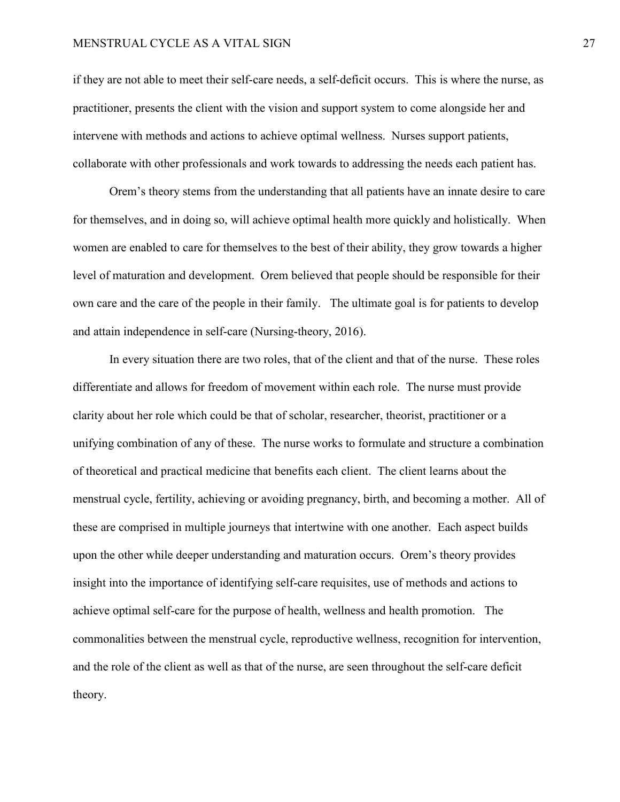#### MENSTRUAL CYCLE AS A VITAL SIGN 27

if they are not able to meet their self-care needs, a self-deficit occurs. This is where the nurse, as practitioner, presents the client with the vision and support system to come alongside her and intervene with methods and actions to achieve optimal wellness. Nurses support patients, collaborate with other professionals and work towards to addressing the needs each patient has.

Orem's theory stems from the understanding that all patients have an innate desire to care for themselves, and in doing so, will achieve optimal health more quickly and holistically. When women are enabled to care for themselves to the best of their ability, they grow towards a higher level of maturation and development. Orem believed that people should be responsible for their own care and the care of the people in their family. The ultimate goal is for patients to develop and attain independence in self-care (Nursing-theory, 2016).

In every situation there are two roles, that of the client and that of the nurse. These roles differentiate and allows for freedom of movement within each role. The nurse must provide clarity about her role which could be that of scholar, researcher, theorist, practitioner or a unifying combination of any of these. The nurse works to formulate and structure a combination of theoretical and practical medicine that benefits each client. The client learns about the menstrual cycle, fertility, achieving or avoiding pregnancy, birth, and becoming a mother. All of these are comprised in multiple journeys that intertwine with one another. Each aspect builds upon the other while deeper understanding and maturation occurs. Orem's theory provides insight into the importance of identifying self-care requisites, use of methods and actions to achieve optimal self-care for the purpose of health, wellness and health promotion. The commonalities between the menstrual cycle, reproductive wellness, recognition for intervention, and the role of the client as well as that of the nurse, are seen throughout the self-care deficit theory.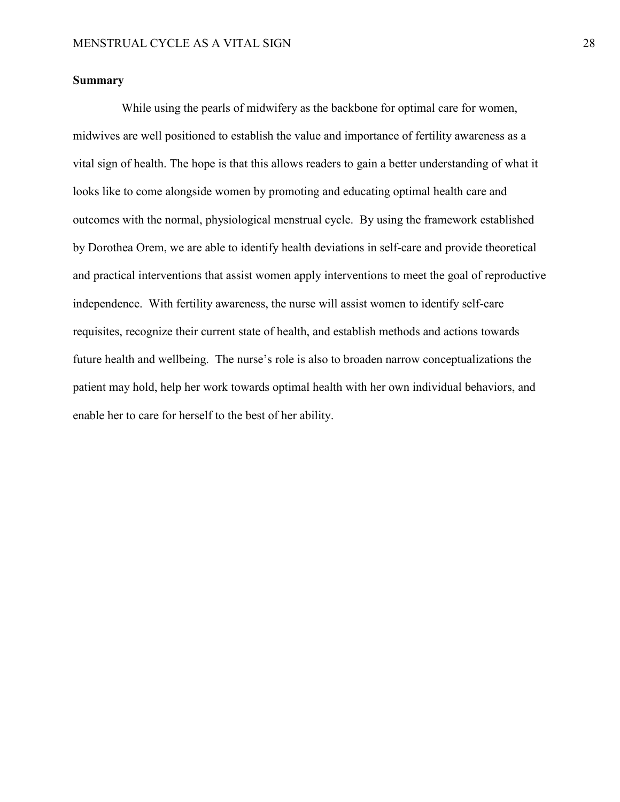# **Summary**

 While using the pearls of midwifery as the backbone for optimal care for women, midwives are well positioned to establish the value and importance of fertility awareness as a vital sign of health. The hope is that this allows readers to gain a better understanding of what it looks like to come alongside women by promoting and educating optimal health care and outcomes with the normal, physiological menstrual cycle. By using the framework established by Dorothea Orem, we are able to identify health deviations in self-care and provide theoretical and practical interventions that assist women apply interventions to meet the goal of reproductive independence. With fertility awareness, the nurse will assist women to identify self-care requisites, recognize their current state of health, and establish methods and actions towards future health and wellbeing. The nurse's role is also to broaden narrow conceptualizations the patient may hold, help her work towards optimal health with her own individual behaviors, and enable her to care for herself to the best of her ability.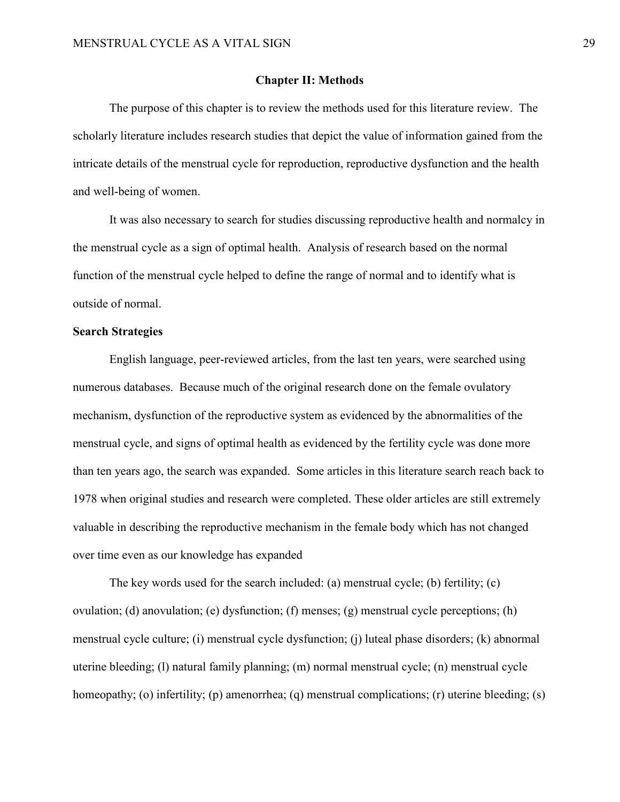#### **Chapter II: Methods**

The purpose of this chapter is to review the methods used for this literature review. The scholarly literature includes research studies that depict the value of information gained from the intricate details of the menstrual cycle for reproduction, reproductive dysfunction and the health and well-being of women.

It was also necessary to search for studies discussing reproductive health and normalcy in the menstrual cycle as a sign of optimal health. Analysis of research based on the normal function of the menstrual cycle helped to define the range of normal and to identify what is outside of normal.

### **Search Strategies**

English language, peer-reviewed articles, from the last ten years, were searched using numerous databases. Because much of the original research done on the female ovulatory mechanism, dysfunction of the reproductive system as evidenced by the abnormalities of the menstrual cycle, and signs of optimal health as evidenced by the fertility cycle was done more than ten years ago, the search was expanded. Some articles in this literature search reach back to 1978 when original studies and research were completed. These older articles are still extremely valuable in describing the reproductive mechanism in the female body which has not changed over time even as our knowledge has expanded

The key words used for the search included: (a) menstrual cycle; (b) fertility; (c) ovulation; (d) anovulation; (e) dysfunction; (f) menses; (g) menstrual cycle perceptions; (h) menstrual cycle culture; (i) menstrual cycle dysfunction; (j) luteal phase disorders; (k) abnormal uterine bleeding; (l) natural family planning; (m) normal menstrual cycle; (n) menstrual cycle homeopathy; (o) infertility; (p) amenorrhea; (q) menstrual complications; (r) uterine bleeding; (s)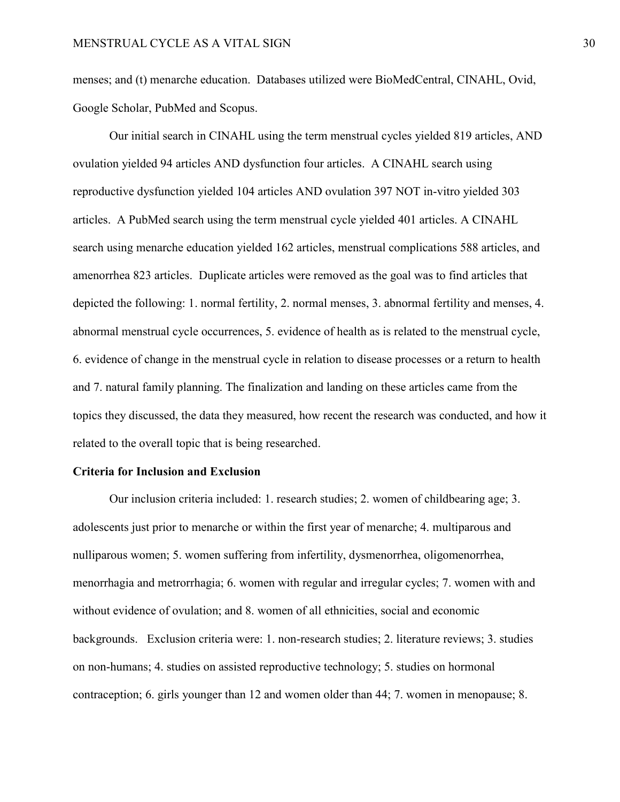menses; and (t) menarche education. Databases utilized were BioMedCentral, CINAHL, Ovid, Google Scholar, PubMed and Scopus.

Our initial search in CINAHL using the term menstrual cycles yielded 819 articles, AND ovulation yielded 94 articles AND dysfunction four articles. A CINAHL search using reproductive dysfunction yielded 104 articles AND ovulation 397 NOT in-vitro yielded 303 articles. A PubMed search using the term menstrual cycle yielded 401 articles. A CINAHL search using menarche education yielded 162 articles, menstrual complications 588 articles, and amenorrhea 823 articles. Duplicate articles were removed as the goal was to find articles that depicted the following: 1. normal fertility, 2. normal menses, 3. abnormal fertility and menses, 4. abnormal menstrual cycle occurrences, 5. evidence of health as is related to the menstrual cycle, 6. evidence of change in the menstrual cycle in relation to disease processes or a return to health and 7. natural family planning. The finalization and landing on these articles came from the topics they discussed, the data they measured, how recent the research was conducted, and how it related to the overall topic that is being researched.

#### **Criteria for Inclusion and Exclusion**

Our inclusion criteria included: 1. research studies; 2. women of childbearing age; 3. adolescents just prior to menarche or within the first year of menarche; 4. multiparous and nulliparous women; 5. women suffering from infertility, dysmenorrhea, oligomenorrhea, menorrhagia and metrorrhagia; 6. women with regular and irregular cycles; 7. women with and without evidence of ovulation; and 8. women of all ethnicities, social and economic backgrounds. Exclusion criteria were: 1. non-research studies; 2. literature reviews; 3. studies on non-humans; 4. studies on assisted reproductive technology; 5. studies on hormonal contraception; 6. girls younger than 12 and women older than 44; 7. women in menopause; 8.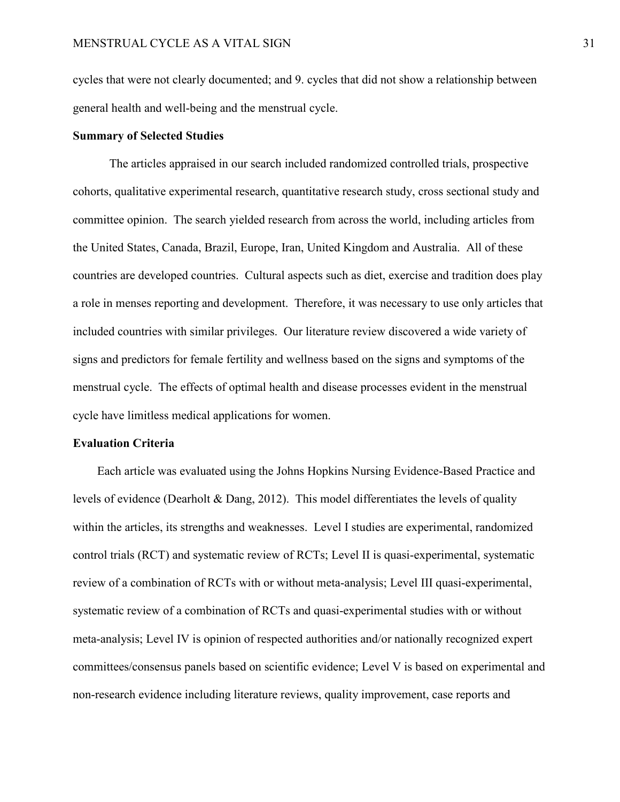cycles that were not clearly documented; and 9. cycles that did not show a relationship between general health and well-being and the menstrual cycle.

# **Summary of Selected Studies**

The articles appraised in our search included randomized controlled trials, prospective cohorts, qualitative experimental research, quantitative research study, cross sectional study and committee opinion. The search yielded research from across the world, including articles from the United States, Canada, Brazil, Europe, Iran, United Kingdom and Australia. All of these countries are developed countries. Cultural aspects such as diet, exercise and tradition does play a role in menses reporting and development. Therefore, it was necessary to use only articles that included countries with similar privileges. Our literature review discovered a wide variety of signs and predictors for female fertility and wellness based on the signs and symptoms of the menstrual cycle. The effects of optimal health and disease processes evident in the menstrual cycle have limitless medical applications for women.

### **Evaluation Criteria**

Each article was evaluated using the Johns Hopkins Nursing Evidence-Based Practice and levels of evidence (Dearholt & Dang, 2012). This model differentiates the levels of quality within the articles, its strengths and weaknesses. Level I studies are experimental, randomized control trials (RCT) and systematic review of RCTs; Level II is quasi-experimental, systematic review of a combination of RCTs with or without meta-analysis; Level III quasi-experimental, systematic review of a combination of RCTs and quasi-experimental studies with or without meta-analysis; Level IV is opinion of respected authorities and/or nationally recognized expert committees/consensus panels based on scientific evidence; Level V is based on experimental and non-research evidence including literature reviews, quality improvement, case reports and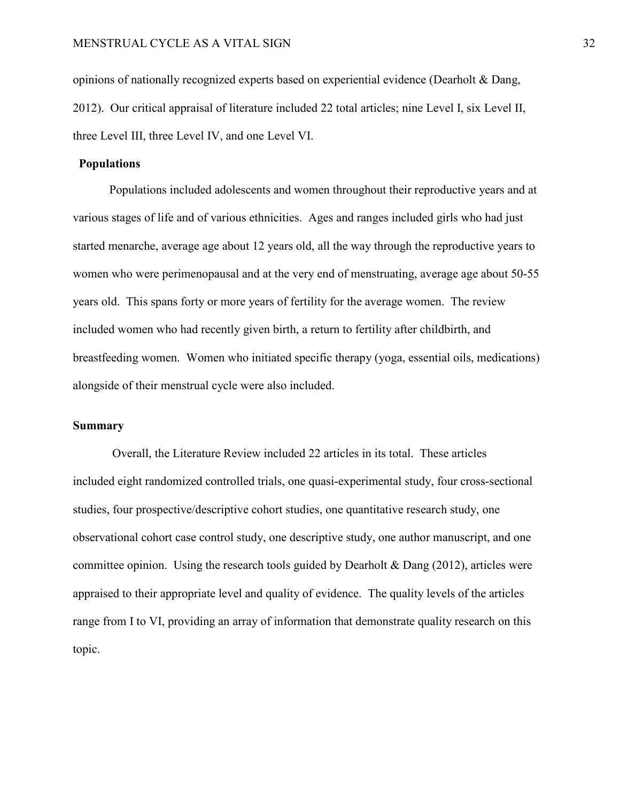opinions of nationally recognized experts based on experiential evidence (Dearholt & Dang, 2012). Our critical appraisal of literature included 22 total articles; nine Level I, six Level II, three Level III, three Level IV, and one Level VI.

# **Populations**

Populations included adolescents and women throughout their reproductive years and at various stages of life and of various ethnicities. Ages and ranges included girls who had just started menarche, average age about 12 years old, all the way through the reproductive years to women who were perimenopausal and at the very end of menstruating, average age about 50-55 years old. This spans forty or more years of fertility for the average women. The review included women who had recently given birth, a return to fertility after childbirth, and breastfeeding women. Women who initiated specific therapy (yoga, essential oils, medications) alongside of their menstrual cycle were also included.

#### **Summary**

Overall, the Literature Review included 22 articles in its total. These articles included eight randomized controlled trials, one quasi-experimental study, four cross-sectional studies, four prospective/descriptive cohort studies, one quantitative research study, one observational cohort case control study, one descriptive study, one author manuscript, and one committee opinion. Using the research tools guided by Dearholt & Dang (2012), articles were appraised to their appropriate level and quality of evidence. The quality levels of the articles range from I to VI, providing an array of information that demonstrate quality research on this topic.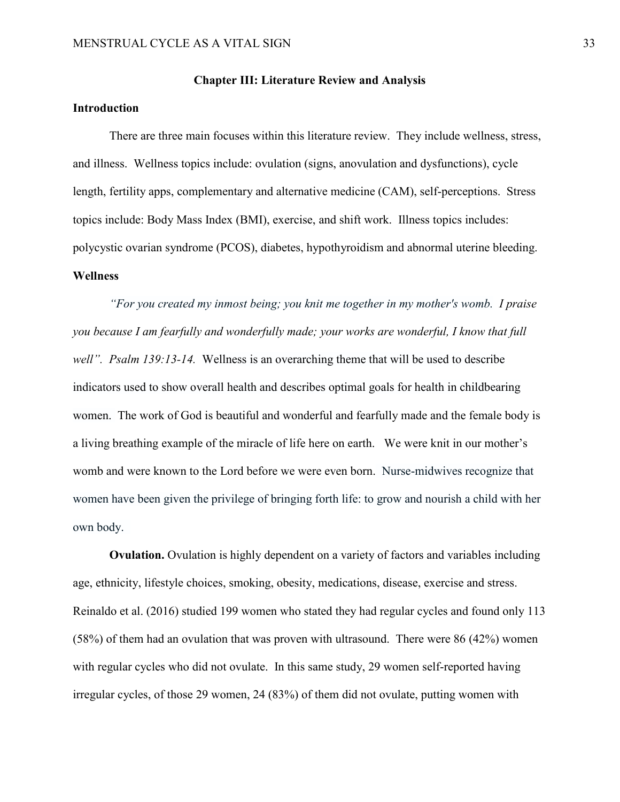#### **Chapter III: Literature Review and Analysis**

# **Introduction**

There are three main focuses within this literature review. They include wellness, stress, and illness. Wellness topics include: ovulation (signs, anovulation and dysfunctions), cycle length, fertility apps, complementary and alternative medicine (CAM), self-perceptions. Stress topics include: Body Mass Index (BMI), exercise, and shift work. Illness topics includes: polycystic ovarian syndrome (PCOS), diabetes, hypothyroidism and abnormal uterine bleeding. **Wellness**

*"For you created my inmost being; you knit me together in my mother's womb. I praise you because I am fearfully and wonderfully made; your works are wonderful, I know that full well". Psalm 139:13-14.* Wellness is an overarching theme that will be used to describe indicators used to show overall health and describes optimal goals for health in childbearing women. The work of God is beautiful and wonderful and fearfully made and the female body is a living breathing example of the miracle of life here on earth. We were knit in our mother's womb and were known to the Lord before we were even born.Nurse-midwives recognize that women have been given the privilege of bringing forth life: to grow and nourish a child with her own body.

**Ovulation.** Ovulation is highly dependent on a variety of factors and variables including age, ethnicity, lifestyle choices, smoking, obesity, medications, disease, exercise and stress. Reinaldo et al. (2016) studied 199 women who stated they had regular cycles and found only 113 (58%) of them had an ovulation that was proven with ultrasound. There were 86 (42%) women with regular cycles who did not ovulate. In this same study, 29 women self-reported having irregular cycles, of those 29 women, 24 (83%) of them did not ovulate, putting women with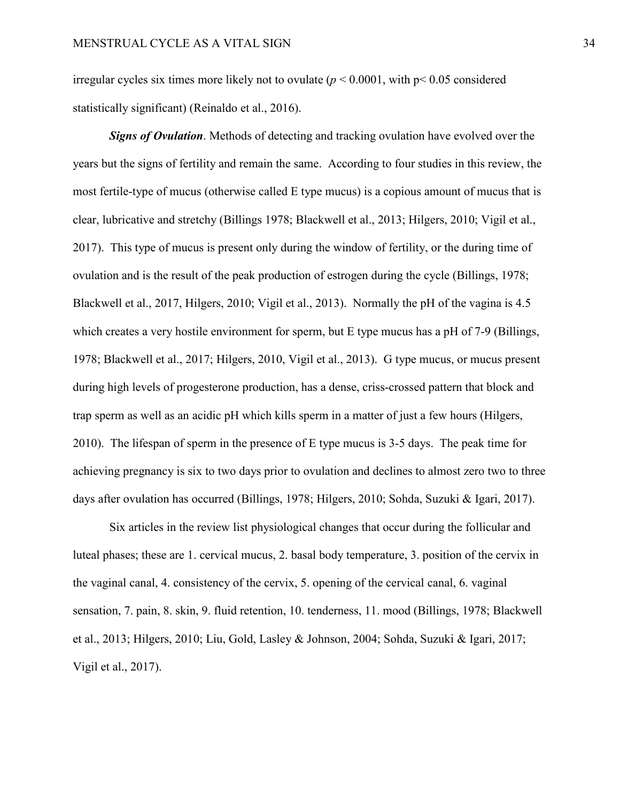irregular cycles six times more likely not to ovulate (*p* < 0.0001, with p< 0.05 considered statistically significant) (Reinaldo et al., 2016).

*Signs of Ovulation*. Methods of detecting and tracking ovulation have evolved over the years but the signs of fertility and remain the same. According to four studies in this review, the most fertile-type of mucus (otherwise called E type mucus) is a copious amount of mucus that is clear, lubricative and stretchy (Billings 1978; Blackwell et al., 2013; Hilgers, 2010; Vigil et al., 2017). This type of mucus is present only during the window of fertility, or the during time of ovulation and is the result of the peak production of estrogen during the cycle (Billings, 1978; Blackwell et al., 2017, Hilgers, 2010; Vigil et al., 2013). Normally the pH of the vagina is 4.5 which creates a very hostile environment for sperm, but E type mucus has a pH of 7-9 (Billings, 1978; Blackwell et al., 2017; Hilgers, 2010, Vigil et al., 2013). G type mucus, or mucus present during high levels of progesterone production, has a dense, criss-crossed pattern that block and trap sperm as well as an acidic pH which kills sperm in a matter of just a few hours (Hilgers, 2010). The lifespan of sperm in the presence of E type mucus is 3-5 days. The peak time for achieving pregnancy is six to two days prior to ovulation and declines to almost zero two to three days after ovulation has occurred (Billings, 1978; Hilgers, 2010; Sohda, Suzuki & Igari, 2017).

Six articles in the review list physiological changes that occur during the follicular and luteal phases; these are 1. cervical mucus, 2. basal body temperature, 3. position of the cervix in the vaginal canal, 4. consistency of the cervix, 5. opening of the cervical canal, 6. vaginal sensation, 7. pain, 8. skin, 9. fluid retention, 10. tenderness, 11. mood (Billings, 1978; Blackwell et al., 2013; Hilgers, 2010; Liu, Gold, Lasley & Johnson, 2004; Sohda, Suzuki & Igari, 2017; Vigil et al., 2017).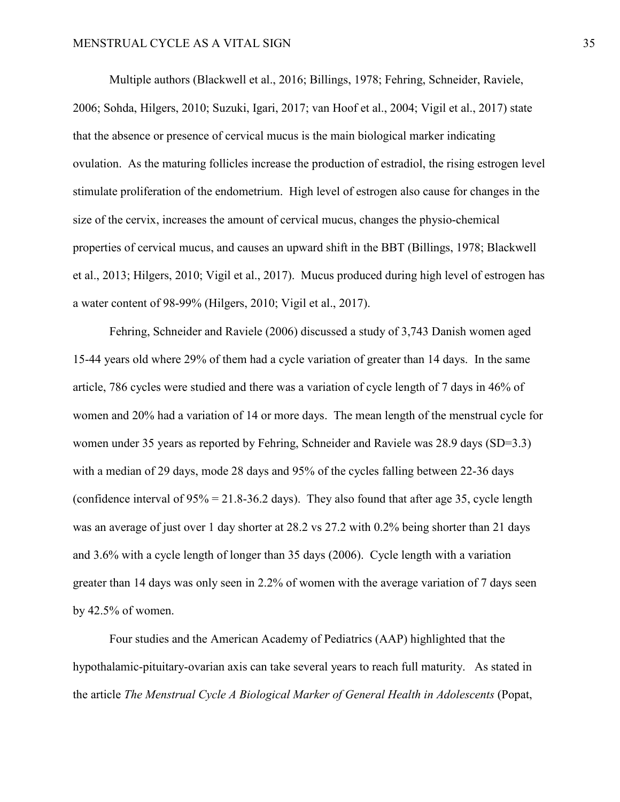Multiple authors (Blackwell et al., 2016; Billings, 1978; Fehring, Schneider, Raviele, 2006; Sohda, Hilgers, 2010; Suzuki, Igari, 2017; van Hoof et al., 2004; Vigil et al., 2017) state that the absence or presence of cervical mucus is the main biological marker indicating ovulation. As the maturing follicles increase the production of estradiol, the rising estrogen level stimulate proliferation of the endometrium. High level of estrogen also cause for changes in the size of the cervix, increases the amount of cervical mucus, changes the physio-chemical properties of cervical mucus, and causes an upward shift in the BBT (Billings, 1978; Blackwell et al., 2013; Hilgers, 2010; Vigil et al., 2017). Mucus produced during high level of estrogen has a water content of 98-99% (Hilgers, 2010; Vigil et al., 2017).

Fehring, Schneider and Raviele (2006) discussed a study of 3,743 Danish women aged 15-44 years old where 29% of them had a cycle variation of greater than 14 days. In the same article, 786 cycles were studied and there was a variation of cycle length of 7 days in 46% of women and 20% had a variation of 14 or more days. The mean length of the menstrual cycle for women under 35 years as reported by Fehring, Schneider and Raviele was 28.9 days (SD=3.3) with a median of 29 days, mode 28 days and 95% of the cycles falling between 22-36 days (confidence interval of  $95\% = 21.8 - 36.2$  days). They also found that after age 35, cycle length was an average of just over 1 day shorter at 28.2 vs 27.2 with 0.2% being shorter than 21 days and 3.6% with a cycle length of longer than 35 days (2006). Cycle length with a variation greater than 14 days was only seen in 2.2% of women with the average variation of 7 days seen by 42.5% of women.

Four studies and the American Academy of Pediatrics (AAP) highlighted that the hypothalamic-pituitary-ovarian axis can take several years to reach full maturity. As stated in the article *The Menstrual Cycle A Biological Marker of General Health in Adolescents* (Popat,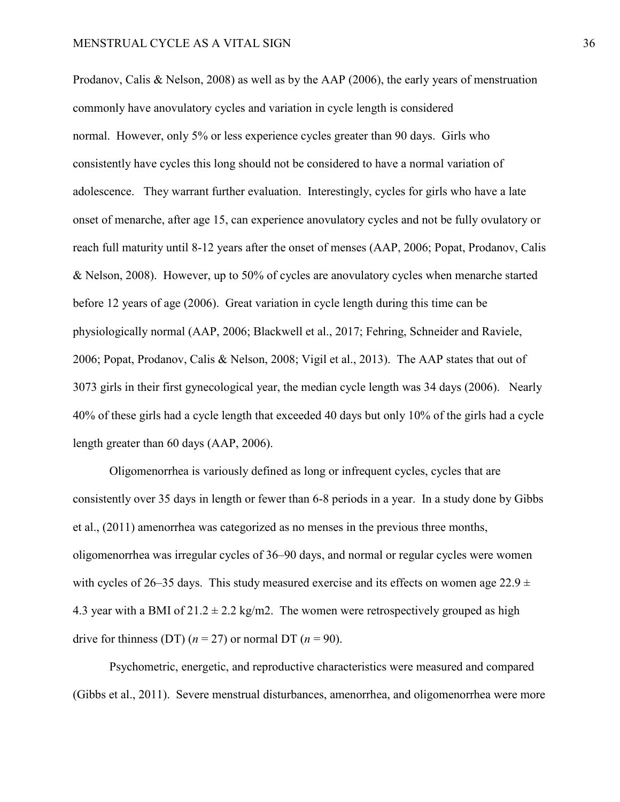Prodanov, Calis & Nelson, 2008) as well as by the AAP (2006), the early years of menstruation commonly have anovulatory cycles and variation in cycle length is considered normal. However, only 5% or less experience cycles greater than 90 days. Girls who consistently have cycles this long should not be considered to have a normal variation of adolescence. They warrant further evaluation. Interestingly, cycles for girls who have a late onset of menarche, after age 15, can experience anovulatory cycles and not be fully ovulatory or reach full maturity until 8-12 years after the onset of menses (AAP, 2006; Popat, Prodanov, Calis & Nelson, 2008). However, up to 50% of cycles are anovulatory cycles when menarche started before 12 years of age (2006). Great variation in cycle length during this time can be physiologically normal (AAP, 2006; Blackwell et al., 2017; Fehring, Schneider and Raviele, 2006; Popat, Prodanov, Calis & Nelson, 2008; Vigil et al., 2013). The AAP states that out of 3073 girls in their first gynecological year, the median cycle length was 34 days (2006). Nearly 40% of these girls had a cycle length that exceeded 40 days but only 10% of the girls had a cycle length greater than 60 days (AAP, 2006).

Oligomenorrhea is variously defined as long or infrequent cycles, cycles that are consistently over 35 days in length or fewer than 6-8 periods in a year. In a study done by Gibbs et al., (2011) amenorrhea was categorized as no menses in the previous three months, oligomenorrhea was irregular cycles of 36–90 days, and normal or regular cycles were women with cycles of 26–35 days. This study measured exercise and its effects on women age 22.9  $\pm$ 4.3 year with a BMI of  $21.2 \pm 2.2$  kg/m2. The women were retrospectively grouped as high drive for thinness (DT)  $(n = 27)$  or normal DT  $(n = 90)$ .

Psychometric, energetic, and reproductive characteristics were measured and compared (Gibbs et al., 2011). Severe menstrual disturbances, amenorrhea, and oligomenorrhea were more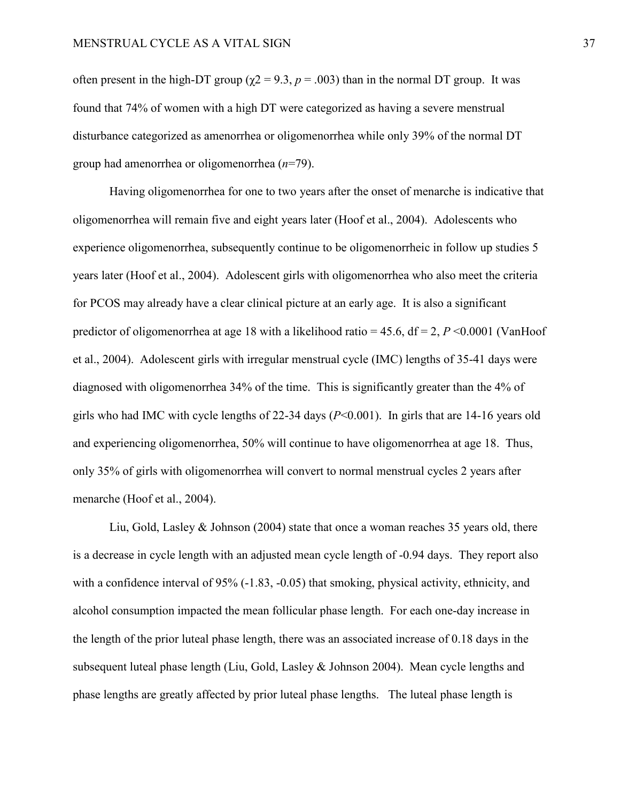often present in the high-DT group ( $\gamma$ 2 = 9.3, *p* = .003) than in the normal DT group. It was found that 74% of women with a high DT were categorized as having a severe menstrual disturbance categorized as amenorrhea or oligomenorrhea while only 39% of the normal DT group had amenorrhea or oligomenorrhea (*n*=79).

Having oligomenorrhea for one to two years after the onset of menarche is indicative that oligomenorrhea will remain five and eight years later (Hoof et al., 2004). Adolescents who experience oligomenorrhea, subsequently continue to be oligomenorrheic in follow up studies 5 years later (Hoof et al., 2004). Adolescent girls with oligomenorrhea who also meet the criteria for PCOS may already have a clear clinical picture at an early age. It is also a significant predictor of oligomenorrhea at age 18 with a likelihood ratio = 45.6, df = 2, *P* <0.0001 (VanHoof et al., 2004). Adolescent girls with irregular menstrual cycle (IMC) lengths of 35-41 days were diagnosed with oligomenorrhea 34% of the time. This is significantly greater than the 4% of girls who had IMC with cycle lengths of 22-34 days (*P*<0.001). In girls that are 14-16 years old and experiencing oligomenorrhea, 50% will continue to have oligomenorrhea at age 18. Thus, only 35% of girls with oligomenorrhea will convert to normal menstrual cycles 2 years after menarche (Hoof et al., 2004).

Liu, Gold, Lasley & Johnson (2004) state that once a woman reaches 35 years old, there is a decrease in cycle length with an adjusted mean cycle length of -0.94 days. They report also with a confidence interval of 95% (-1.83, -0.05) that smoking, physical activity, ethnicity, and alcohol consumption impacted the mean follicular phase length. For each one-day increase in the length of the prior luteal phase length, there was an associated increase of 0.18 days in the subsequent luteal phase length (Liu, Gold, Lasley & Johnson 2004). Mean cycle lengths and phase lengths are greatly affected by prior luteal phase lengths. The luteal phase length is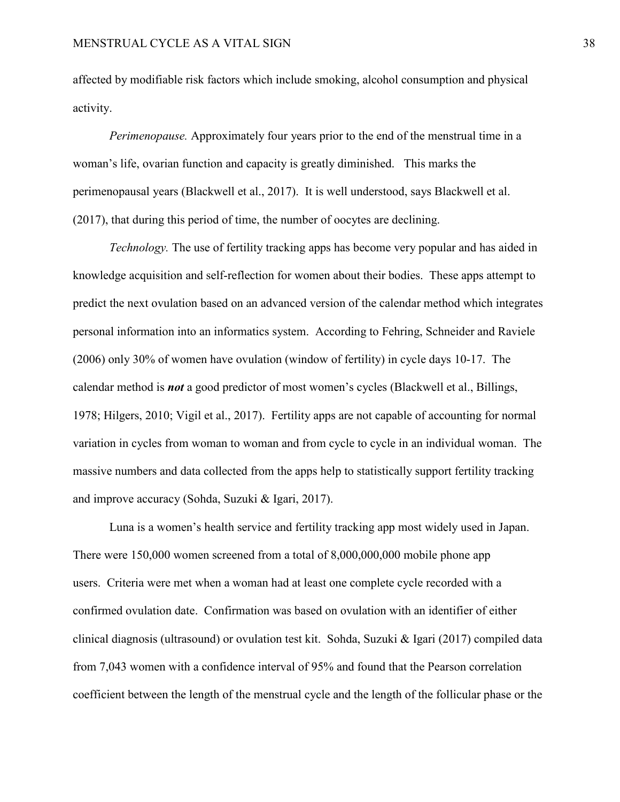affected by modifiable risk factors which include smoking, alcohol consumption and physical activity.

*Perimenopause.* Approximately four years prior to the end of the menstrual time in a woman's life, ovarian function and capacity is greatly diminished. This marks the perimenopausal years (Blackwell et al., 2017). It is well understood, says Blackwell et al. (2017), that during this period of time, the number of oocytes are declining.

*Technology.* The use of fertility tracking apps has become very popular and has aided in knowledge acquisition and self-reflection for women about their bodies. These apps attempt to predict the next ovulation based on an advanced version of the calendar method which integrates personal information into an informatics system. According to Fehring, Schneider and Raviele (2006) only 30% of women have ovulation (window of fertility) in cycle days 10-17. The calendar method is *not* a good predictor of most women's cycles (Blackwell et al., Billings, 1978; Hilgers, 2010; Vigil et al., 2017). Fertility apps are not capable of accounting for normal variation in cycles from woman to woman and from cycle to cycle in an individual woman. The massive numbers and data collected from the apps help to statistically support fertility tracking and improve accuracy (Sohda, Suzuki & Igari, 2017).

Luna is a women's health service and fertility tracking app most widely used in Japan. There were 150,000 women screened from a total of 8,000,000,000 mobile phone app users. Criteria were met when a woman had at least one complete cycle recorded with a confirmed ovulation date. Confirmation was based on ovulation with an identifier of either clinical diagnosis (ultrasound) or ovulation test kit. Sohda, Suzuki & Igari (2017) compiled data from 7,043 women with a confidence interval of 95% and found that the Pearson correlation coefficient between the length of the menstrual cycle and the length of the follicular phase or the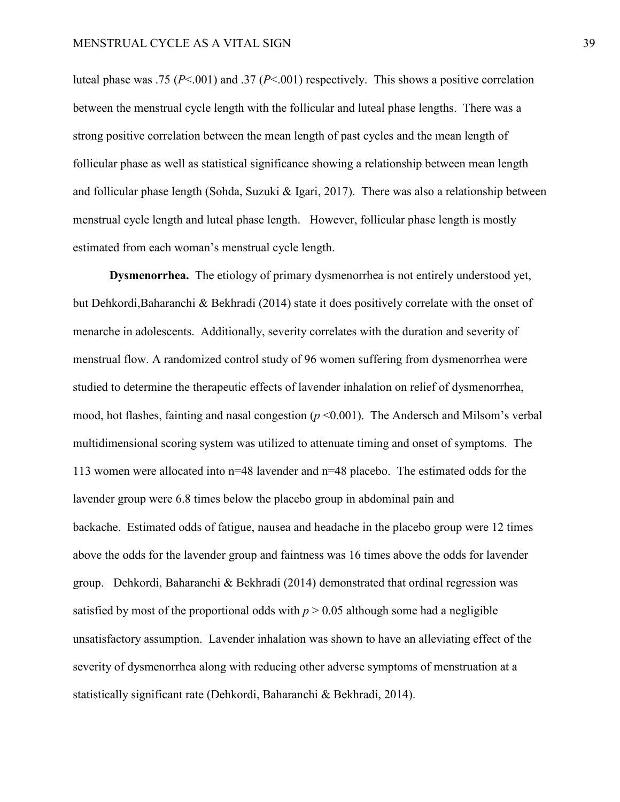luteal phase was .75 (*P*<.001) and .37 (*P*<.001) respectively. This shows a positive correlation between the menstrual cycle length with the follicular and luteal phase lengths. There was a strong positive correlation between the mean length of past cycles and the mean length of follicular phase as well as statistical significance showing a relationship between mean length and follicular phase length (Sohda, Suzuki & Igari, 2017). There was also a relationship between menstrual cycle length and luteal phase length. However, follicular phase length is mostly estimated from each woman's menstrual cycle length.

**Dysmenorrhea.** The etiology of primary dysmenorrhea is not entirely understood yet, but Dehkordi,Baharanchi & Bekhradi (2014) state it does positively correlate with the onset of menarche in adolescents. Additionally, severity correlates with the duration and severity of menstrual flow. A randomized control study of 96 women suffering from dysmenorrhea were studied to determine the therapeutic effects of lavender inhalation on relief of dysmenorrhea, mood, hot flashes, fainting and nasal congestion (*p* <0.001). The Andersch and Milsom's verbal multidimensional scoring system was utilized to attenuate timing and onset of symptoms. The 113 women were allocated into n=48 lavender and n=48 placebo. The estimated odds for the lavender group were 6.8 times below the placebo group in abdominal pain and backache. Estimated odds of fatigue, nausea and headache in the placebo group were 12 times above the odds for the lavender group and faintness was 16 times above the odds for lavender group. Dehkordi, Baharanchi & Bekhradi (2014) demonstrated that ordinal regression was satisfied by most of the proportional odds with  $p > 0.05$  although some had a negligible unsatisfactory assumption. Lavender inhalation was shown to have an alleviating effect of the severity of dysmenorrhea along with reducing other adverse symptoms of menstruation at a statistically significant rate (Dehkordi, Baharanchi & Bekhradi, 2014).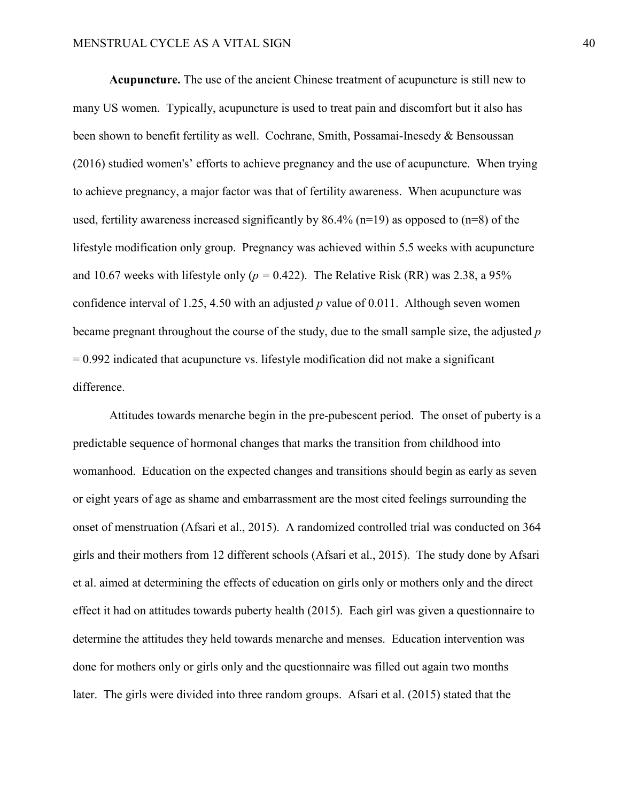**Acupuncture.** The use of the ancient Chinese treatment of acupuncture is still new to many US women. Typically, acupuncture is used to treat pain and discomfort but it also has been shown to benefit fertility as well. Cochrane, Smith, Possamai-Inesedy & Bensoussan (2016) studied women's' efforts to achieve pregnancy and the use of acupuncture. When trying to achieve pregnancy, a major factor was that of fertility awareness. When acupuncture was used, fertility awareness increased significantly by  $86.4\%$  (n=19) as opposed to (n=8) of the lifestyle modification only group. Pregnancy was achieved within 5.5 weeks with acupuncture and 10.67 weeks with lifestyle only ( $p = 0.422$ ). The Relative Risk (RR) was 2.38, a 95% confidence interval of 1.25, 4.50 with an adjusted *p* value of 0.011. Although seven women became pregnant throughout the course of the study, due to the small sample size, the adjusted *p*  $= 0.992$  indicated that acupuncture vs. lifestyle modification did not make a significant difference.

Attitudes towards menarche begin in the pre-pubescent period. The onset of puberty is a predictable sequence of hormonal changes that marks the transition from childhood into womanhood. Education on the expected changes and transitions should begin as early as seven or eight years of age as shame and embarrassment are the most cited feelings surrounding the onset of menstruation (Afsari et al., 2015). A randomized controlled trial was conducted on 364 girls and their mothers from 12 different schools (Afsari et al., 2015). The study done by Afsari et al. aimed at determining the effects of education on girls only or mothers only and the direct effect it had on attitudes towards puberty health (2015). Each girl was given a questionnaire to determine the attitudes they held towards menarche and menses. Education intervention was done for mothers only or girls only and the questionnaire was filled out again two months later. The girls were divided into three random groups. Afsari et al. (2015) stated that the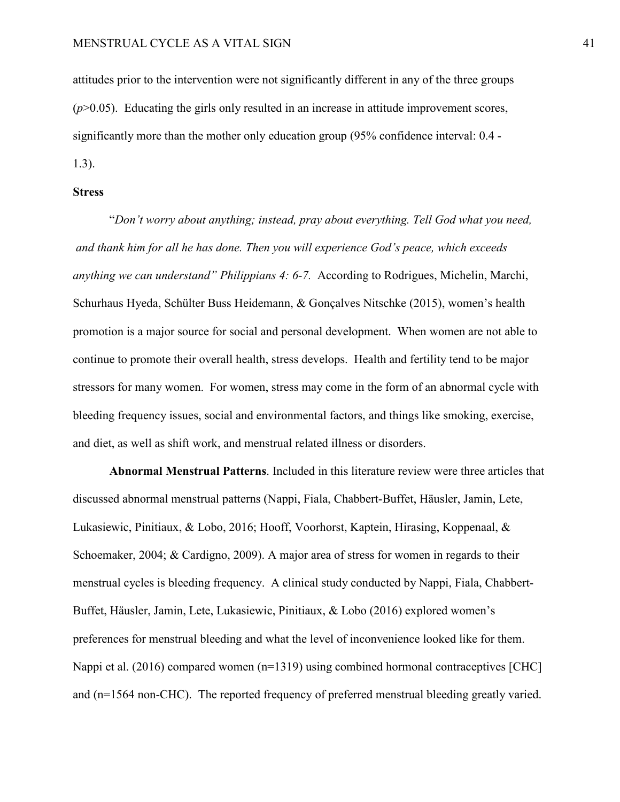attitudes prior to the intervention were not significantly different in any of the three groups  $(p>0.05)$ . Educating the girls only resulted in an increase in attitude improvement scores, significantly more than the mother only education group (95% confidence interval: 0.4 - 1.3).

#### **Stress**

"*Don't worry about anything; instead, pray about everything. Tell God what you need, and thank him for all he has done. Then you will experience God's peace, which exceeds anything we can understand" Philippians 4: 6-7.* According to Rodrigues, Michelin, Marchi, Schurhaus Hyeda, Schülter Buss Heidemann, & Gonçalves Nitschke (2015), women's health promotion is a major source for social and personal development. When women are not able to continue to promote their overall health, stress develops. Health and fertility tend to be major stressors for many women. For women, stress may come in the form of an abnormal cycle with bleeding frequency issues, social and environmental factors, and things like smoking, exercise, and diet, as well as shift work, and menstrual related illness or disorders.

**Abnormal Menstrual Patterns**. Included in this literature review were three articles that discussed abnormal menstrual patterns (Nappi, Fiala, Chabbert-Buffet, Häusler, Jamin, Lete, Lukasiewic, Pinitiaux, & Lobo, 2016; Hooff, Voorhorst, Kaptein, Hirasing, Koppenaal, & Schoemaker, 2004; & Cardigno, 2009). A major area of stress for women in regards to their menstrual cycles is bleeding frequency. A clinical study conducted by Nappi, Fiala, Chabbert-Buffet, Häusler, Jamin, Lete, Lukasiewic, Pinitiaux, & Lobo (2016) explored women's preferences for menstrual bleeding and what the level of inconvenience looked like for them. Nappi et al. (2016) compared women (n=1319) using combined hormonal contraceptives [CHC] and (n=1564 non-CHC). The reported frequency of preferred menstrual bleeding greatly varied.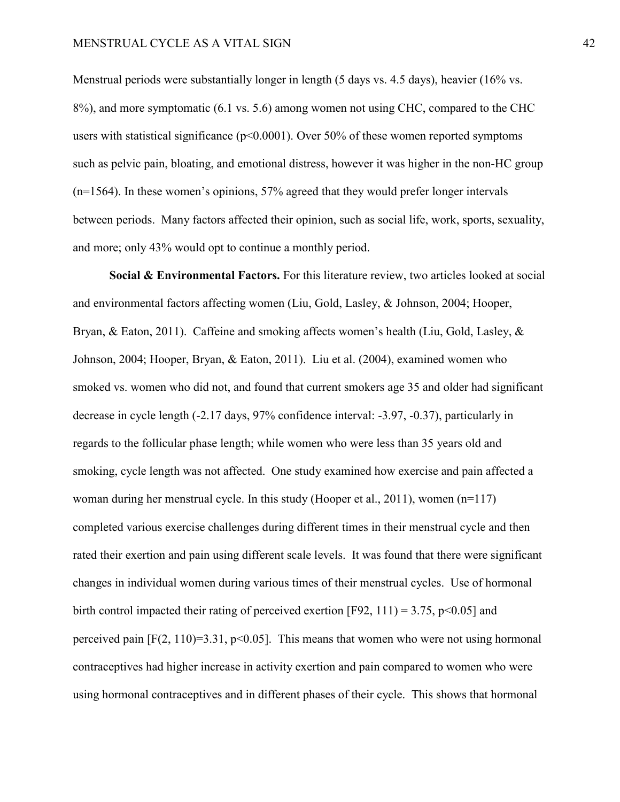Menstrual periods were substantially longer in length (5 days vs. 4.5 days), heavier (16% vs. 8%), and more symptomatic (6.1 vs. 5.6) among women not using CHC, compared to the CHC users with statistical significance ( $p<0.0001$ ). Over 50% of these women reported symptoms such as pelvic pain, bloating, and emotional distress, however it was higher in the non-HC group (n=1564). In these women's opinions, 57% agreed that they would prefer longer intervals between periods. Many factors affected their opinion, such as social life, work, sports, sexuality, and more; only 43% would opt to continue a monthly period.

**Social & Environmental Factors.** For this literature review, two articles looked at social and environmental factors affecting women (Liu, Gold, Lasley, & Johnson, 2004; Hooper, Bryan, & Eaton, 2011). Caffeine and smoking affects women's health (Liu, Gold, Lasley, & Johnson, 2004; Hooper, Bryan, & Eaton, 2011). Liu et al. (2004), examined women who smoked vs. women who did not, and found that current smokers age 35 and older had significant decrease in cycle length (-2.17 days, 97% confidence interval: -3.97, -0.37), particularly in regards to the follicular phase length; while women who were less than 35 years old and smoking, cycle length was not affected. One study examined how exercise and pain affected a woman during her menstrual cycle. In this study (Hooper et al., 2011), women (n=117) completed various exercise challenges during different times in their menstrual cycle and then rated their exertion and pain using different scale levels. It was found that there were significant changes in individual women during various times of their menstrual cycles. Use of hormonal birth control impacted their rating of perceived exertion [F92, 111) = 3.75, p<0.05] and perceived pain  $[F(2, 110)=3.31, p<0.05]$ . This means that women who were not using hormonal contraceptives had higher increase in activity exertion and pain compared to women who were using hormonal contraceptives and in different phases of their cycle. This shows that hormonal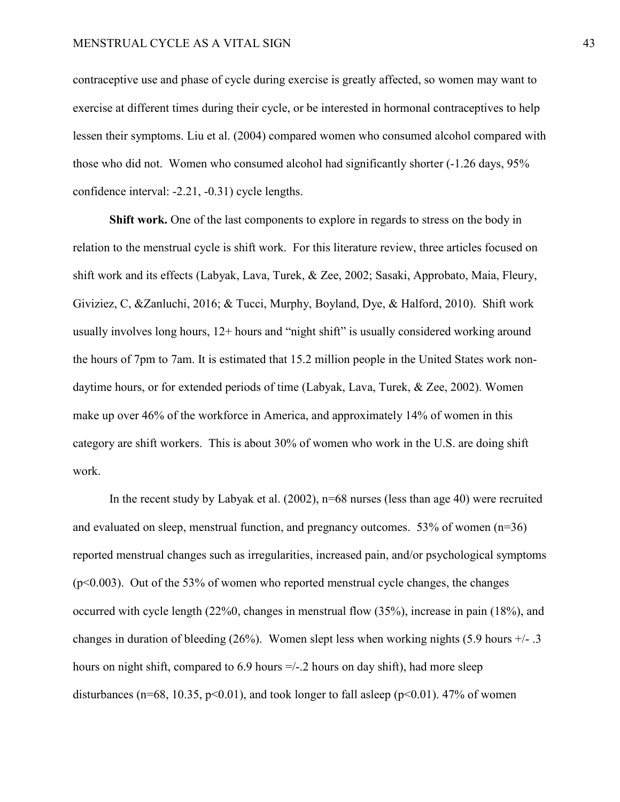contraceptive use and phase of cycle during exercise is greatly affected, so women may want to exercise at different times during their cycle, or be interested in hormonal contraceptives to help lessen their symptoms. Liu et al. (2004) compared women who consumed alcohol compared with those who did not. Women who consumed alcohol had significantly shorter (-1.26 days, 95% confidence interval: -2.21, -0.31) cycle lengths.

**Shift work.** One of the last components to explore in regards to stress on the body in relation to the menstrual cycle is shift work. For this literature review, three articles focused on shift work and its effects (Labyak, Lava, Turek, & Zee, 2002; Sasaki, Approbato, Maia, Fleury, Giviziez, C, &Zanluchi, 2016; & Tucci, Murphy, Boyland, Dye, & Halford, 2010). Shift work usually involves long hours, 12+ hours and "night shift" is usually considered working around the hours of 7pm to 7am. It is estimated that 15.2 million people in the United States work nondaytime hours, or for extended periods of time (Labyak, Lava, Turek, & Zee, 2002). Women make up over 46% of the workforce in America, and approximately 14% of women in this category are shift workers. This is about 30% of women who work in the U.S. are doing shift work.

In the recent study by Labyak et al. (2002), n=68 nurses (less than age 40) were recruited and evaluated on sleep, menstrual function, and pregnancy outcomes.  $53\%$  of women ( $n=36$ ) reported menstrual changes such as irregularities, increased pain, and/or psychological symptoms  $(p<0.003)$ . Out of the 53% of women who reported menstrual cycle changes, the changes occurred with cycle length (22%0, changes in menstrual flow (35%), increase in pain (18%), and changes in duration of bleeding  $(26%)$ . Women slept less when working nights  $(5.9 \text{ hours } +/- .3)$ hours on night shift, compared to 6.9 hours =/-.2 hours on day shift), had more sleep disturbances (n=68, 10.35, p<0.01), and took longer to fall asleep (p<0.01). 47% of women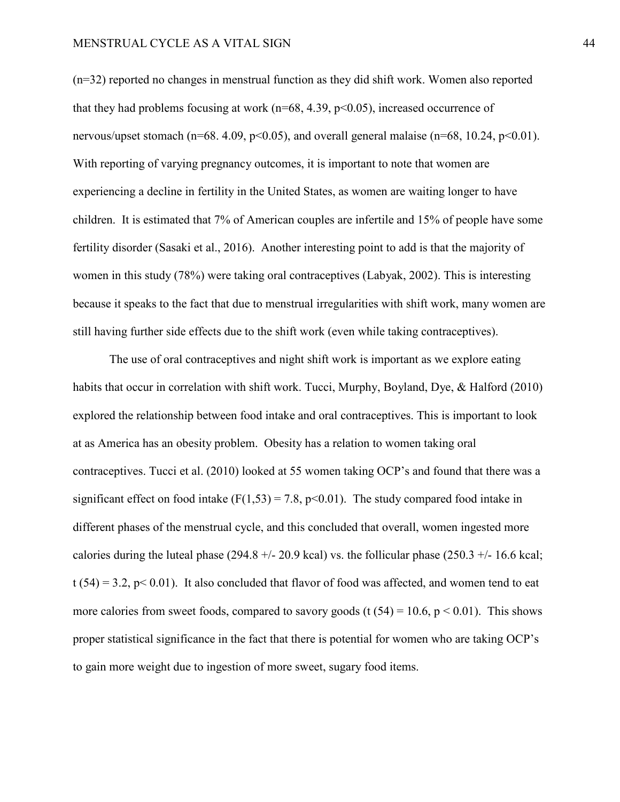(n=32) reported no changes in menstrual function as they did shift work. Women also reported that they had problems focusing at work ( $n=68, 4.39, p<0.05$ ), increased occurrence of nervous/upset stomach ( $n=68$ . 4.09,  $p<0.05$ ), and overall general malaise ( $n=68$ , 10.24,  $p<0.01$ ). With reporting of varying pregnancy outcomes, it is important to note that women are experiencing a decline in fertility in the United States, as women are waiting longer to have children. It is estimated that 7% of American couples are infertile and 15% of people have some fertility disorder (Sasaki et al., 2016). Another interesting point to add is that the majority of women in this study (78%) were taking oral contraceptives (Labyak, 2002). This is interesting because it speaks to the fact that due to menstrual irregularities with shift work, many women are still having further side effects due to the shift work (even while taking contraceptives).

The use of oral contraceptives and night shift work is important as we explore eating habits that occur in correlation with shift work. Tucci, Murphy, Boyland, Dye, & Halford (2010) explored the relationship between food intake and oral contraceptives. This is important to look at as America has an obesity problem. Obesity has a relation to women taking oral contraceptives. Tucci et al. (2010) looked at 55 women taking OCP's and found that there was a significant effect on food intake  $(F(1,53) = 7.8, p<0.01)$ . The study compared food intake in different phases of the menstrual cycle, and this concluded that overall, women ingested more calories during the luteal phase (294.8  $+/-$  20.9 kcal) vs. the follicular phase (250.3  $+/-$  16.6 kcal;  $t$  (54) = 3.2, p < 0.01). It also concluded that flavor of food was affected, and women tend to eat more calories from sweet foods, compared to savory goods (t  $(54) = 10.6$ ,  $p < 0.01$ ). This shows proper statistical significance in the fact that there is potential for women who are taking OCP's to gain more weight due to ingestion of more sweet, sugary food items.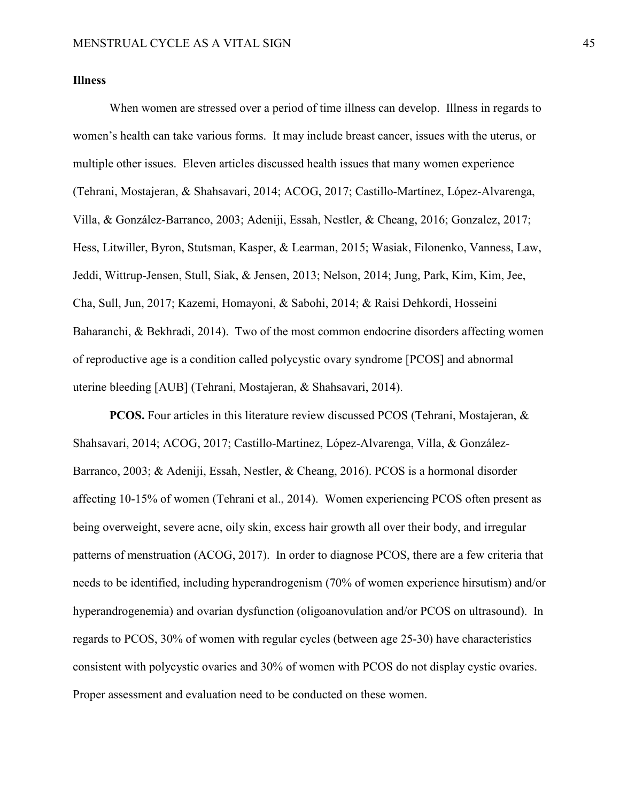### **Illness**

When women are stressed over a period of time illness can develop. Illness in regards to women's health can take various forms. It may include breast cancer, issues with the uterus, or multiple other issues. Eleven articles discussed health issues that many women experience (Tehrani, Mostajeran, & Shahsavari, 2014; ACOG, 2017; Castillo-Martínez, López-Alvarenga, Villa, & González-Barranco, 2003; Adeniji, Essah, Nestler, & Cheang, 2016; Gonzalez, 2017; Hess, Litwiller, Byron, Stutsman, Kasper, & Learman, 2015; Wasiak, Filonenko, Vanness, Law, Jeddi, Wittrup-Jensen, Stull, Siak, & Jensen, 2013; Nelson, 2014; Jung, Park, Kim, Kim, Jee, Cha, Sull, Jun, 2017; Kazemi, Homayoni, & Sabohi, 2014; & Raisi Dehkordi, Hosseini Baharanchi, & Bekhradi, 2014). Two of the most common endocrine disorders affecting women of reproductive age is a condition called polycystic ovary syndrome [PCOS] and abnormal uterine bleeding [AUB] (Tehrani, Mostajeran, & Shahsavari, 2014).

**PCOS.** Four articles in this literature review discussed PCOS (Tehrani, Mostajeran, & Shahsavari, 2014; ACOG, 2017; Castillo-Martinez, López-Alvarenga, Villa, & González-Barranco, 2003; & Adeniji, Essah, Nestler, & Cheang, 2016). PCOS is a hormonal disorder affecting 10-15% of women (Tehrani et al., 2014). Women experiencing PCOS often present as being overweight, severe acne, oily skin, excess hair growth all over their body, and irregular patterns of menstruation (ACOG, 2017). In order to diagnose PCOS, there are a few criteria that needs to be identified, including hyperandrogenism (70% of women experience hirsutism) and/or hyperandrogenemia) and ovarian dysfunction (oligoanovulation and/or PCOS on ultrasound). In regards to PCOS, 30% of women with regular cycles (between age 25-30) have characteristics consistent with polycystic ovaries and 30% of women with PCOS do not display cystic ovaries. Proper assessment and evaluation need to be conducted on these women.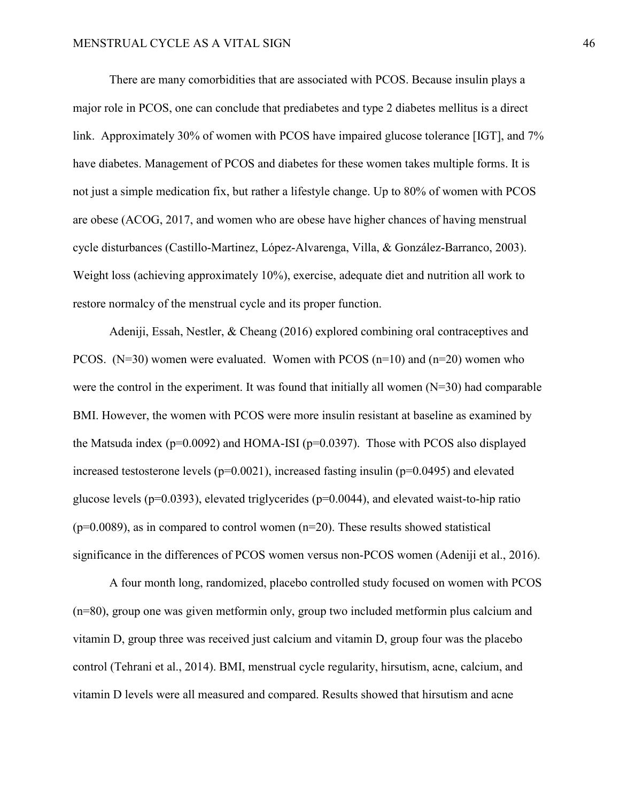There are many comorbidities that are associated with PCOS. Because insulin plays a major role in PCOS, one can conclude that prediabetes and type 2 diabetes mellitus is a direct link. Approximately 30% of women with PCOS have impaired glucose tolerance [IGT], and 7% have diabetes. Management of PCOS and diabetes for these women takes multiple forms. It is not just a simple medication fix, but rather a lifestyle change. Up to 80% of women with PCOS are obese (ACOG, 2017, and women who are obese have higher chances of having menstrual cycle disturbances (Castillo-Martinez, López-Alvarenga, Villa, & González-Barranco, 2003). Weight loss (achieving approximately 10%), exercise, adequate diet and nutrition all work to restore normalcy of the menstrual cycle and its proper function.

Adeniji, Essah, Nestler, & Cheang (2016) explored combining oral contraceptives and PCOS.  $(N=30)$  women were evaluated. Women with PCOS  $(n=10)$  and  $(n=20)$  women who were the control in the experiment. It was found that initially all women  $(N=30)$  had comparable BMI. However, the women with PCOS were more insulin resistant at baseline as examined by the Matsuda index ( $p=0.0092$ ) and HOMA-ISI ( $p=0.0397$ ). Those with PCOS also displayed increased testosterone levels ( $p=0.0021$ ), increased fasting insulin ( $p=0.0495$ ) and elevated glucose levels ( $p=0.0393$ ), elevated triglycerides ( $p=0.0044$ ), and elevated waist-to-hip ratio  $(p=0.0089)$ , as in compared to control women  $(n=20)$ . These results showed statistical significance in the differences of PCOS women versus non-PCOS women (Adeniji et al., 2016).

A four month long, randomized, placebo controlled study focused on women with PCOS (n=80), group one was given metformin only, group two included metformin plus calcium and vitamin D, group three was received just calcium and vitamin D, group four was the placebo control (Tehrani et al., 2014). BMI, menstrual cycle regularity, hirsutism, acne, calcium, and vitamin D levels were all measured and compared. Results showed that hirsutism and acne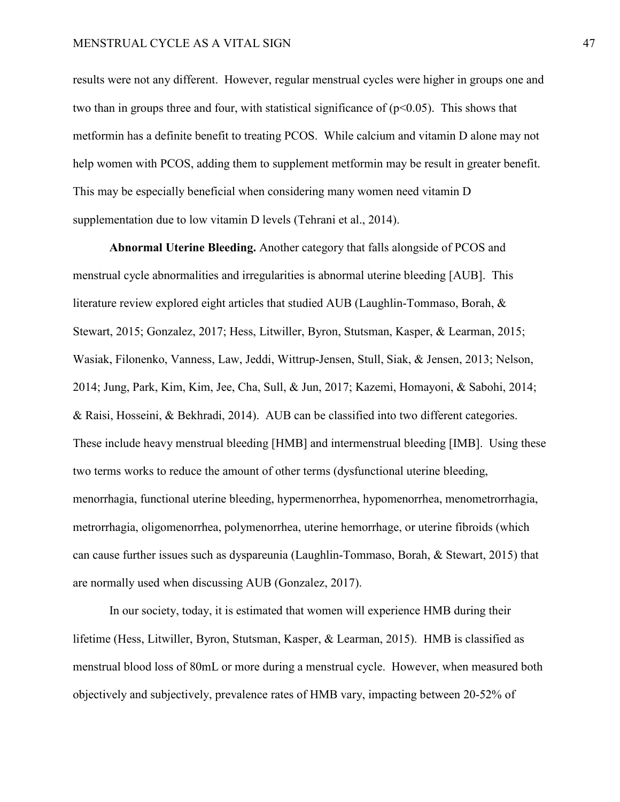results were not any different. However, regular menstrual cycles were higher in groups one and two than in groups three and four, with statistical significance of  $(p<0.05)$ . This shows that metformin has a definite benefit to treating PCOS. While calcium and vitamin D alone may not help women with PCOS, adding them to supplement metformin may be result in greater benefit. This may be especially beneficial when considering many women need vitamin D supplementation due to low vitamin D levels (Tehrani et al., 2014).

**Abnormal Uterine Bleeding.** Another category that falls alongside of PCOS and menstrual cycle abnormalities and irregularities is abnormal uterine bleeding [AUB]. This literature review explored eight articles that studied AUB (Laughlin-Tommaso, Borah, & Stewart, 2015; Gonzalez, 2017; Hess, Litwiller, Byron, Stutsman, Kasper, & Learman, 2015; Wasiak, Filonenko, Vanness, Law, Jeddi, Wittrup-Jensen, Stull, Siak, & Jensen, 2013; Nelson, 2014; Jung, Park, Kim, Kim, Jee, Cha, Sull, & Jun, 2017; Kazemi, Homayoni, & Sabohi, 2014; & Raisi, Hosseini, & Bekhradi, 2014). AUB can be classified into two different categories. These include heavy menstrual bleeding [HMB] and intermenstrual bleeding [IMB]. Using these two terms works to reduce the amount of other terms (dysfunctional uterine bleeding, menorrhagia, functional uterine bleeding, hypermenorrhea, hypomenorrhea, menometrorrhagia, metrorrhagia, oligomenorrhea, polymenorrhea, uterine hemorrhage, or uterine fibroids (which can cause further issues such as dyspareunia (Laughlin-Tommaso, Borah, & Stewart, 2015) that are normally used when discussing AUB (Gonzalez, 2017).

In our society, today, it is estimated that women will experience HMB during their lifetime (Hess, Litwiller, Byron, Stutsman, Kasper, & Learman, 2015). HMB is classified as menstrual blood loss of 80mL or more during a menstrual cycle. However, when measured both objectively and subjectively, prevalence rates of HMB vary, impacting between 20-52% of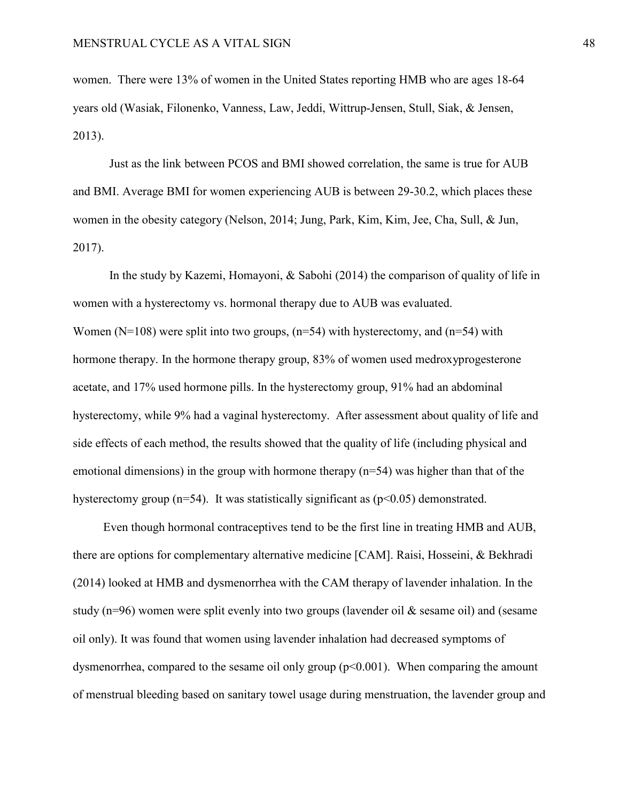women. There were 13% of women in the United States reporting HMB who are ages 18-64 years old (Wasiak, Filonenko, Vanness, Law, Jeddi, Wittrup-Jensen, Stull, Siak, & Jensen, 2013).

Just as the link between PCOS and BMI showed correlation, the same is true for AUB and BMI. Average BMI for women experiencing AUB is between 29-30.2, which places these women in the obesity category (Nelson, 2014; Jung, Park, Kim, Kim, Jee, Cha, Sull, & Jun, 2017).

In the study by Kazemi, Homayoni, & Sabohi (2014) the comparison of quality of life in women with a hysterectomy vs. hormonal therapy due to AUB was evaluated. Women ( $N=108$ ) were split into two groups, ( $n=54$ ) with hysterectomy, and ( $n=54$ ) with hormone therapy. In the hormone therapy group, 83% of women used medroxyprogesterone acetate, and 17% used hormone pills. In the hysterectomy group, 91% had an abdominal hysterectomy, while 9% had a vaginal hysterectomy. After assessment about quality of life and side effects of each method, the results showed that the quality of life (including physical and emotional dimensions) in the group with hormone therapy (n=54) was higher than that of the hysterectomy group ( $n=54$ ). It was statistically significant as ( $p<0.05$ ) demonstrated.

 Even though hormonal contraceptives tend to be the first line in treating HMB and AUB, there are options for complementary alternative medicine [CAM]. Raisi, Hosseini, & Bekhradi (2014) looked at HMB and dysmenorrhea with the CAM therapy of lavender inhalation. In the study (n=96) women were split evenly into two groups (lavender oil & sesame oil) and (sesame oil only). It was found that women using lavender inhalation had decreased symptoms of dysmenorrhea, compared to the sesame oil only group  $(p<0.001)$ . When comparing the amount of menstrual bleeding based on sanitary towel usage during menstruation, the lavender group and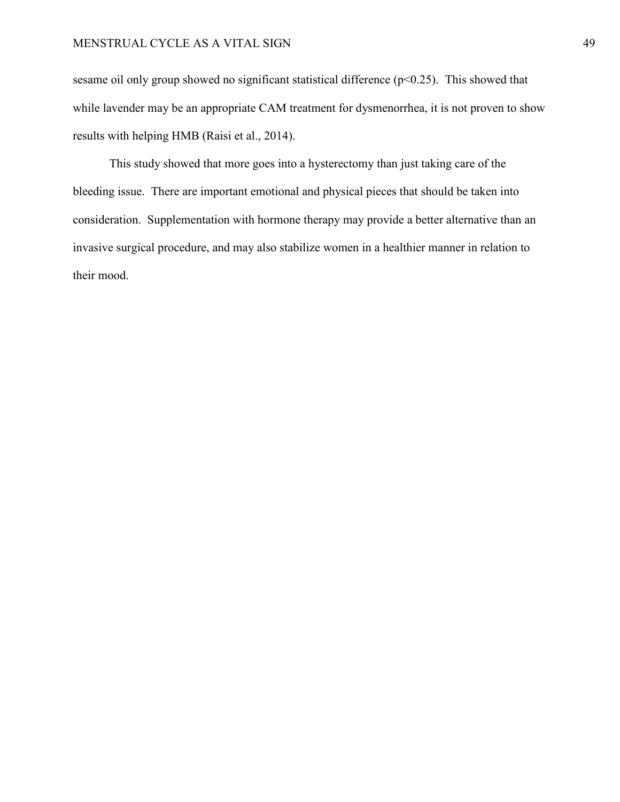sesame oil only group showed no significant statistical difference  $(p<0.25)$ . This showed that while lavender may be an appropriate CAM treatment for dysmenorrhea, it is not proven to show results with helping HMB (Raisi et al., 2014).

This study showed that more goes into a hysterectomy than just taking care of the bleeding issue. There are important emotional and physical pieces that should be taken into consideration. Supplementation with hormone therapy may provide a better alternative than an invasive surgical procedure, and may also stabilize women in a healthier manner in relation to their mood.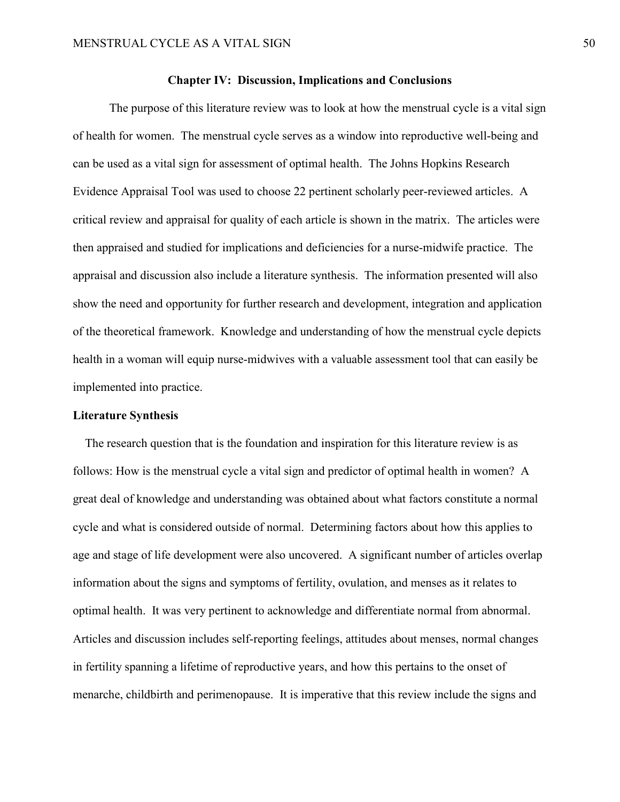#### **Chapter IV: Discussion, Implications and Conclusions**

The purpose of this literature review was to look at how the menstrual cycle is a vital sign of health for women. The menstrual cycle serves as a window into reproductive well-being and can be used as a vital sign for assessment of optimal health. The Johns Hopkins Research Evidence Appraisal Tool was used to choose 22 pertinent scholarly peer-reviewed articles. A critical review and appraisal for quality of each article is shown in the matrix. The articles were then appraised and studied for implications and deficiencies for a nurse-midwife practice. The appraisal and discussion also include a literature synthesis. The information presented will also show the need and opportunity for further research and development, integration and application of the theoretical framework. Knowledge and understanding of how the menstrual cycle depicts health in a woman will equip nurse-midwives with a valuable assessment tool that can easily be implemented into practice.

#### **Literature Synthesis**

The research question that is the foundation and inspiration for this literature review is as follows: How is the menstrual cycle a vital sign and predictor of optimal health in women? A great deal of knowledge and understanding was obtained about what factors constitute a normal cycle and what is considered outside of normal. Determining factors about how this applies to age and stage of life development were also uncovered. A significant number of articles overlap information about the signs and symptoms of fertility, ovulation, and menses as it relates to optimal health. It was very pertinent to acknowledge and differentiate normal from abnormal. Articles and discussion includes self-reporting feelings, attitudes about menses, normal changes in fertility spanning a lifetime of reproductive years, and how this pertains to the onset of menarche, childbirth and perimenopause. It is imperative that this review include the signs and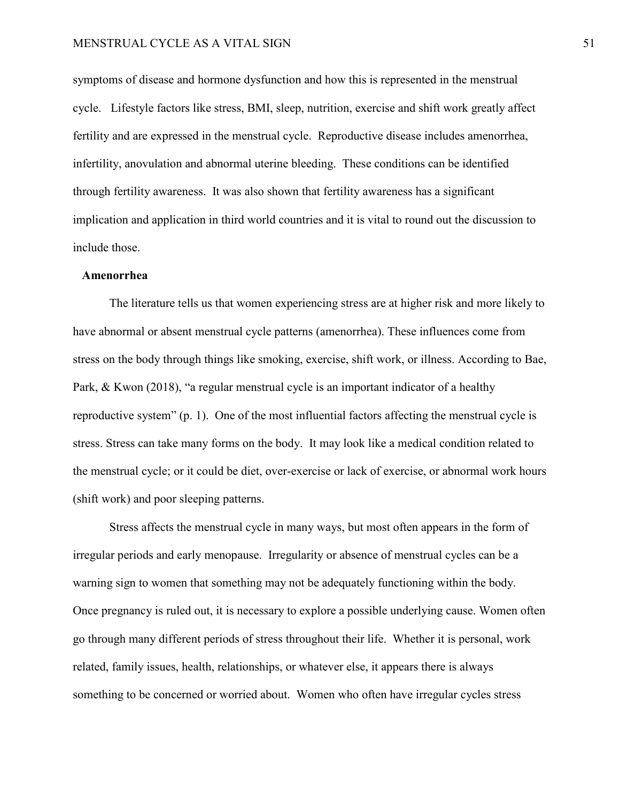symptoms of disease and hormone dysfunction and how this is represented in the menstrual cycle. Lifestyle factors like stress, BMI, sleep, nutrition, exercise and shift work greatly affect fertility and are expressed in the menstrual cycle. Reproductive disease includes amenorrhea, infertility, anovulation and abnormal uterine bleeding. These conditions can be identified through fertility awareness. It was also shown that fertility awareness has a significant implication and application in third world countries and it is vital to round out the discussion to include those.

#### **Amenorrhea**

The literature tells us that women experiencing stress are at higher risk and more likely to have abnormal or absent menstrual cycle patterns (amenorrhea). These influences come from stress on the body through things like smoking, exercise, shift work, or illness. According to Bae, Park, & Kwon (2018), "a regular menstrual cycle is an important indicator of a healthy reproductive system" (p. 1). One of the most influential factors affecting the menstrual cycle is stress. Stress can take many forms on the body. It may look like a medical condition related to the menstrual cycle; or it could be diet, over-exercise or lack of exercise, or abnormal work hours (shift work) and poor sleeping patterns.

Stress affects the menstrual cycle in many ways, but most often appears in the form of irregular periods and early menopause. Irregularity or absence of menstrual cycles can be a warning sign to women that something may not be adequately functioning within the body. Once pregnancy is ruled out, it is necessary to explore a possible underlying cause. Women often go through many different periods of stress throughout their life. Whether it is personal, work related, family issues, health, relationships, or whatever else, it appears there is always something to be concerned or worried about. Women who often have irregular cycles stress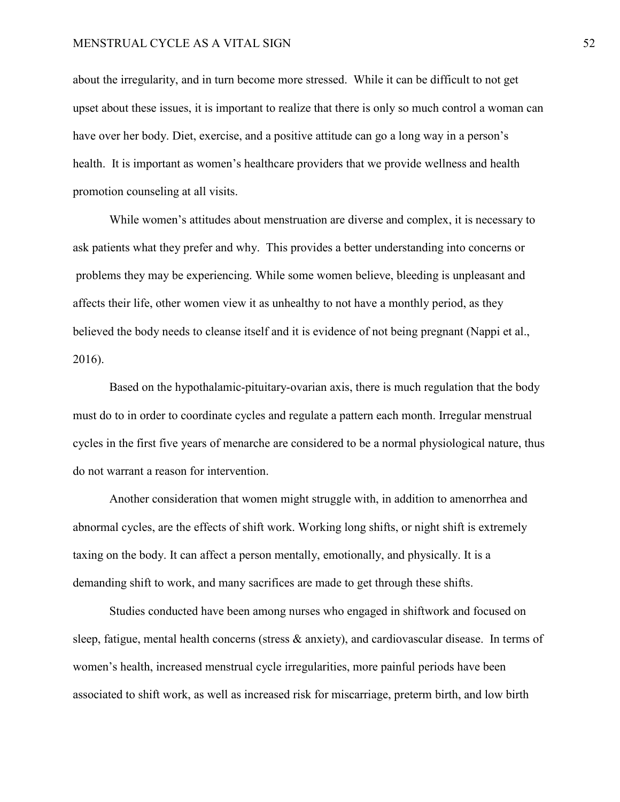about the irregularity, and in turn become more stressed. While it can be difficult to not get upset about these issues, it is important to realize that there is only so much control a woman can have over her body. Diet, exercise, and a positive attitude can go a long way in a person's health. It is important as women's healthcare providers that we provide wellness and health promotion counseling at all visits.

While women's attitudes about menstruation are diverse and complex, it is necessary to ask patients what they prefer and why. This provides a better understanding into concerns or problems they may be experiencing. While some women believe, bleeding is unpleasant and affects their life, other women view it as unhealthy to not have a monthly period, as they believed the body needs to cleanse itself and it is evidence of not being pregnant (Nappi et al., 2016).

Based on the hypothalamic-pituitary-ovarian axis, there is much regulation that the body must do to in order to coordinate cycles and regulate a pattern each month. Irregular menstrual cycles in the first five years of menarche are considered to be a normal physiological nature, thus do not warrant a reason for intervention.

Another consideration that women might struggle with, in addition to amenorrhea and abnormal cycles, are the effects of shift work. Working long shifts, or night shift is extremely taxing on the body. It can affect a person mentally, emotionally, and physically. It is a demanding shift to work, and many sacrifices are made to get through these shifts.

Studies conducted have been among nurses who engaged in shiftwork and focused on sleep, fatigue, mental health concerns (stress & anxiety), and cardiovascular disease. In terms of women's health, increased menstrual cycle irregularities, more painful periods have been associated to shift work, as well as increased risk for miscarriage, preterm birth, and low birth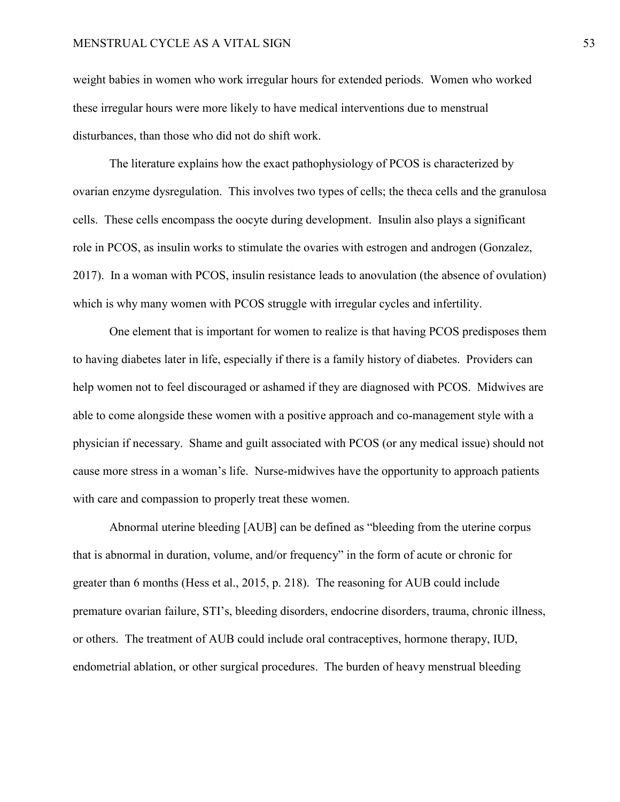weight babies in women who work irregular hours for extended periods. Women who worked these irregular hours were more likely to have medical interventions due to menstrual disturbances, than those who did not do shift work.

The literature explains how the exact pathophysiology of PCOS is characterized by ovarian enzyme dysregulation. This involves two types of cells; the theca cells and the granulosa cells. These cells encompass the oocyte during development. Insulin also plays a significant role in PCOS, as insulin works to stimulate the ovaries with estrogen and androgen (Gonzalez, 2017). In a woman with PCOS, insulin resistance leads to anovulation (the absence of ovulation) which is why many women with PCOS struggle with irregular cycles and infertility.

One element that is important for women to realize is that having PCOS predisposes them to having diabetes later in life, especially if there is a family history of diabetes. Providers can help women not to feel discouraged or ashamed if they are diagnosed with PCOS. Midwives are able to come alongside these women with a positive approach and co-management style with a physician if necessary. Shame and guilt associated with PCOS (or any medical issue) should not cause more stress in a woman's life. Nurse-midwives have the opportunity to approach patients with care and compassion to properly treat these women.

Abnormal uterine bleeding [AUB] can be defined as "bleeding from the uterine corpus that is abnormal in duration, volume, and/or frequency" in the form of acute or chronic for greater than 6 months (Hess et al., 2015, p. 218). The reasoning for AUB could include premature ovarian failure, STI's, bleeding disorders, endocrine disorders, trauma, chronic illness, or others. The treatment of AUB could include oral contraceptives, hormone therapy, IUD, endometrial ablation, or other surgical procedures. The burden of heavy menstrual bleeding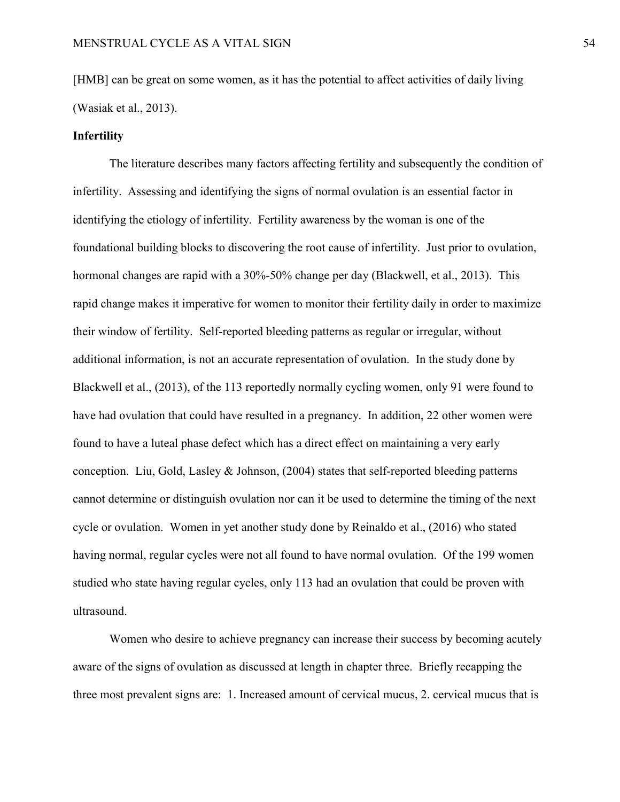[HMB] can be great on some women, as it has the potential to affect activities of daily living (Wasiak et al., 2013).

#### **Infertility**

The literature describes many factors affecting fertility and subsequently the condition of infertility. Assessing and identifying the signs of normal ovulation is an essential factor in identifying the etiology of infertility. Fertility awareness by the woman is one of the foundational building blocks to discovering the root cause of infertility. Just prior to ovulation, hormonal changes are rapid with a 30%-50% change per day (Blackwell, et al., 2013). This rapid change makes it imperative for women to monitor their fertility daily in order to maximize their window of fertility. Self-reported bleeding patterns as regular or irregular, without additional information, is not an accurate representation of ovulation. In the study done by Blackwell et al., (2013), of the 113 reportedly normally cycling women, only 91 were found to have had ovulation that could have resulted in a pregnancy. In addition, 22 other women were found to have a luteal phase defect which has a direct effect on maintaining a very early conception. Liu, Gold, Lasley & Johnson, (2004) states that self-reported bleeding patterns cannot determine or distinguish ovulation nor can it be used to determine the timing of the next cycle or ovulation. Women in yet another study done by Reinaldo et al., (2016) who stated having normal, regular cycles were not all found to have normal ovulation. Of the 199 women studied who state having regular cycles, only 113 had an ovulation that could be proven with ultrasound.

Women who desire to achieve pregnancy can increase their success by becoming acutely aware of the signs of ovulation as discussed at length in chapter three. Briefly recapping the three most prevalent signs are: 1. Increased amount of cervical mucus, 2. cervical mucus that is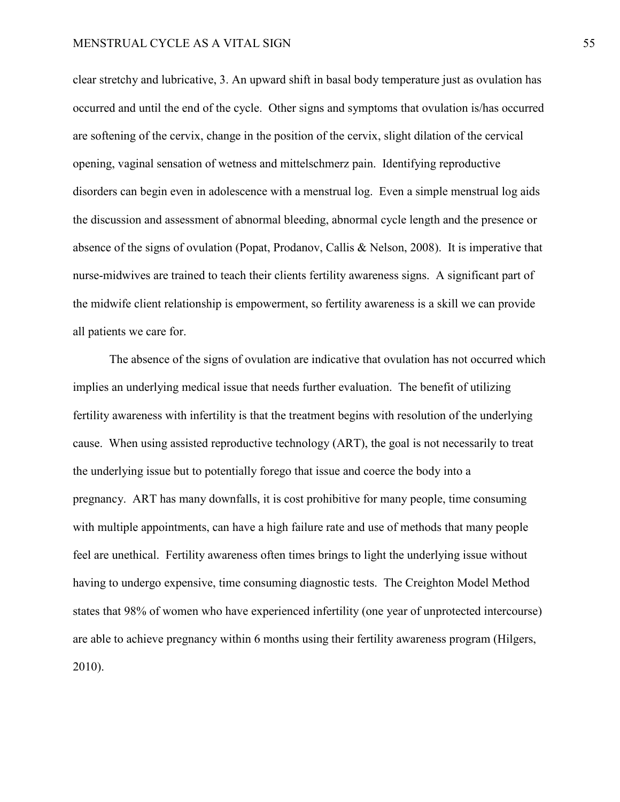clear stretchy and lubricative, 3. An upward shift in basal body temperature just as ovulation has occurred and until the end of the cycle. Other signs and symptoms that ovulation is/has occurred are softening of the cervix, change in the position of the cervix, slight dilation of the cervical opening, vaginal sensation of wetness and mittelschmerz pain. Identifying reproductive disorders can begin even in adolescence with a menstrual log. Even a simple menstrual log aids the discussion and assessment of abnormal bleeding, abnormal cycle length and the presence or absence of the signs of ovulation (Popat, Prodanov, Callis & Nelson, 2008). It is imperative that nurse-midwives are trained to teach their clients fertility awareness signs. A significant part of the midwife client relationship is empowerment, so fertility awareness is a skill we can provide all patients we care for.

The absence of the signs of ovulation are indicative that ovulation has not occurred which implies an underlying medical issue that needs further evaluation. The benefit of utilizing fertility awareness with infertility is that the treatment begins with resolution of the underlying cause. When using assisted reproductive technology (ART), the goal is not necessarily to treat the underlying issue but to potentially forego that issue and coerce the body into a pregnancy. ART has many downfalls, it is cost prohibitive for many people, time consuming with multiple appointments, can have a high failure rate and use of methods that many people feel are unethical. Fertility awareness often times brings to light the underlying issue without having to undergo expensive, time consuming diagnostic tests. The Creighton Model Method states that 98% of women who have experienced infertility (one year of unprotected intercourse) are able to achieve pregnancy within 6 months using their fertility awareness program (Hilgers, 2010).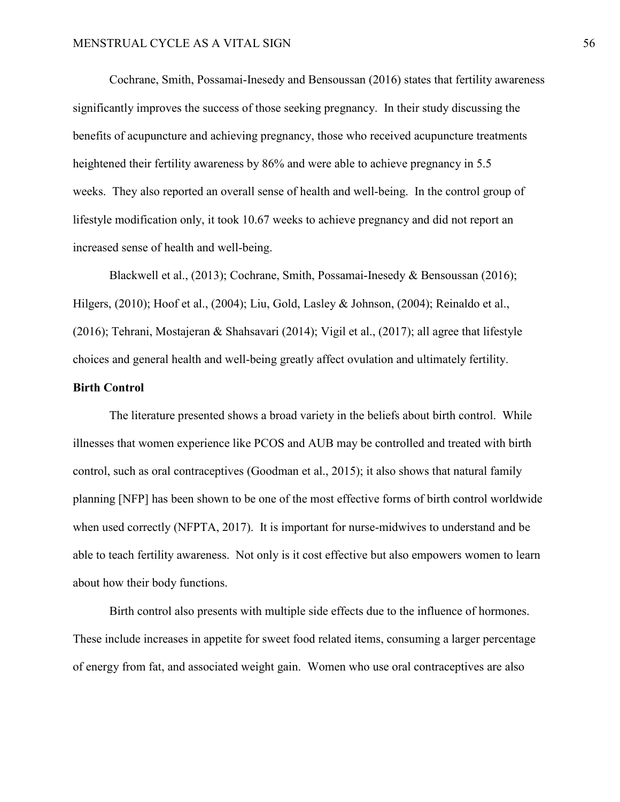Cochrane, Smith, Possamai-Inesedy and Bensoussan (2016) states that fertility awareness significantly improves the success of those seeking pregnancy. In their study discussing the benefits of acupuncture and achieving pregnancy, those who received acupuncture treatments heightened their fertility awareness by 86% and were able to achieve pregnancy in 5.5 weeks. They also reported an overall sense of health and well-being. In the control group of lifestyle modification only, it took 10.67 weeks to achieve pregnancy and did not report an increased sense of health and well-being.

Blackwell et al., (2013); Cochrane, Smith, Possamai-Inesedy & Bensoussan (2016); Hilgers, (2010); Hoof et al., (2004); Liu, Gold, Lasley & Johnson, (2004); Reinaldo et al., (2016); Tehrani, Mostajeran & Shahsavari (2014); Vigil et al., (2017); all agree that lifestyle choices and general health and well-being greatly affect ovulation and ultimately fertility.

#### **Birth Control**

The literature presented shows a broad variety in the beliefs about birth control. While illnesses that women experience like PCOS and AUB may be controlled and treated with birth control, such as oral contraceptives (Goodman et al., 2015); it also shows that natural family planning [NFP] has been shown to be one of the most effective forms of birth control worldwide when used correctly (NFPTA, 2017). It is important for nurse-midwives to understand and be able to teach fertility awareness. Not only is it cost effective but also empowers women to learn about how their body functions.

Birth control also presents with multiple side effects due to the influence of hormones. These include increases in appetite for sweet food related items, consuming a larger percentage of energy from fat, and associated weight gain. Women who use oral contraceptives are also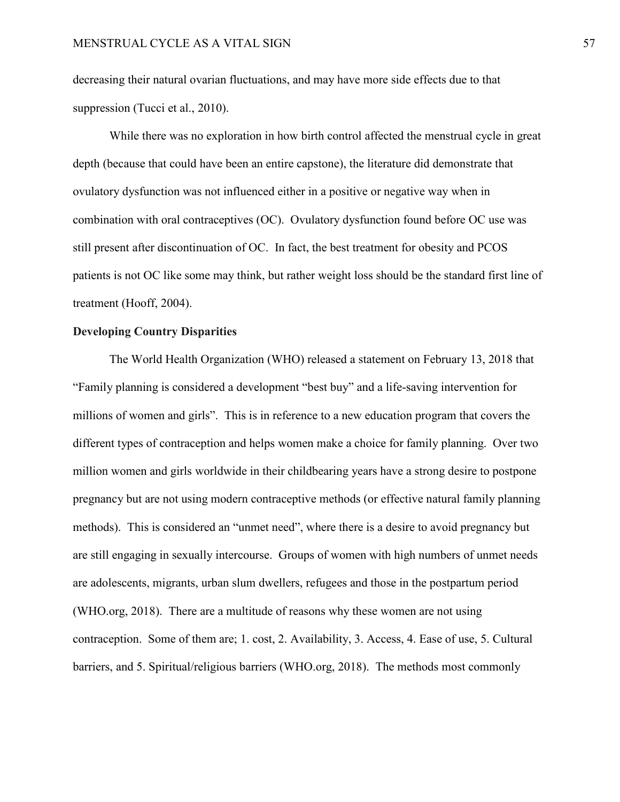decreasing their natural ovarian fluctuations, and may have more side effects due to that suppression (Tucci et al., 2010).

While there was no exploration in how birth control affected the menstrual cycle in great depth (because that could have been an entire capstone), the literature did demonstrate that ovulatory dysfunction was not influenced either in a positive or negative way when in combination with oral contraceptives (OC). Ovulatory dysfunction found before OC use was still present after discontinuation of OC. In fact, the best treatment for obesity and PCOS patients is not OC like some may think, but rather weight loss should be the standard first line of treatment (Hooff, 2004).

#### **Developing Country Disparities**

The World Health Organization (WHO) released a statement on February 13, 2018 that "Family planning is considered a development "best buy" and a life-saving intervention for millions of women and girls". This is in reference to a new education program that covers the different types of contraception and helps women make a choice for family planning. Over two million women and girls worldwide in their childbearing years have a strong desire to postpone pregnancy but are not using modern contraceptive methods (or effective natural family planning methods). This is considered an "unmet need", where there is a desire to avoid pregnancy but are still engaging in sexually intercourse. Groups of women with high numbers of unmet needs are adolescents, migrants, urban slum dwellers, refugees and those in the postpartum period (WHO.org, 2018). There are a multitude of reasons why these women are not using contraception. Some of them are; 1. cost, 2. Availability, 3. Access, 4. Ease of use, 5. Cultural barriers, and 5. Spiritual/religious barriers (WHO.org, 2018). The methods most commonly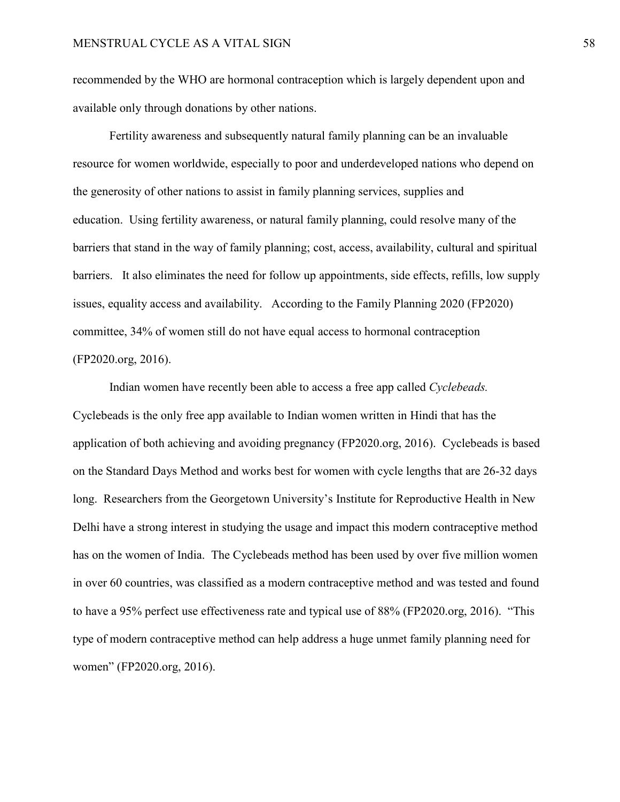recommended by the WHO are hormonal contraception which is largely dependent upon and available only through donations by other nations.

Fertility awareness and subsequently natural family planning can be an invaluable resource for women worldwide, especially to poor and underdeveloped nations who depend on the generosity of other nations to assist in family planning services, supplies and education. Using fertility awareness, or natural family planning, could resolve many of the barriers that stand in the way of family planning; cost, access, availability, cultural and spiritual barriers. It also eliminates the need for follow up appointments, side effects, refills, low supply issues, equality access and availability. According to the Family Planning 2020 (FP2020) committee, 34% of women still do not have equal access to hormonal contraception (FP2020.org, 2016).

Indian women have recently been able to access a free app called *Cyclebeads.* Cyclebeads is the only free app available to Indian women written in Hindi that has the application of both achieving and avoiding pregnancy (FP2020.org, 2016). Cyclebeads is based on the Standard Days Method and works best for women with cycle lengths that are 26-32 days long. Researchers from the Georgetown University's Institute for Reproductive Health in New Delhi have a strong interest in studying the usage and impact this modern contraceptive method has on the women of India. The Cyclebeads method has been used by over five million women in over 60 countries, was classified as a modern contraceptive method and was tested and found to have a 95% perfect use effectiveness rate and typical use of 88% (FP2020.org, 2016). "This type of modern contraceptive method can help address a huge unmet family planning need for women" (FP2020.org, 2016).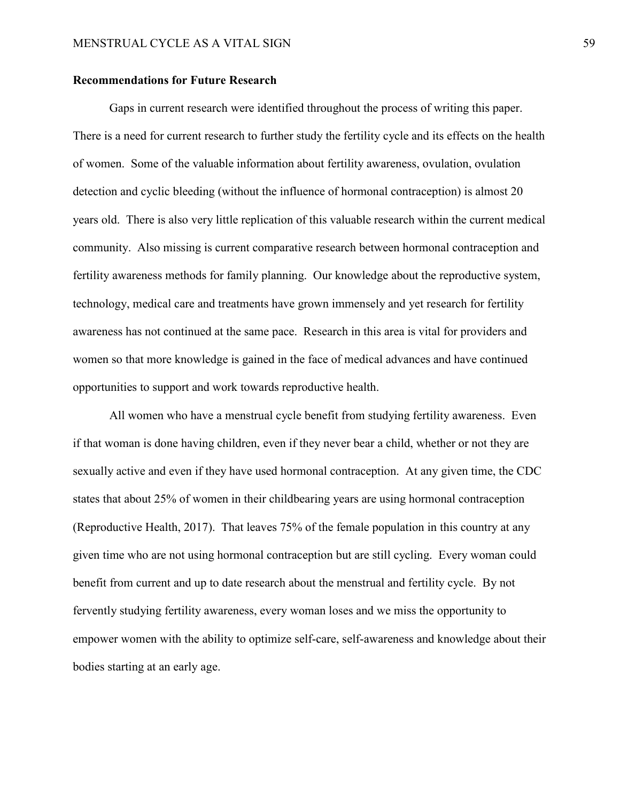#### **Recommendations for Future Research**

Gaps in current research were identified throughout the process of writing this paper. There is a need for current research to further study the fertility cycle and its effects on the health of women. Some of the valuable information about fertility awareness, ovulation, ovulation detection and cyclic bleeding (without the influence of hormonal contraception) is almost 20 years old. There is also very little replication of this valuable research within the current medical community. Also missing is current comparative research between hormonal contraception and fertility awareness methods for family planning. Our knowledge about the reproductive system, technology, medical care and treatments have grown immensely and yet research for fertility awareness has not continued at the same pace. Research in this area is vital for providers and women so that more knowledge is gained in the face of medical advances and have continued opportunities to support and work towards reproductive health.

All women who have a menstrual cycle benefit from studying fertility awareness. Even if that woman is done having children, even if they never bear a child, whether or not they are sexually active and even if they have used hormonal contraception. At any given time, the CDC states that about 25% of women in their childbearing years are using hormonal contraception (Reproductive Health, 2017). That leaves 75% of the female population in this country at any given time who are not using hormonal contraception but are still cycling. Every woman could benefit from current and up to date research about the menstrual and fertility cycle. By not fervently studying fertility awareness, every woman loses and we miss the opportunity to empower women with the ability to optimize self-care, self-awareness and knowledge about their bodies starting at an early age.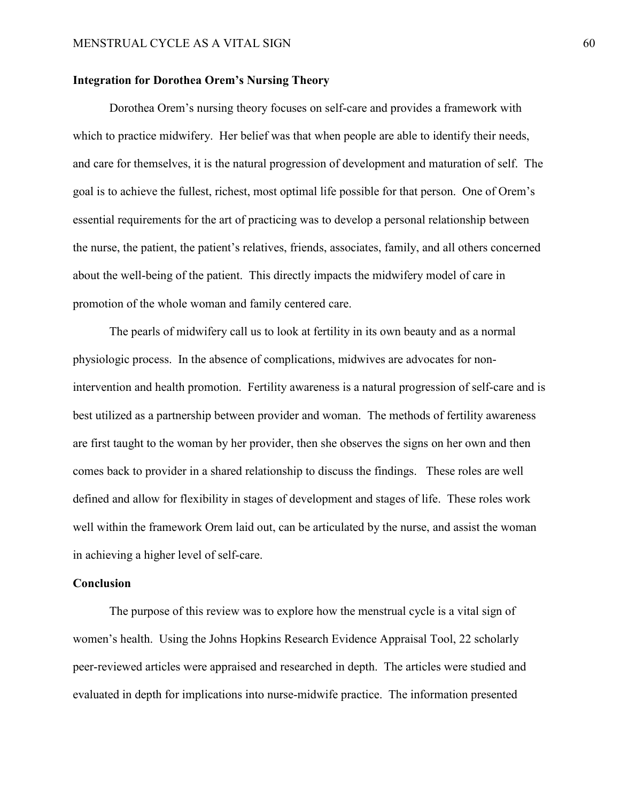#### **Integration for Dorothea Orem's Nursing Theory**

Dorothea Orem's nursing theory focuses on self-care and provides a framework with which to practice midwifery. Her belief was that when people are able to identify their needs, and care for themselves, it is the natural progression of development and maturation of self. The goal is to achieve the fullest, richest, most optimal life possible for that person. One of Orem's essential requirements for the art of practicing was to develop a personal relationship between the nurse, the patient, the patient's relatives, friends, associates, family, and all others concerned about the well-being of the patient. This directly impacts the midwifery model of care in promotion of the whole woman and family centered care.

The pearls of midwifery call us to look at fertility in its own beauty and as a normal physiologic process. In the absence of complications, midwives are advocates for nonintervention and health promotion. Fertility awareness is a natural progression of self-care and is best utilized as a partnership between provider and woman. The methods of fertility awareness are first taught to the woman by her provider, then she observes the signs on her own and then comes back to provider in a shared relationship to discuss the findings. These roles are well defined and allow for flexibility in stages of development and stages of life. These roles work well within the framework Orem laid out, can be articulated by the nurse, and assist the woman in achieving a higher level of self-care.

#### **Conclusion**

The purpose of this review was to explore how the menstrual cycle is a vital sign of women's health. Using the Johns Hopkins Research Evidence Appraisal Tool, 22 scholarly peer-reviewed articles were appraised and researched in depth. The articles were studied and evaluated in depth for implications into nurse-midwife practice. The information presented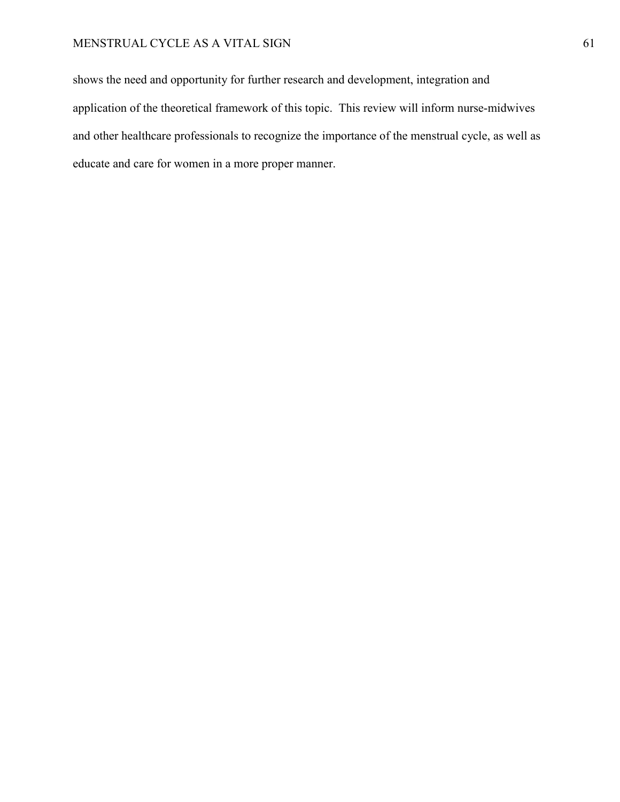shows the need and opportunity for further research and development, integration and application of the theoretical framework of this topic. This review will inform nurse-midwives and other healthcare professionals to recognize the importance of the menstrual cycle, as well as educate and care for women in a more proper manner.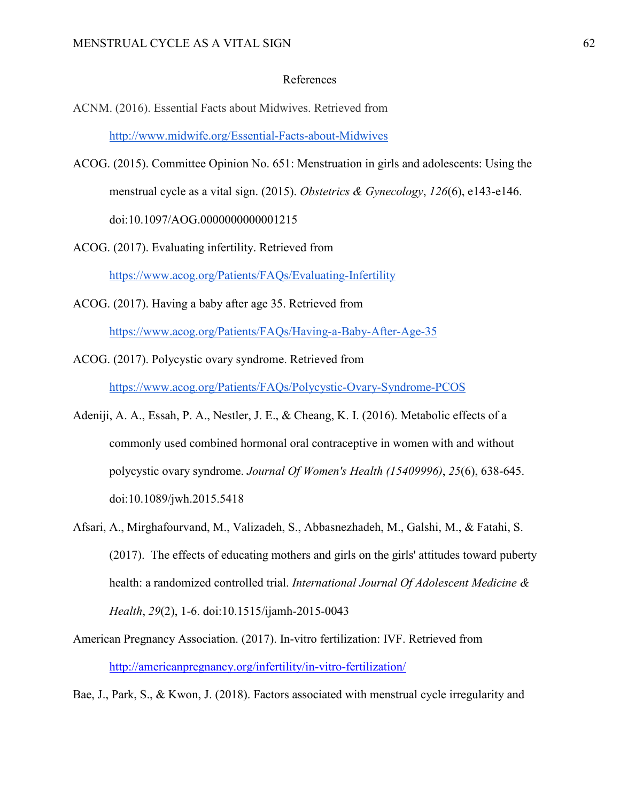#### References

ACNM. (2016). Essential Facts about Midwives. Retrieved from

<http://www.midwife.org/Essential-Facts-about-Midwives>

- ACOG. (2015). Committee Opinion No. 651: Menstruation in girls and adolescents: Using the menstrual cycle as a vital sign. (2015). *Obstetrics & Gynecology*, *126*(6), e143-e146. doi:10.1097/AOG.0000000000001215
- ACOG. (2017). Evaluating infertility. Retrieved from <https://www.acog.org/Patients/FAQs/Evaluating-Infertility>
- ACOG. (2017). Having a baby after age 35. Retrieved from

<https://www.acog.org/Patients/FAQs/Having-a-Baby-After-Age-35>

- ACOG. (2017). Polycystic ovary syndrome. Retrieved from <https://www.acog.org/Patients/FAQs/Polycystic-Ovary-Syndrome-PCOS>
- Adeniji, A. A., Essah, P. A., Nestler, J. E., & Cheang, K. I. (2016). Metabolic effects of a commonly used combined hormonal oral contraceptive in women with and without polycystic ovary syndrome. *Journal Of Women's Health (15409996)*, *25*(6), 638-645. doi:10.1089/jwh.2015.5418
- Afsari, A., Mirghafourvand, M., Valizadeh, S., Abbasnezhadeh, M., Galshi, M., & Fatahi, S. (2017). The effects of educating mothers and girls on the girls' attitudes toward puberty health: a randomized controlled trial. *International Journal Of Adolescent Medicine & Health*, *29*(2), 1-6. doi:10.1515/ijamh-2015-0043
- American Pregnancy Association. (2017). In-vitro fertilization: IVF. Retrieved from <http://americanpregnancy.org/infertility/in-vitro-fertilization/>

Bae, J., Park, S., & Kwon, J. (2018). Factors associated with menstrual cycle irregularity and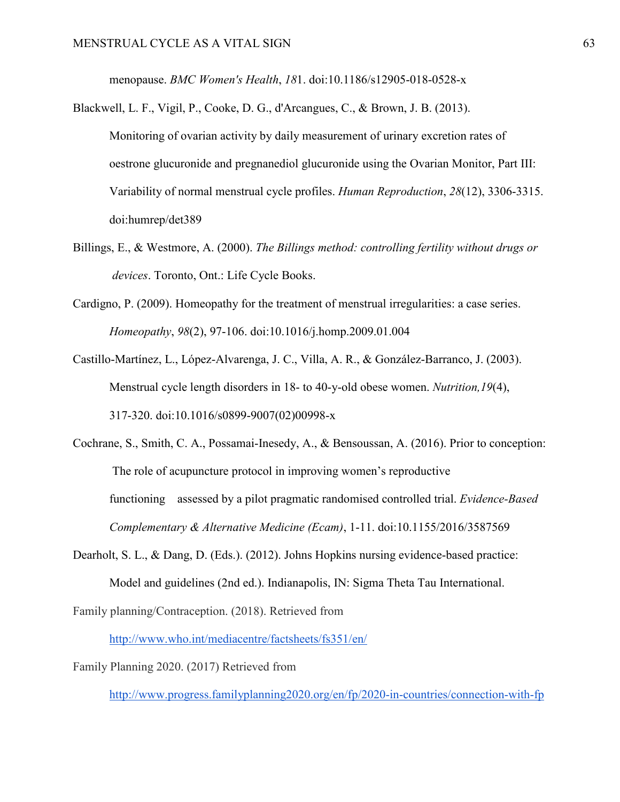menopause. *BMC Women's Health*, *18*1. doi:10.1186/s12905-018-0528-x

- Blackwell, L. F., Vigil, P., Cooke, D. G., d'Arcangues, C., & Brown, J. B. (2013). Monitoring of ovarian activity by daily measurement of urinary excretion rates of oestrone glucuronide and pregnanediol glucuronide using the Ovarian Monitor, Part III: Variability of normal menstrual cycle profiles. *Human Reproduction*, *28*(12), 3306-3315. doi:humrep/det389
- Billings, E., & Westmore, A. (2000). *The Billings method: controlling fertility without drugs or devices*. Toronto, Ont.: Life Cycle Books.
- Cardigno, P. (2009). Homeopathy for the treatment of menstrual irregularities: a case series.  *Homeopathy*, *98*(2), 97-106. doi:10.1016/j.homp.2009.01.004
- Castillo-Martínez, L., López-Alvarenga, J. C., Villa, A. R., & González-Barranco, J. (2003). Menstrual cycle length disorders in 18- to 40-y-old obese women. *Nutrition,19*(4), 317-320. doi:10.1016/s0899-9007(02)00998-x
- Cochrane, S., Smith, C. A., Possamai-Inesedy, A., & Bensoussan, A. (2016). Prior to conception: The role of acupuncture protocol in improving women's reproductive functioning assessed by a pilot pragmatic randomised controlled trial. *Evidence-Based Complementary & Alternative Medicine (Ecam)*, 1-11. doi:10.1155/2016/3587569
- Dearholt, S. L., & Dang, D. (Eds.). (2012). Johns Hopkins nursing evidence-based practice: Model and guidelines (2nd ed.). Indianapolis, IN: Sigma Theta Tau International.

Family planning/Contraception. (2018). Retrieved fro[m](http://www.who.int/mediacentre/factsheets/fs351/en/)

<http://www.who.int/mediacentre/factsheets/fs351/en/>

Family Planning 2020. (2017) Retrieved from

<http://www.progress.familyplanning2020.org/en/fp/2020-in-countries/connection-with-fp>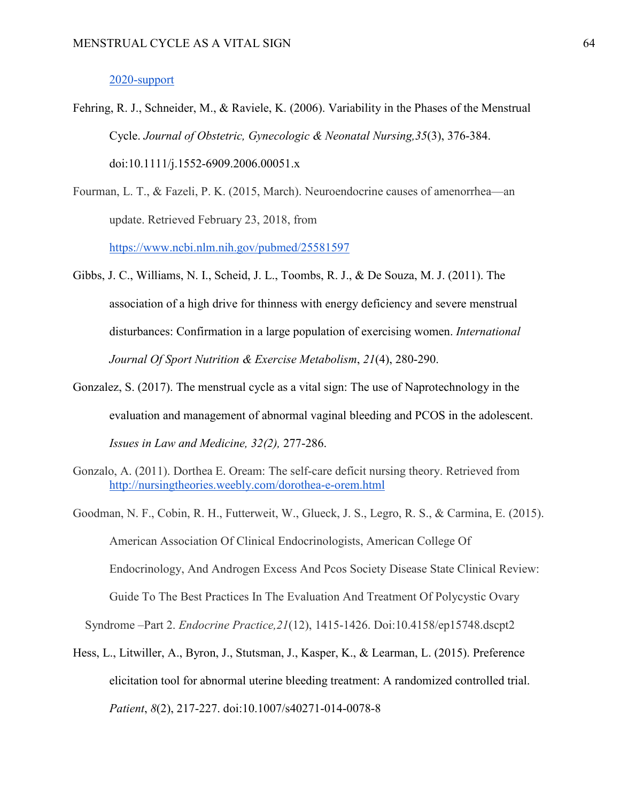#### 2020-support

- Fehring, R. J., Schneider, M., & Raviele, K. (2006). Variability in the Phases of the Menstrual Cycle. *Journal of Obstetric, Gynecologic & Neonatal Nursing,35*(3), 376-384. doi:10.1111/j.1552-6909.2006.00051.x
- Fourman, L. T., & Fazeli, P. K. (2015, March). Neuroendocrine causes of amenorrhea—an update. Retrieved February 23, 2018, from

<https://www.ncbi.nlm.nih.gov/pubmed/25581597>

- Gibbs, J. C., Williams, N. I., Scheid, J. L., Toombs, R. J., & De Souza, M. J. (2011). The association of a high drive for thinness with energy deficiency and severe menstrual disturbances: Confirmation in a large population of exercising women. *International Journal Of Sport Nutrition & Exercise Metabolism*, *21*(4), 280-290.
- Gonzalez, S. (2017). The menstrual cycle as a vital sign: The use of Naprotechnology in the evaluation and management of abnormal vaginal bleeding and PCOS in the adolescent.  *Issues in Law and Medicine, 32(2),* 277-286.
- Gonzalo, A. (2011). Dorthea E. Oream: The self-care deficit nursing theory. Retrieved fro[m](http://nursingtheories.weebly.com/dorothea-e-orem.html)  <http://nursingtheories.weebly.com/dorothea-e-orem.html>
- Goodman, N. F., Cobin, R. H., Futterweit, W., Glueck, J. S., Legro, R. S., & Carmina, E. (2015). American Association Of Clinical Endocrinologists, American College Of Endocrinology, And Androgen Excess And Pcos Society Disease State Clinical Review: Guide To The Best Practices In The Evaluation And Treatment Of Polycystic Ovary

Syndrome –Part 2. *Endocrine Practice,21*(12), 1415-1426. Doi:10.4158/ep15748.dscpt2

Hess, L., Litwiller, A., Byron, J., Stutsman, J., Kasper, K., & Learman, L. (2015). Preference elicitation tool for abnormal uterine bleeding treatment: A randomized controlled trial.  *Patient*, *8*(2), 217-227. doi:10.1007/s40271-014-0078-8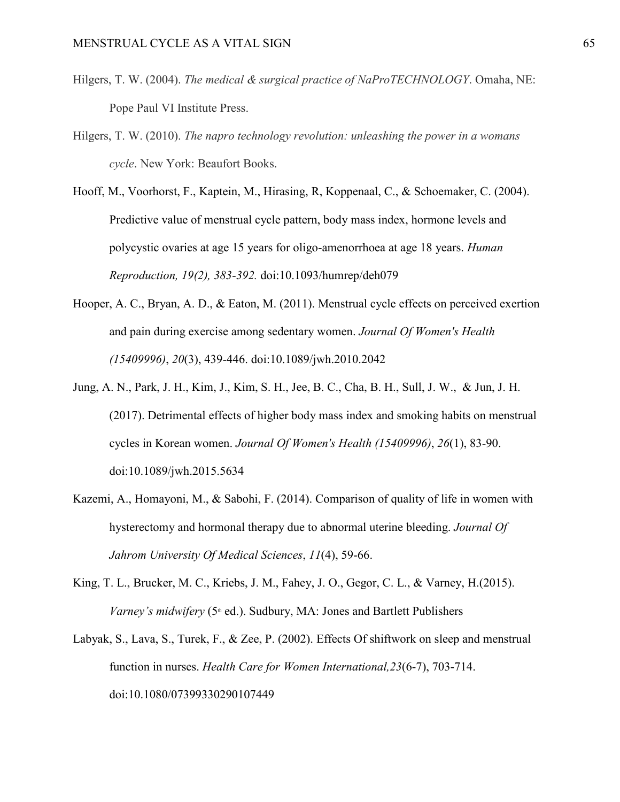- Hilgers, T. W. (2004). *The medical & surgical practice of NaProTECHNOLOGY*. Omaha, NE: Pope Paul VI Institute Press.
- Hilgers, T. W. (2010). *The napro technology revolution: unleashing the power in a womans cycle*. New York: Beaufort Books.
- Hooff, M., Voorhorst, F., Kaptein, M., Hirasing, R, Koppenaal, C., & Schoemaker, C. (2004). Predictive value of menstrual cycle pattern, body mass index, hormone levels and polycystic ovaries at age 15 years for oligo-amenorrhoea at age 18 years. *Human Reproduction, 19(2), 383-392.* doi:10.1093/humrep/deh079
- Hooper, A. C., Bryan, A. D., & Eaton, M. (2011). Menstrual cycle effects on perceived exertion and pain during exercise among sedentary women. *Journal Of Women's Health (15409996)*, *20*(3), 439-446. doi:10.1089/jwh.2010.2042
- Jung, A. N., Park, J. H., Kim, J., Kim, S. H., Jee, B. C., Cha, B. H., Sull, J. W., & Jun, J. H. (2017). Detrimental effects of higher body mass index and smoking habits on menstrual cycles in Korean women. *Journal Of Women's Health (15409996)*, *26*(1), 83-90. doi:10.1089/jwh.2015.5634
- Kazemi, A., Homayoni, M., & Sabohi, F. (2014). Comparison of quality of life in women with hysterectomy and hormonal therapy due to abnormal uterine bleeding. *Journal Of Jahrom University Of Medical Sciences*, *11*(4), 59-66.
- King, T. L., Brucker, M. C., Kriebs, J. M., Fahey, J. O., Gegor, C. L., & Varney, H.(2015). *Varney's midwifery* (5<sup>th</sup> ed.). Sudbury, MA: Jones and Bartlett Publishers
- Labyak, S., Lava, S., Turek, F., & Zee, P. (2002). Effects Of shiftwork on sleep and menstrual function in nurses. *Health Care for Women International,23*(6-7), 703-714. doi:10.1080/07399330290107449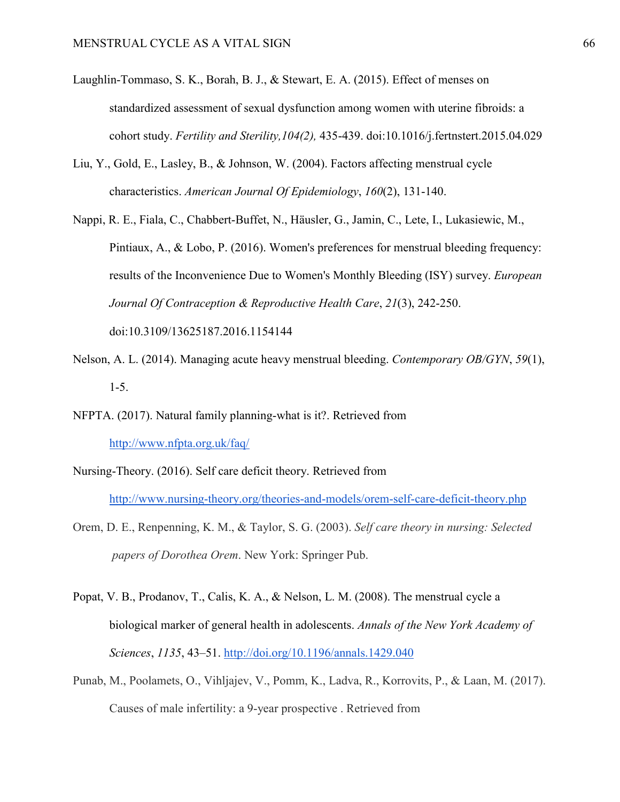- Laughlin-Tommaso, S. K., Borah, B. J., & Stewart, E. A. (2015). Effect of menses on standardized assessment of sexual dysfunction among women with uterine fibroids: a cohort study. *Fertility and Sterility,104(2),* 435-439. doi:10.1016/j.fertnstert.2015.04.029
- Liu, Y., Gold, E., Lasley, B., & Johnson, W. (2004). Factors affecting menstrual cycle characteristics. *American Journal Of Epidemiology*, *160*(2), 131-140.
- Nappi, R. E., Fiala, C., Chabbert-Buffet, N., Häusler, G., Jamin, C., Lete, I., Lukasiewic, M., Pintiaux, A., & Lobo, P. (2016). Women's preferences for menstrual bleeding frequency: results of the Inconvenience Due to Women's Monthly Bleeding (ISY) survey. *European Journal Of Contraception & Reproductive Health Care*, *21*(3), 242-250.

doi:10.3109/13625187.2016.1154144

- Nelson, A. L. (2014). Managing acute heavy menstrual bleeding. *Contemporary OB/GYN*, *59*(1), 1-5.
- NFPTA. (2017). Natural family planning-what is it?. Retrieved from <http://www.nfpta.org.uk/faq/>
- Nursing-Theory. (2016). Self care deficit theory. Retrieved from <http://www.nursing-theory.org/theories-and-models/orem-self-care-deficit-theory.php>
- Orem, D. E., Renpenning, K. M., & Taylor, S. G. (2003). *Self care theory in nursing: Selected papers of Dorothea Orem*. New York: Springer Pub.
- Popat, V. B., Prodanov, T., Calis, K. A., & Nelson, L. M. (2008). The menstrual cycle a biological marker of general health in adolescents. *Annals of the New York Academy of Sciences*, *1135*, 43–51. <http://doi.org/10.1196/annals.1429.040>
- Punab, M., Poolamets, O., Vihljajev, V., Pomm, K., Ladva, R., Korrovits, P., & Laan, M. (2017). Causes of male infertility: a 9-year prospective . Retrieved from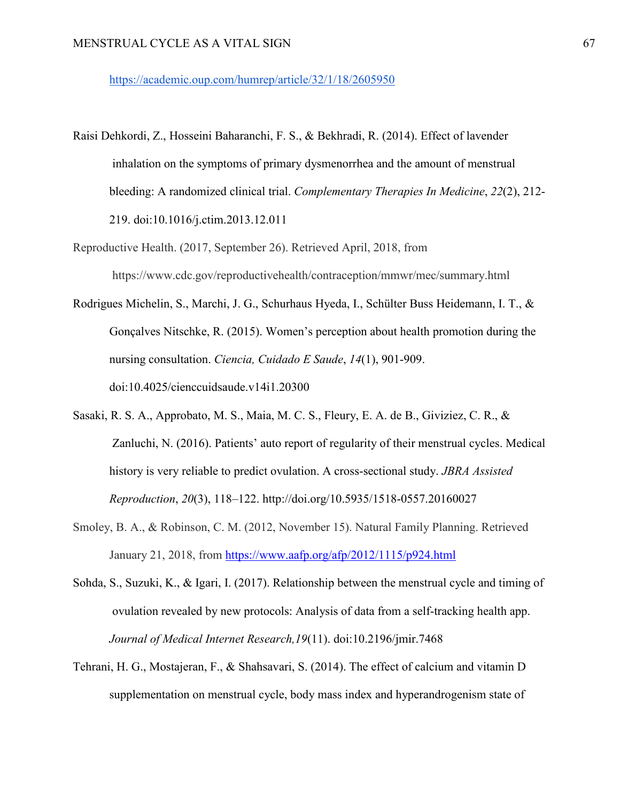<https://academic.oup.com/humrep/article/32/1/18/2605950>

- Raisi Dehkordi, Z., Hosseini Baharanchi, F. S., & Bekhradi, R. (2014). Effect of lavender inhalation on the symptoms of primary dysmenorrhea and the amount of menstrual bleeding: A randomized clinical trial. *Complementary Therapies In Medicine*, *22*(2), 212- 219. doi:10.1016/j.ctim.2013.12.011
- Reproductive Health. (2017, September 26). Retrieved April, 2018, from https://www.cdc.gov/reproductivehealth/contraception/mmwr/mec/summary.html
- Rodrigues Michelin, S., Marchi, J. G., Schurhaus Hyeda, I., Schülter Buss Heidemann, I. T., & Gonçalves Nitschke, R. (2015). Women's perception about health promotion during the nursing consultation. *Ciencia, Cuidado E Saude*, *14*(1), 901-909. doi:10.4025/cienccuidsaude.v14i1.20300
- Sasaki, R. S. A., Approbato, M. S., Maia, M. C. S., Fleury, E. A. de B., Giviziez, C. R., & Zanluchi, N. (2016). Patients' auto report of regularity of their menstrual cycles. Medical history is very reliable to predict ovulation. A cross-sectional study. *JBRA Assisted Reproduction*, *20*(3), 118–122. http://doi.org/10.5935/1518-0557.20160027
- Smoley, B. A., & Robinson, C. M. (2012, November 15). Natural Family Planning. Retrieved January 21, 2018, from <https://www.aafp.org/afp/2012/1115/p924.html>
- Sohda, S., Suzuki, K., & Igari, I. (2017). Relationship between the menstrual cycle and timing of ovulation revealed by new protocols: Analysis of data from a self-tracking health app. *Journal of Medical Internet Research,19*(11). doi:10.2196/jmir.7468
- Tehrani, H. G., Mostajeran, F., & Shahsavari, S. (2014). The effect of calcium and vitamin D supplementation on menstrual cycle, body mass index and hyperandrogenism state of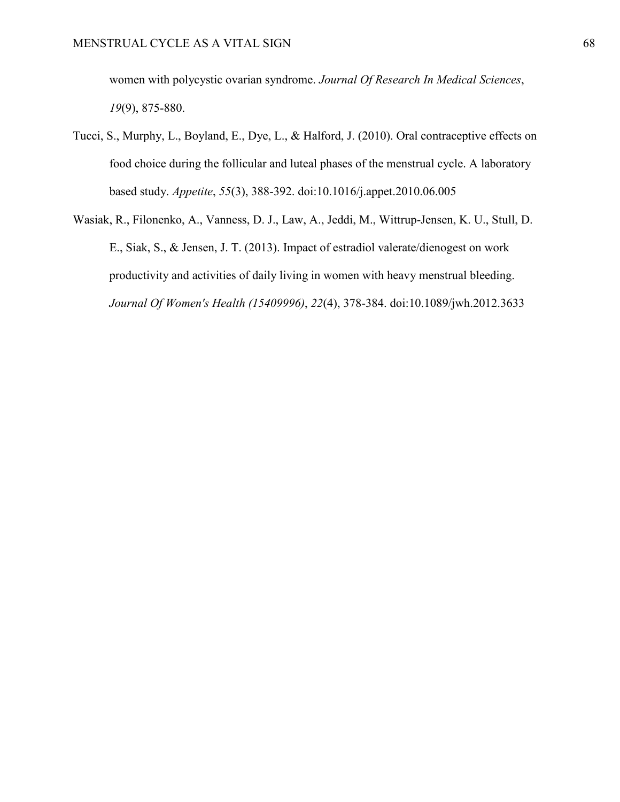women with polycystic ovarian syndrome. *Journal Of Research In Medical Sciences*,  *19*(9), 875-880.

- Tucci, S., Murphy, L., Boyland, E., Dye, L., & Halford, J. (2010). Oral contraceptive effects on food choice during the follicular and luteal phases of the menstrual cycle. A laboratory based study. *Appetite*, *55*(3), 388-392. doi:10.1016/j.appet.2010.06.005
- Wasiak, R., Filonenko, A., Vanness, D. J., Law, A., Jeddi, M., Wittrup-Jensen, K. U., Stull, D. E., Siak, S., & Jensen, J. T. (2013). Impact of estradiol valerate/dienogest on work productivity and activities of daily living in women with heavy menstrual bleeding.  *Journal Of Women's Health (15409996)*, *22*(4), 378-384. doi:10.1089/jwh.2012.3633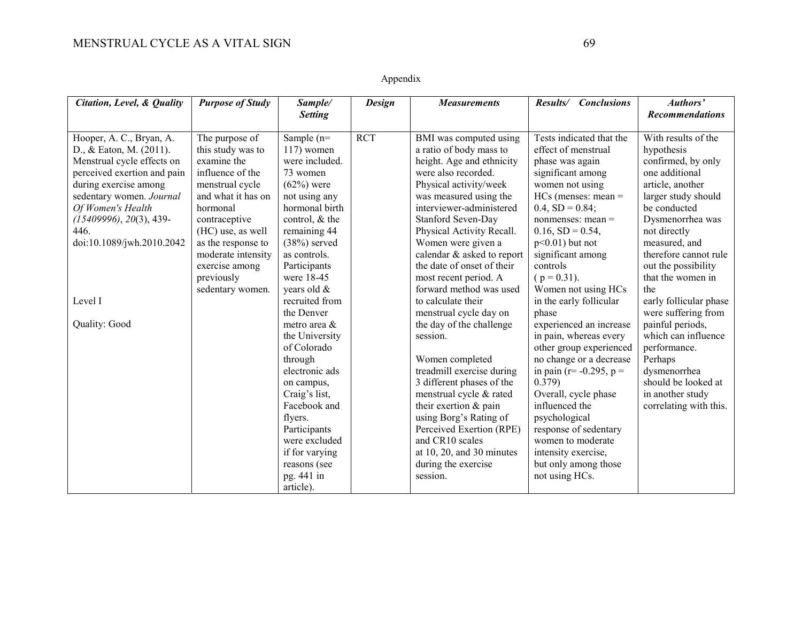### Appendix

| Citation, Level, & Quality  | <b>Purpose of Study</b> | Sample/        | <b>Design</b> | <b>Measurements</b>               | Results/ Conclusions           | Authors'               |
|-----------------------------|-------------------------|----------------|---------------|-----------------------------------|--------------------------------|------------------------|
|                             |                         | <b>Setting</b> |               |                                   |                                | <b>Recommendations</b> |
|                             |                         |                |               |                                   |                                |                        |
| Hooper, A. C., Bryan, A.    | The purpose of          | Sample $(n=$   | <b>RCT</b>    | BMI was computed using            | Tests indicated that the       | With results of the    |
| D., & Eaton, M. (2011).     | this study was to       | $117$ ) women  |               | a ratio of body mass to           | effect of menstrual            | hypothesis             |
| Menstrual cycle effects on  | examine the             | were included. |               | height. Age and ethnicity         | phase was again                | confirmed, by only     |
| perceived exertion and pain | influence of the        | 73 women       |               | were also recorded.               | significant among              | one additional         |
| during exercise among       | menstrual cycle         | $(62%)$ were   |               | Physical activity/week            | women not using                | article, another       |
| sedentary women. Journal    | and what it has on      | not using any  |               | was measured using the            | $HCs$ (menses: mean =          | larger study should    |
| Of Women's Health           | hormonal                | hormonal birth |               | interviewer-administered          | $0.4, SD = 0.84;$              | be conducted           |
| $(15409996), 20(3), 439-$   | contraceptive           | control, & the |               | Stanford Seven-Day                | nonmenses: mean =              | Dysmenorrhea was       |
| 446.                        | (HC) use, as well       | remaining 44   |               | Physical Activity Recall.         | $0.16, SD = 0.54,$             | not directly           |
| doi:10.1089/jwh.2010.2042   | as the response to      | $(38%)$ served |               | Women were given a                | $p<0.01$ ) but not             | measured, and          |
|                             | moderate intensity      | as controls.   |               | calendar & asked to report        | significant among              | therefore cannot rule  |
|                             | exercise among          | Participants   |               | the date of onset of their        | controls                       | out the possibility    |
|                             | previously              | were 18-45     |               | most recent period. A             | $(p = 0.31)$ .                 | that the women in      |
|                             | sedentary women.        | years old &    |               | forward method was used           | Women not using HCs            | the                    |
| Level I                     |                         | recruited from |               | to calculate their                | in the early follicular        | early follicular phase |
|                             |                         | the Denver     |               | menstrual cycle day on            | phase                          | were suffering from    |
| Quality: Good               |                         | metro area &   |               | the day of the challenge          | experienced an increase        | painful periods,       |
|                             |                         | the University |               | session.                          | in pain, whereas every         | which can influence    |
|                             |                         | of Colorado    |               |                                   | other group experienced        | performance.           |
|                             |                         | through        |               | Women completed                   | no change or a decrease        | Perhaps                |
|                             |                         | electronic ads |               | treadmill exercise during         | in pain ( $r = -0.295$ , $p =$ | dysmenorrhea           |
|                             |                         | on campus,     |               | 3 different phases of the         | 0.379)                         | should be looked at    |
|                             |                         | Craig's list,  |               | menstrual cycle & rated           | Overall, cycle phase           | in another study       |
|                             |                         | Facebook and   |               | their exertion & pain             | influenced the                 | correlating with this. |
|                             |                         | flyers.        |               | using Borg's Rating of            | psychological                  |                        |
|                             |                         | Participants   |               | Perceived Exertion (RPE)          | response of sedentary          |                        |
|                             |                         | were excluded  |               | and CR10 scales                   | women to moderate              |                        |
|                             |                         | if for varying |               | at $10$ , $20$ , and $30$ minutes | intensity exercise,            |                        |
|                             |                         | reasons (see   |               | during the exercise               | but only among those           |                        |
|                             |                         | pg. 441 in     |               | session.                          | not using HCs.                 |                        |
|                             |                         | article).      |               |                                   |                                |                        |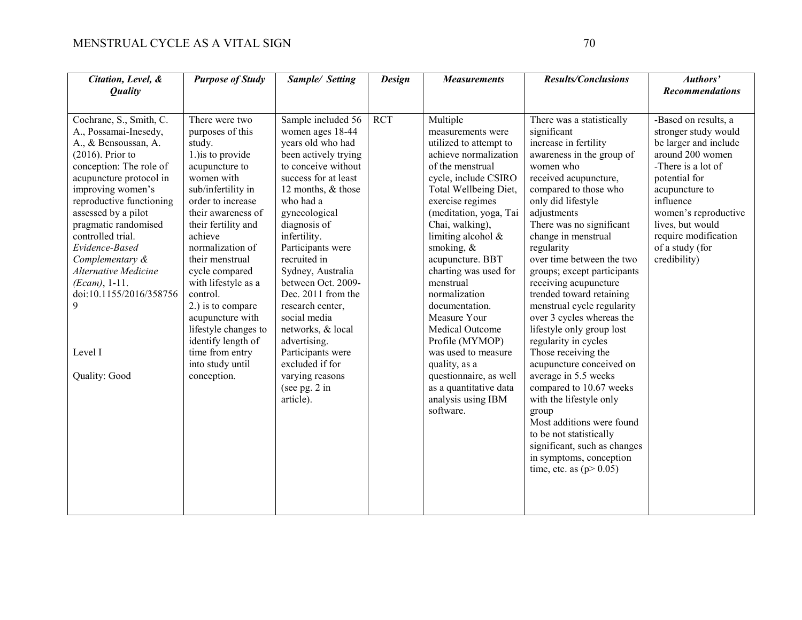| Citation, Level, &                                                                                                                            | <b>Purpose of Study</b>                                                                           | Sample/ Setting                                                                                               | <b>Design</b> | <b>Measurements</b>                                                                                                                                              | <b>Results/Conclusions</b>                                                                                                                                                                                                                                      | Authors'                                                                    |
|-----------------------------------------------------------------------------------------------------------------------------------------------|---------------------------------------------------------------------------------------------------|---------------------------------------------------------------------------------------------------------------|---------------|------------------------------------------------------------------------------------------------------------------------------------------------------------------|-----------------------------------------------------------------------------------------------------------------------------------------------------------------------------------------------------------------------------------------------------------------|-----------------------------------------------------------------------------|
| <b>Quality</b>                                                                                                                                |                                                                                                   |                                                                                                               |               |                                                                                                                                                                  |                                                                                                                                                                                                                                                                 | <b>Recommendations</b>                                                      |
|                                                                                                                                               |                                                                                                   |                                                                                                               |               |                                                                                                                                                                  |                                                                                                                                                                                                                                                                 |                                                                             |
| Cochrane, S., Smith, C.                                                                                                                       | There were two                                                                                    | Sample included 56                                                                                            | <b>RCT</b>    | Multiple                                                                                                                                                         | There was a statistically                                                                                                                                                                                                                                       | -Based on results, a                                                        |
| A., Possamai-Inesedy,                                                                                                                         | purposes of this                                                                                  | women ages 18-44                                                                                              |               | measurements were                                                                                                                                                | significant                                                                                                                                                                                                                                                     | stronger study would                                                        |
| A., & Bensoussan, A.                                                                                                                          | study.                                                                                            | vears old who had                                                                                             |               | utilized to attempt to                                                                                                                                           | increase in fertility                                                                                                                                                                                                                                           | be larger and include                                                       |
| $(2016)$ . Prior to                                                                                                                           | 1.) is to provide                                                                                 | been actively trying                                                                                          |               | achieve normalization                                                                                                                                            | awareness in the group of                                                                                                                                                                                                                                       | around 200 women                                                            |
| conception: The role of                                                                                                                       | acupuncture to                                                                                    | to conceive without                                                                                           |               | of the menstrual                                                                                                                                                 | women who                                                                                                                                                                                                                                                       | -There is a lot of                                                          |
| acupuncture protocol in                                                                                                                       | women with                                                                                        | success for at least                                                                                          |               | cycle, include CSIRO                                                                                                                                             | received acupuncture,                                                                                                                                                                                                                                           | potential for                                                               |
| improving women's                                                                                                                             | sub/infertility in                                                                                | 12 months, & those                                                                                            |               | Total Wellbeing Diet,                                                                                                                                            | compared to those who                                                                                                                                                                                                                                           | acupuncture to                                                              |
| reproductive functioning                                                                                                                      | order to increase                                                                                 | who had a                                                                                                     |               | exercise regimes                                                                                                                                                 | only did lifestyle                                                                                                                                                                                                                                              | influence                                                                   |
| assessed by a pilot                                                                                                                           | their awareness of                                                                                | gynecological                                                                                                 |               | (meditation, yoga, Tai                                                                                                                                           | adjustments                                                                                                                                                                                                                                                     | women's reproductive                                                        |
|                                                                                                                                               |                                                                                                   |                                                                                                               |               |                                                                                                                                                                  |                                                                                                                                                                                                                                                                 |                                                                             |
|                                                                                                                                               |                                                                                                   |                                                                                                               |               |                                                                                                                                                                  |                                                                                                                                                                                                                                                                 |                                                                             |
|                                                                                                                                               |                                                                                                   |                                                                                                               |               |                                                                                                                                                                  |                                                                                                                                                                                                                                                                 |                                                                             |
|                                                                                                                                               | their menstrual                                                                                   |                                                                                                               |               |                                                                                                                                                                  |                                                                                                                                                                                                                                                                 |                                                                             |
| <b>Alternative Medicine</b>                                                                                                                   | cycle compared                                                                                    | Sydney, Australia                                                                                             |               |                                                                                                                                                                  | groups; except participants                                                                                                                                                                                                                                     |                                                                             |
|                                                                                                                                               |                                                                                                   |                                                                                                               |               | menstrual                                                                                                                                                        |                                                                                                                                                                                                                                                                 |                                                                             |
|                                                                                                                                               | control.                                                                                          |                                                                                                               |               |                                                                                                                                                                  |                                                                                                                                                                                                                                                                 |                                                                             |
| 9                                                                                                                                             | 2.) is to compare                                                                                 | research center,                                                                                              |               | documentation.                                                                                                                                                   |                                                                                                                                                                                                                                                                 |                                                                             |
|                                                                                                                                               | acupuncture with                                                                                  | social media                                                                                                  |               | Measure Your                                                                                                                                                     | over 3 cycles whereas the                                                                                                                                                                                                                                       |                                                                             |
|                                                                                                                                               |                                                                                                   | networks, & local                                                                                             |               | Medical Outcome                                                                                                                                                  | lifestyle only group lost                                                                                                                                                                                                                                       |                                                                             |
|                                                                                                                                               | identify length of                                                                                | advertising.                                                                                                  |               | Profile (MYMOP)                                                                                                                                                  | regularity in cycles                                                                                                                                                                                                                                            |                                                                             |
| Level I                                                                                                                                       | time from entry                                                                                   | Participants were                                                                                             |               |                                                                                                                                                                  |                                                                                                                                                                                                                                                                 |                                                                             |
|                                                                                                                                               | into study until                                                                                  | excluded if for                                                                                               |               | quality, as a                                                                                                                                                    | acupuncture conceived on                                                                                                                                                                                                                                        |                                                                             |
|                                                                                                                                               | conception.                                                                                       | varying reasons                                                                                               |               | questionnaire, as well                                                                                                                                           | average in 5.5 weeks                                                                                                                                                                                                                                            |                                                                             |
|                                                                                                                                               |                                                                                                   | (see pg. $2$ in                                                                                               |               | as a quantitative data                                                                                                                                           | compared to 10.67 weeks                                                                                                                                                                                                                                         |                                                                             |
|                                                                                                                                               |                                                                                                   | article).                                                                                                     |               |                                                                                                                                                                  | with the lifestyle only                                                                                                                                                                                                                                         |                                                                             |
|                                                                                                                                               |                                                                                                   |                                                                                                               |               | software.                                                                                                                                                        | group                                                                                                                                                                                                                                                           |                                                                             |
|                                                                                                                                               |                                                                                                   |                                                                                                               |               |                                                                                                                                                                  | Most additions were found                                                                                                                                                                                                                                       |                                                                             |
|                                                                                                                                               |                                                                                                   |                                                                                                               |               |                                                                                                                                                                  |                                                                                                                                                                                                                                                                 |                                                                             |
|                                                                                                                                               |                                                                                                   |                                                                                                               |               |                                                                                                                                                                  |                                                                                                                                                                                                                                                                 |                                                                             |
|                                                                                                                                               |                                                                                                   |                                                                                                               |               |                                                                                                                                                                  | in symptoms, conception                                                                                                                                                                                                                                         |                                                                             |
|                                                                                                                                               |                                                                                                   |                                                                                                               |               |                                                                                                                                                                  | time, etc. as $(p>0.05)$                                                                                                                                                                                                                                        |                                                                             |
|                                                                                                                                               |                                                                                                   |                                                                                                               |               |                                                                                                                                                                  |                                                                                                                                                                                                                                                                 |                                                                             |
|                                                                                                                                               |                                                                                                   |                                                                                                               |               |                                                                                                                                                                  |                                                                                                                                                                                                                                                                 |                                                                             |
|                                                                                                                                               |                                                                                                   |                                                                                                               |               |                                                                                                                                                                  |                                                                                                                                                                                                                                                                 |                                                                             |
| pragmatic randomised<br>controlled trial.<br>Evidence-Based<br>Complementary &<br>$(Ecam), 1-11.$<br>doi:10.1155/2016/358756<br>Quality: Good | their fertility and<br>achieve<br>normalization of<br>with lifestyle as a<br>lifestyle changes to | diagnosis of<br>infertility.<br>Participants were<br>recruited in<br>between Oct. 2009-<br>Dec. 2011 from the |               | Chai, walking),<br>limiting alcohol &<br>smoking, $&$<br>acupuncture. BBT<br>charting was used for<br>normalization<br>was used to measure<br>analysis using IBM | There was no significant<br>change in menstrual<br>regularity<br>over time between the two<br>receiving acupuncture<br>trended toward retaining<br>menstrual cycle regularity<br>Those receiving the<br>to be not statistically<br>significant, such as changes | lives, but would<br>require modification<br>of a study (for<br>credibility) |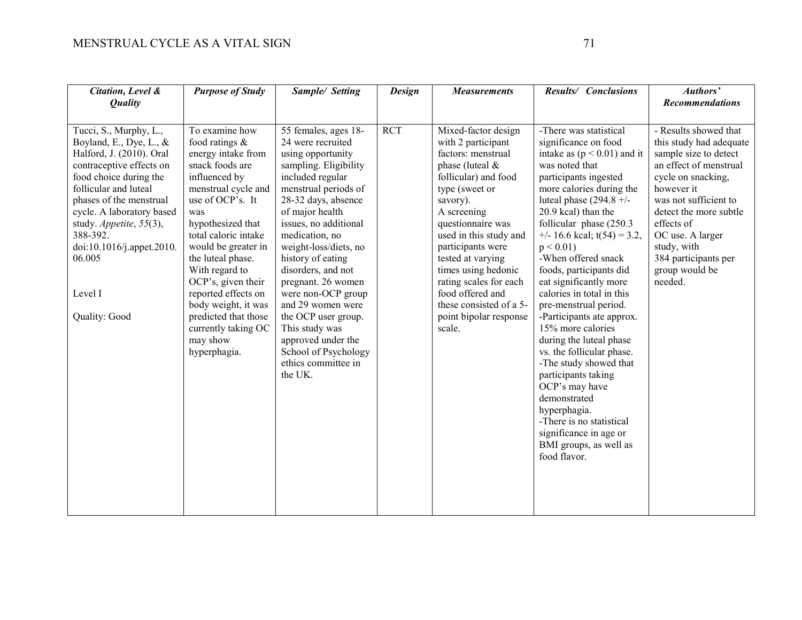| Citation, Level &<br><b>Quality</b>                                                                                                                                                                                                                                                                                               | <b>Purpose of Study</b>                                                                                                                                                                                                                                                                                                                                                                                   | Sample/ Setting                                                                                                                                                                                                                                                                                                                                                                                                                                                                        | <b>Design</b> | <b>Measurements</b>                                                                                                                                                                                                                                                                                                                                                                    | Results/ Conclusions                                                                                                                                                                                                                                                                                                                                                                                                                                                                                                                                                                                                                                                                                                                     | Authors'<br><b>Recommendations</b>                                                                                                                                                                                                                                                               |
|-----------------------------------------------------------------------------------------------------------------------------------------------------------------------------------------------------------------------------------------------------------------------------------------------------------------------------------|-----------------------------------------------------------------------------------------------------------------------------------------------------------------------------------------------------------------------------------------------------------------------------------------------------------------------------------------------------------------------------------------------------------|----------------------------------------------------------------------------------------------------------------------------------------------------------------------------------------------------------------------------------------------------------------------------------------------------------------------------------------------------------------------------------------------------------------------------------------------------------------------------------------|---------------|----------------------------------------------------------------------------------------------------------------------------------------------------------------------------------------------------------------------------------------------------------------------------------------------------------------------------------------------------------------------------------------|------------------------------------------------------------------------------------------------------------------------------------------------------------------------------------------------------------------------------------------------------------------------------------------------------------------------------------------------------------------------------------------------------------------------------------------------------------------------------------------------------------------------------------------------------------------------------------------------------------------------------------------------------------------------------------------------------------------------------------------|--------------------------------------------------------------------------------------------------------------------------------------------------------------------------------------------------------------------------------------------------------------------------------------------------|
| Tucci, S., Murphy, L.,<br>Boyland, E., Dye, L., $\&$<br>Halford, J. (2010). Oral<br>contraceptive effects on<br>food choice during the<br>follicular and luteal<br>phases of the menstrual<br>cycle. A laboratory based<br>study. Appetite, 55(3),<br>388-392.<br>doi:10.1016/j.appet.2010.<br>06.005<br>Level I<br>Quality: Good | To examine how<br>food ratings $\&$<br>energy intake from<br>snack foods are<br>influenced by<br>menstrual cycle and<br>use of OCP's. It<br>was<br>hypothesized that<br>total caloric intake<br>would be greater in<br>the luteal phase.<br>With regard to<br>OCP's, given their<br>reported effects on<br>body weight, it was<br>predicted that those<br>currently taking OC<br>may show<br>hyperphagia. | 55 females, ages 18-<br>24 were recruited<br>using opportunity<br>sampling. Eligibility<br>included regular<br>menstrual periods of<br>28-32 days, absence<br>of major health<br>issues, no additional<br>medication, no<br>weight-loss/diets, no<br>history of eating<br>disorders, and not<br>pregnant. 26 women<br>were non-OCP group<br>and 29 women were<br>the OCP user group.<br>This study was<br>approved under the<br>School of Psychology<br>ethics committee in<br>the UK. | <b>RCT</b>    | Mixed-factor design<br>with 2 participant<br>factors: menstrual<br>phase (luteal $&$<br>follicular) and food<br>type (sweet or<br>savory).<br>A screening<br>questionnaire was<br>used in this study and<br>participants were<br>tested at varying<br>times using hedonic<br>rating scales for each<br>food offered and<br>these consisted of a 5-<br>point bipolar response<br>scale. | -There was statistical<br>significance on food<br>intake as $(p < 0.01)$ and it<br>was noted that<br>participants ingested<br>more calories during the<br>luteal phase $(294.8 +/-$<br>20.9 kcal) than the<br>follicular phase $(250.3)$<br>$+/- 16.6$ kcal; t(54) = 3.2,<br>$p < 0.01$ )<br>-When offered snack<br>foods, participants did<br>eat significantly more<br>calories in total in this<br>pre-menstrual period.<br>-Participants ate approx.<br>15% more calories<br>during the luteal phase<br>vs. the follicular phase.<br>-The study showed that<br>participants taking<br>OCP's may have<br>demonstrated<br>hyperphagia.<br>-There is no statistical<br>significance in age or<br>BMI groups, as well as<br>food flavor. | - Results showed that<br>this study had adequate<br>sample size to detect<br>an effect of menstrual<br>cycle on snacking,<br>however it<br>was not sufficient to<br>detect the more subtle<br>effects of<br>OC use. A larger<br>study, with<br>384 participants per<br>group would be<br>needed. |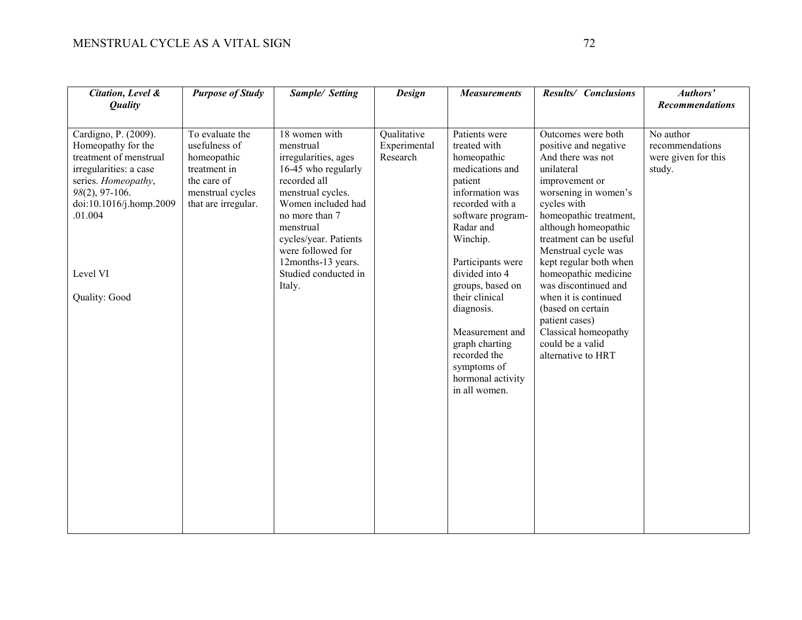| Citation, Level &<br><b>Quality</b>                                                                                                                                                                           | <b>Purpose of Study</b>                                                                                                   | Sample/ Setting                                                                                                                                                                                                                                                           | <b>Design</b>                           | <b>Measurements</b>                                                                                                                                                                                                                                                                                                                                                 | Results/ Conclusions                                                                                                                                                                                                                                                                                                                                                                                                                                   | Authors'<br><b>Recommendations</b>                            |
|---------------------------------------------------------------------------------------------------------------------------------------------------------------------------------------------------------------|---------------------------------------------------------------------------------------------------------------------------|---------------------------------------------------------------------------------------------------------------------------------------------------------------------------------------------------------------------------------------------------------------------------|-----------------------------------------|---------------------------------------------------------------------------------------------------------------------------------------------------------------------------------------------------------------------------------------------------------------------------------------------------------------------------------------------------------------------|--------------------------------------------------------------------------------------------------------------------------------------------------------------------------------------------------------------------------------------------------------------------------------------------------------------------------------------------------------------------------------------------------------------------------------------------------------|---------------------------------------------------------------|
| Cardigno, P. (2009).<br>Homeopathy for the<br>treatment of menstrual<br>irregularities: a case<br>series. Homeopathy,<br>$98(2)$ , 97-106.<br>doi:10.1016/j.homp.2009<br>.01.004<br>Level VI<br>Quality: Good | To evaluate the<br>usefulness of<br>homeopathic<br>treatment in<br>the care of<br>menstrual cycles<br>that are irregular. | 18 women with<br>menstrual<br>irregularities, ages<br>16-45 who regularly<br>recorded all<br>menstrual cycles.<br>Women included had<br>no more than 7<br>menstrual<br>cycles/year. Patients<br>were followed for<br>12months-13 years.<br>Studied conducted in<br>Italy. | Qualitative<br>Experimental<br>Research | Patients were<br>treated with<br>homeopathic<br>medications and<br>patient<br>information was<br>recorded with a<br>software program-<br>Radar and<br>Winchip.<br>Participants were<br>divided into 4<br>groups, based on<br>their clinical<br>diagnosis.<br>Measurement and<br>graph charting<br>recorded the<br>symptoms of<br>hormonal activity<br>in all women. | Outcomes were both<br>positive and negative<br>And there was not<br>unilateral<br>improvement or<br>worsening in women's<br>cycles with<br>homeopathic treatment,<br>although homeopathic<br>treatment can be useful<br>Menstrual cycle was<br>kept regular both when<br>homeopathic medicine<br>was discontinued and<br>when it is continued<br>(based on certain<br>patient cases)<br>Classical homeopathy<br>could be a valid<br>alternative to HRT | No author<br>recommendations<br>were given for this<br>study. |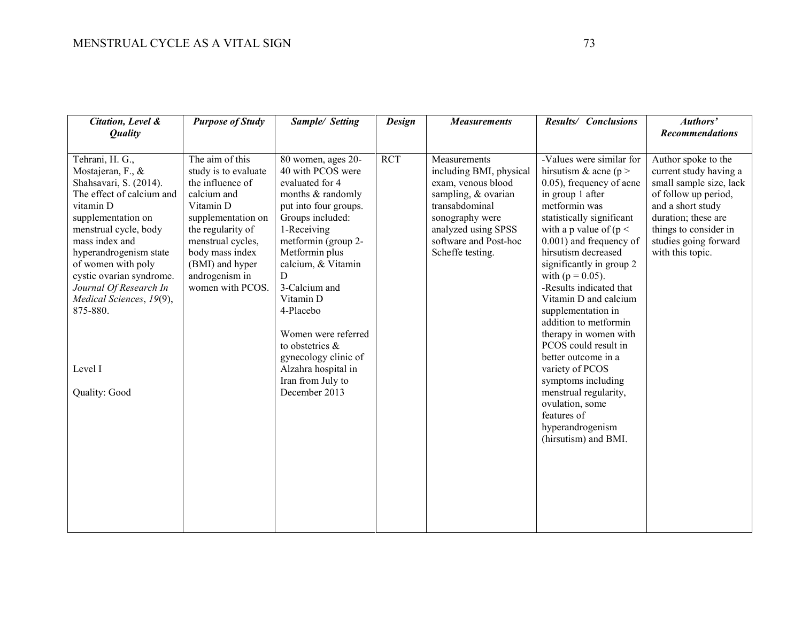| Tehrani, H. G.,<br>The aim of this<br><b>RCT</b><br>-Values were similar for<br>80 women, ages 20-<br>Measurements<br>40 with PCOS were<br>including BMI, physical<br>hirsutism & acne ( $p >$<br>Mostajeran, F., &<br>study is to evaluate<br>Shahsavari, S. (2014).<br>the influence of<br>evaluated for 4<br>exam, venous blood<br>$(0.05)$ , frequency of acne<br>The effect of calcium and<br>calcium and<br>sampling, & ovarian<br>in group 1 after<br>months & randomly<br>vitamin D<br>Vitamin D<br>put into four groups.<br>metformin was<br>and a short study<br>transabdominal<br>supplementation on<br>Groups included:<br>statistically significant<br>duration; these are<br>supplementation on<br>sonography were<br>menstrual cycle, body<br>the regularity of<br>1-Receiving<br>analyzed using SPSS<br>with a p value of $(p <$<br>mass index and<br>menstrual cycles,<br>metformin (group 2-<br>software and Post-hoc<br>$0.001$ ) and frequency of<br>Scheffe testing.<br>hirsutism decreased<br>hyperandrogenism state<br>body mass index<br>Metformin plus<br>with this topic.<br>calcium, & Vitamin<br>of women with poly<br>(BMI) and hyper<br>significantly in group 2<br>cystic ovarian syndrome.<br>androgenism in<br>with $(p = 0.05)$ .<br>D<br>women with PCOS.<br>3-Calcium and<br>-Results indicated that<br>Journal Of Research In | Citation, Level &<br><b>Quality</b> | <b>Purpose of Study</b> | Sample/ Setting | <b>Design</b> | <b>Measurements</b> | Results/ Conclusions  | Authors'<br><b>Recommendations</b>                                                                                                                 |
|--------------------------------------------------------------------------------------------------------------------------------------------------------------------------------------------------------------------------------------------------------------------------------------------------------------------------------------------------------------------------------------------------------------------------------------------------------------------------------------------------------------------------------------------------------------------------------------------------------------------------------------------------------------------------------------------------------------------------------------------------------------------------------------------------------------------------------------------------------------------------------------------------------------------------------------------------------------------------------------------------------------------------------------------------------------------------------------------------------------------------------------------------------------------------------------------------------------------------------------------------------------------------------------------------------------------------------------------------------------------|-------------------------------------|-------------------------|-----------------|---------------|---------------------|-----------------------|----------------------------------------------------------------------------------------------------------------------------------------------------|
|                                                                                                                                                                                                                                                                                                                                                                                                                                                                                                                                                                                                                                                                                                                                                                                                                                                                                                                                                                                                                                                                                                                                                                                                                                                                                                                                                                    |                                     |                         |                 |               |                     |                       |                                                                                                                                                    |
| 875-880.<br>4-Placebo<br>supplementation in<br>addition to metformin<br>therapy in women with<br>Women were referred<br>to obstetrics &<br>PCOS could result in<br>gynecology clinic of<br>better outcome in a<br>Level I<br>Alzahra hospital in<br>variety of PCOS<br>Iran from July to<br>symptoms including<br>Quality: Good<br>December 2013<br>menstrual regularity,<br>ovulation, some<br>features of<br>hyperandrogenism<br>(hirsutism) and BMI.                                                                                                                                                                                                                                                                                                                                                                                                                                                                                                                                                                                                                                                                                                                                                                                                                                                                                                            | Medical Sciences, 19(9),            |                         | Vitamin D       |               |                     | Vitamin D and calcium | Author spoke to the<br>current study having a<br>small sample size, lack<br>of follow up period,<br>things to consider in<br>studies going forward |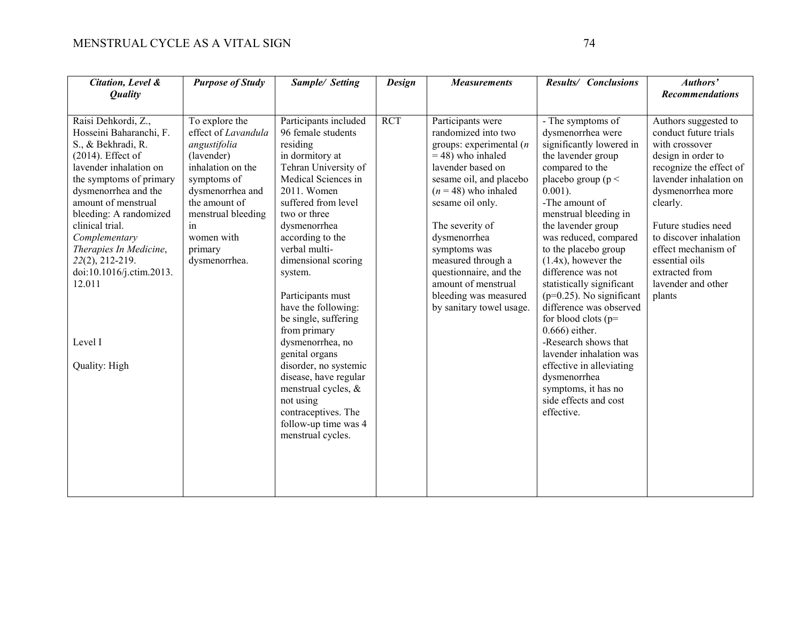| Citation, Level &<br><b>Quality</b>                                                                                                                                                                                                                                                                                                                                           | <b>Purpose of Study</b>                                                                                                                                                                                            | Sample/ Setting                                                                                                                                                                                                                                                                                                                                                                                                                                                                                                                                            | <b>Design</b> | <b>Measurements</b>                                                                                                                                                                                                                                                                                                                                                        | Results/ Conclusions                                                                                                                                                                                                                                                                                                                                                                                                                                                                                                                                                                                                   | Authors'<br><b>Recommendations</b>                                                                                                                                                                                                                                                                                      |
|-------------------------------------------------------------------------------------------------------------------------------------------------------------------------------------------------------------------------------------------------------------------------------------------------------------------------------------------------------------------------------|--------------------------------------------------------------------------------------------------------------------------------------------------------------------------------------------------------------------|------------------------------------------------------------------------------------------------------------------------------------------------------------------------------------------------------------------------------------------------------------------------------------------------------------------------------------------------------------------------------------------------------------------------------------------------------------------------------------------------------------------------------------------------------------|---------------|----------------------------------------------------------------------------------------------------------------------------------------------------------------------------------------------------------------------------------------------------------------------------------------------------------------------------------------------------------------------------|------------------------------------------------------------------------------------------------------------------------------------------------------------------------------------------------------------------------------------------------------------------------------------------------------------------------------------------------------------------------------------------------------------------------------------------------------------------------------------------------------------------------------------------------------------------------------------------------------------------------|-------------------------------------------------------------------------------------------------------------------------------------------------------------------------------------------------------------------------------------------------------------------------------------------------------------------------|
| Raisi Dehkordi, Z.,<br>Hosseini Baharanchi, F.<br>S., & Bekhradi, R.<br>$(2014)$ . Effect of<br>lavender inhalation on<br>the symptoms of primary<br>dysmenorrhea and the<br>amount of menstrual<br>bleeding: A randomized<br>clinical trial.<br>Complementary<br>Therapies In Medicine,<br>22(2), 212-219.<br>doi:10.1016/j.ctim.2013.<br>12.011<br>Level I<br>Quality: High | To explore the<br>effect of Lavandula<br>angustifolia<br>(lavender)<br>inhalation on the<br>symptoms of<br>dysmenorrhea and<br>the amount of<br>menstrual bleeding<br>in<br>women with<br>primary<br>dysmenorrhea. | Participants included<br>96 female students<br>residing<br>in dormitory at<br>Tehran University of<br>Medical Sciences in<br>2011. Women<br>suffered from level<br>two or three<br>dysmenorrhea<br>according to the<br>verbal multi-<br>dimensional scoring<br>system.<br>Participants must<br>have the following:<br>be single, suffering<br>from primary<br>dysmenorrhea, no<br>genital organs<br>disorder, no systemic<br>disease, have regular<br>menstrual cycles, &<br>not using<br>contraceptives. The<br>follow-up time was 4<br>menstrual cycles. | <b>RCT</b>    | Participants were<br>randomized into two<br>groups: experimental $(n)$<br>$=$ 48) who inhaled<br>lavender based on<br>sesame oil, and placebo<br>$(n = 48)$ who inhaled<br>sesame oil only.<br>The severity of<br>dysmenorrhea<br>symptoms was<br>measured through a<br>questionnaire, and the<br>amount of menstrual<br>bleeding was measured<br>by sanitary towel usage. | - The symptoms of<br>dysmenorrhea were<br>significantly lowered in<br>the lavender group<br>compared to the<br>placebo group ( $p <$<br>$0.001$ ).<br>-The amount of<br>menstrual bleeding in<br>the lavender group<br>was reduced, compared<br>to the placebo group<br>$(1.4x)$ , however the<br>difference was not<br>statistically significant<br>$(p=0.25)$ . No significant<br>difference was observed<br>for blood clots $(p=$<br>$0.666$ ) either.<br>-Research shows that<br>lavender inhalation was<br>effective in alleviating<br>dysmenorrhea<br>symptoms, it has no<br>side effects and cost<br>effective. | Authors suggested to<br>conduct future trials<br>with crossover<br>design in order to<br>recognize the effect of<br>lavender inhalation on<br>dysmenorrhea more<br>clearly.<br>Future studies need<br>to discover inhalation<br>effect mechanism of<br>essential oils<br>extracted from<br>lavender and other<br>plants |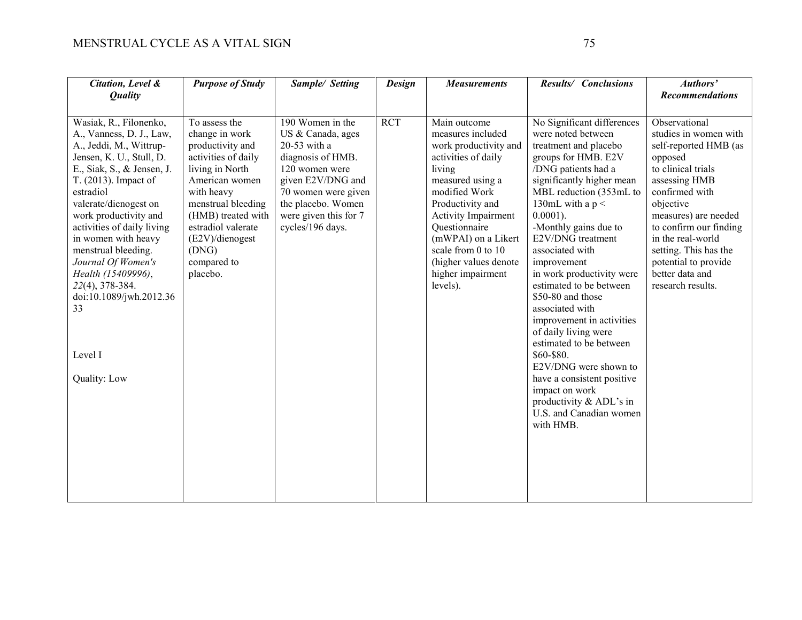| Citation, Level &<br><b>Quality</b>                                                                                                                                                                                                                                                                                              | <b>Purpose of Study</b>                                                                                                                                                                                                                    | Sample/ Setting                                                                                                                                                                                                          | <b>Design</b> | <b>Measurements</b>                                                                                                                                                                                                                                                       | Results/ Conclusions                                                                                                                                                                                                                                                                                 | Authors'<br><b>Recommendations</b>                                                                                                                                                                                                                                       |
|----------------------------------------------------------------------------------------------------------------------------------------------------------------------------------------------------------------------------------------------------------------------------------------------------------------------------------|--------------------------------------------------------------------------------------------------------------------------------------------------------------------------------------------------------------------------------------------|--------------------------------------------------------------------------------------------------------------------------------------------------------------------------------------------------------------------------|---------------|---------------------------------------------------------------------------------------------------------------------------------------------------------------------------------------------------------------------------------------------------------------------------|------------------------------------------------------------------------------------------------------------------------------------------------------------------------------------------------------------------------------------------------------------------------------------------------------|--------------------------------------------------------------------------------------------------------------------------------------------------------------------------------------------------------------------------------------------------------------------------|
| Wasiak, R., Filonenko,<br>A., Vanness, D. J., Law,<br>A., Jeddi, M., Wittrup-<br>Jensen, K. U., Stull, D.<br>E., Siak, S., & Jensen, J.<br>T. (2013). Impact of<br>estradiol<br>valerate/dienogest on<br>work productivity and<br>activities of daily living<br>in women with heavy<br>menstrual bleeding.<br>Journal Of Women's | To assess the<br>change in work<br>productivity and<br>activities of daily<br>living in North<br>American women<br>with heavy<br>menstrual bleeding<br>(HMB) treated with<br>estradiol valerate<br>(E2V)/dienogest<br>(DNG)<br>compared to | $\overline{190}$ Women in the<br>US & Canada, ages<br>20-53 with a<br>diagnosis of HMB.<br>120 women were<br>given E2V/DNG and<br>70 women were given<br>the placebo. Women<br>were given this for 7<br>cycles/196 days. | <b>RCT</b>    | Main outcome<br>measures included<br>work productivity and<br>activities of daily<br>living<br>measured using a<br>modified Work<br>Productivity and<br><b>Activity Impairment</b><br>Questionnaire<br>(mWPAI) on a Likert<br>scale from 0 to 10<br>(higher values denote | No Significant differences<br>were noted between<br>treatment and placebo<br>groups for HMB. E2V<br>/DNG patients had a<br>significantly higher mean<br>MBL reduction (353mL to<br>130mL with a $p <$<br>$0.0001$ ).<br>-Monthly gains due to<br>E2V/DNG treatment<br>associated with<br>improvement | Observational<br>studies in women with<br>self-reported HMB (as<br>opposed<br>to clinical trials<br>assessing HMB<br>confirmed with<br>objective<br>measures) are needed<br>to confirm our finding<br>in the real-world<br>setting. This has the<br>potential to provide |
| Health (15409996),<br>22(4), 378-384.<br>doi:10.1089/jwh.2012.36<br>33                                                                                                                                                                                                                                                           | placebo.                                                                                                                                                                                                                                   |                                                                                                                                                                                                                          |               | higher impairment<br>levels).                                                                                                                                                                                                                                             | in work productivity were<br>estimated to be between<br>\$50-80 and those<br>associated with<br>improvement in activities<br>of daily living were<br>estimated to be between                                                                                                                         | better data and<br>research results.                                                                                                                                                                                                                                     |
| Level I<br>Quality: Low                                                                                                                                                                                                                                                                                                          |                                                                                                                                                                                                                                            |                                                                                                                                                                                                                          |               |                                                                                                                                                                                                                                                                           | \$60-\$80.<br>E2V/DNG were shown to<br>have a consistent positive<br>impact on work<br>productivity & ADL's in<br>U.S. and Canadian women<br>with HMB.                                                                                                                                               |                                                                                                                                                                                                                                                                          |
|                                                                                                                                                                                                                                                                                                                                  |                                                                                                                                                                                                                                            |                                                                                                                                                                                                                          |               |                                                                                                                                                                                                                                                                           |                                                                                                                                                                                                                                                                                                      |                                                                                                                                                                                                                                                                          |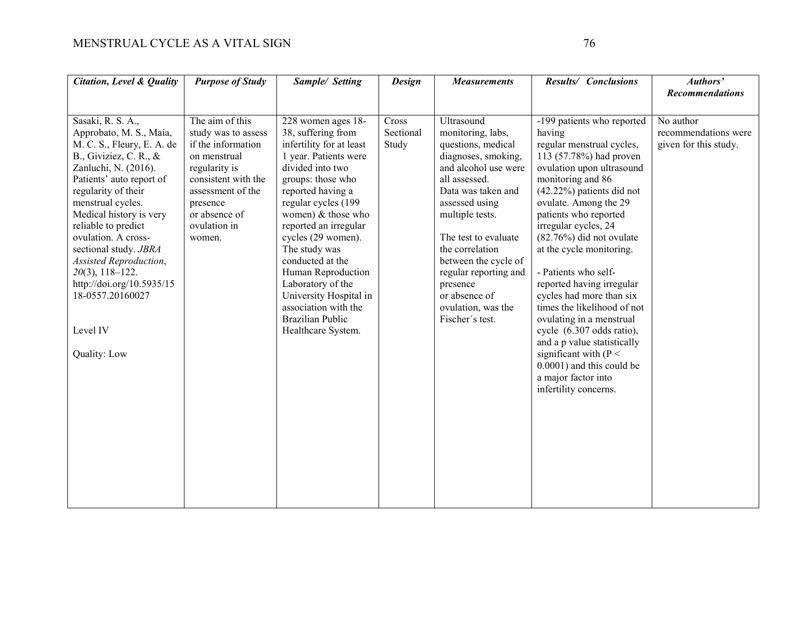| <b>Citation, Level &amp; Quality</b>                                                                                                                                                                                                                                                                                                                                                                                                | <b>Purpose of Study</b>                                                                                                                                                                          | Sample/ Setting                                                                                                                                                                                                                                                                                                                                                                                                                            | <b>Design</b>               | <b>Measurements</b>                                                                                                                                                                                                                                                                                                                                | Results/ Conclusions                                                                                                                                                                                                                                                                                                                                                                                                                                                                                                                                                                                                               | Authors'<br><b>Recommendations</b>                         |
|-------------------------------------------------------------------------------------------------------------------------------------------------------------------------------------------------------------------------------------------------------------------------------------------------------------------------------------------------------------------------------------------------------------------------------------|--------------------------------------------------------------------------------------------------------------------------------------------------------------------------------------------------|--------------------------------------------------------------------------------------------------------------------------------------------------------------------------------------------------------------------------------------------------------------------------------------------------------------------------------------------------------------------------------------------------------------------------------------------|-----------------------------|----------------------------------------------------------------------------------------------------------------------------------------------------------------------------------------------------------------------------------------------------------------------------------------------------------------------------------------------------|------------------------------------------------------------------------------------------------------------------------------------------------------------------------------------------------------------------------------------------------------------------------------------------------------------------------------------------------------------------------------------------------------------------------------------------------------------------------------------------------------------------------------------------------------------------------------------------------------------------------------------|------------------------------------------------------------|
|                                                                                                                                                                                                                                                                                                                                                                                                                                     |                                                                                                                                                                                                  |                                                                                                                                                                                                                                                                                                                                                                                                                                            |                             |                                                                                                                                                                                                                                                                                                                                                    |                                                                                                                                                                                                                                                                                                                                                                                                                                                                                                                                                                                                                                    |                                                            |
| Sasaki, R. S. A.,<br>Approbato, M. S., Maia,<br>M. C. S., Fleury, E. A. de<br>B., Giviziez, C. R., &<br>Zanluchi, N. (2016).<br>Patients' auto report of<br>regularity of their<br>menstrual cycles.<br>Medical history is very<br>reliable to predict<br>ovulation. A cross-<br>sectional study. JBRA<br>Assisted Reproduction,<br>$20(3)$ , 118-122.<br>http://doi.org/10.5935/15<br>18-0557.20160027<br>Level IV<br>Quality: Low | The aim of this<br>study was to assess<br>if the information<br>on menstrual<br>regularity is<br>consistent with the<br>assessment of the<br>presence<br>or absence of<br>ovulation in<br>women. | 228 women ages 18-<br>38, suffering from<br>infertility for at least<br>1 year. Patients were<br>divided into two<br>groups: those who<br>reported having a<br>regular cycles (199<br>women) & those who<br>reported an irregular<br>cycles (29 women).<br>The study was<br>conducted at the<br>Human Reproduction<br>Laboratory of the<br>University Hospital in<br>association with the<br><b>Brazilian Public</b><br>Healthcare System. | Cross<br>Sectional<br>Study | Ultrasound<br>monitoring, labs,<br>questions, medical<br>diagnoses, smoking,<br>and alcohol use were<br>all assessed.<br>Data was taken and<br>assessed using<br>multiple tests.<br>The test to evaluate<br>the correlation<br>between the cycle of<br>regular reporting and<br>presence<br>or absence of<br>ovulation, was the<br>Fischer's test. | -199 patients who reported<br>having<br>regular menstrual cycles,<br>113 (57.78%) had proven<br>ovulation upon ultrasound<br>monitoring and 86<br>$(42.22%)$ patients did not<br>ovulate. Among the 29<br>patients who reported<br>irregular cycles, 24<br>$(82.76\%)$ did not ovulate<br>at the cycle monitoring.<br>- Patients who self-<br>reported having irregular<br>cycles had more than six<br>times the likelihood of not<br>ovulating in a menstrual<br>cycle (6.307 odds ratio),<br>and a p value statistically<br>significant with $(P <$<br>0.0001) and this could be<br>a major factor into<br>infertility concerns. | No author<br>recommendations were<br>given for this study. |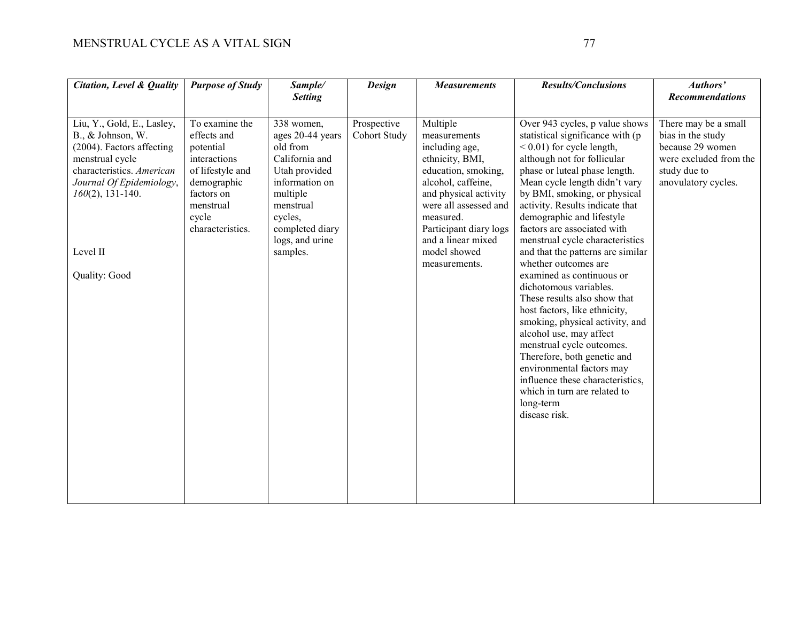| Citation, Level & Quality                                                                                                                                                                                    | <b>Purpose of Study</b>                                                                                                                               | Sample/<br><b>Setting</b>                                                                                                                                                             | <b>Design</b>               | <b>Measurements</b>                                                                                                                                                                                                                                        | Results/Conclusions                                                                                                                                                                                                                                                                                                                                                                                                                                                                                                                                                                                                                                                                                                                                                                                                 | Authors'<br><b>Recommendations</b>                                                                                             |
|--------------------------------------------------------------------------------------------------------------------------------------------------------------------------------------------------------------|-------------------------------------------------------------------------------------------------------------------------------------------------------|---------------------------------------------------------------------------------------------------------------------------------------------------------------------------------------|-----------------------------|------------------------------------------------------------------------------------------------------------------------------------------------------------------------------------------------------------------------------------------------------------|---------------------------------------------------------------------------------------------------------------------------------------------------------------------------------------------------------------------------------------------------------------------------------------------------------------------------------------------------------------------------------------------------------------------------------------------------------------------------------------------------------------------------------------------------------------------------------------------------------------------------------------------------------------------------------------------------------------------------------------------------------------------------------------------------------------------|--------------------------------------------------------------------------------------------------------------------------------|
|                                                                                                                                                                                                              |                                                                                                                                                       |                                                                                                                                                                                       |                             |                                                                                                                                                                                                                                                            |                                                                                                                                                                                                                                                                                                                                                                                                                                                                                                                                                                                                                                                                                                                                                                                                                     |                                                                                                                                |
| Liu, Y., Gold, E., Lasley,<br>B., & Johnson, W.<br>(2004). Factors affecting<br>menstrual cycle<br>characteristics. American<br>Journal Of Epidemiology,<br>$160(2)$ , 131-140.<br>Level II<br>Quality: Good | To examine the<br>effects and<br>potential<br>interactions<br>of lifestyle and<br>demographic<br>factors on<br>menstrual<br>cycle<br>characteristics. | 338 women,<br>ages 20-44 years<br>old from<br>California and<br>Utah provided<br>information on<br>multiple<br>menstrual<br>cycles,<br>completed diary<br>logs, and urine<br>samples. | Prospective<br>Cohort Study | Multiple<br>measurements<br>including age,<br>ethnicity, BMI,<br>education, smoking,<br>alcohol, caffeine,<br>and physical activity<br>were all assessed and<br>measured.<br>Participant diary logs<br>and a linear mixed<br>model showed<br>measurements. | Over 943 cycles, p value shows<br>statistical significance with (p<br>$< 0.01$ ) for cycle length,<br>although not for follicular<br>phase or luteal phase length.<br>Mean cycle length didn't vary<br>by BMI, smoking, or physical<br>activity. Results indicate that<br>demographic and lifestyle<br>factors are associated with<br>menstrual cycle characteristics<br>and that the patterns are similar<br>whether outcomes are<br>examined as continuous or<br>dichotomous variables.<br>These results also show that<br>host factors, like ethnicity,<br>smoking, physical activity, and<br>alcohol use, may affect<br>menstrual cycle outcomes.<br>Therefore, both genetic and<br>environmental factors may<br>influence these characteristics,<br>which in turn are related to<br>long-term<br>disease risk. | There may be a small<br>bias in the study<br>because 29 women<br>were excluded from the<br>study due to<br>anovulatory cycles. |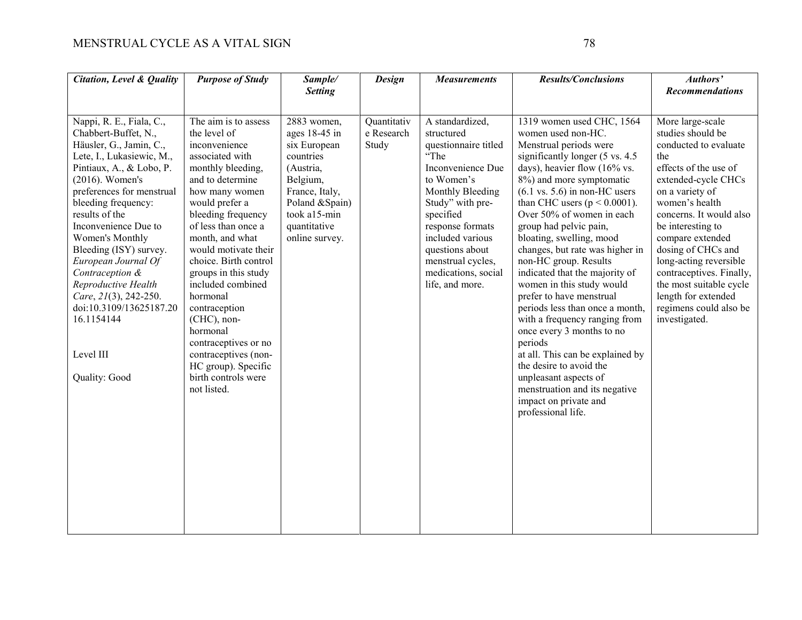| <b>Citation, Level &amp; Quality</b>                                                                                                                                                                                                                                                                                                                                                                                                                                   | <b>Purpose of Study</b>                                                                                                                                                                                                                                                                                                                                                                                                                                                                  | Sample/                                                                                                                                                                     | <b>Design</b>                      | <b>Measurements</b>                                                                                                                                                                                                                                                             | <b>Results/Conclusions</b>                                                                                                                                                                                                                                                                                                                                                                                                                                                                                                                                                                                                                                                                                                                                                                          | Authors'                                                                                                                                                                                                                                                                                                                                                                                                |
|------------------------------------------------------------------------------------------------------------------------------------------------------------------------------------------------------------------------------------------------------------------------------------------------------------------------------------------------------------------------------------------------------------------------------------------------------------------------|------------------------------------------------------------------------------------------------------------------------------------------------------------------------------------------------------------------------------------------------------------------------------------------------------------------------------------------------------------------------------------------------------------------------------------------------------------------------------------------|-----------------------------------------------------------------------------------------------------------------------------------------------------------------------------|------------------------------------|---------------------------------------------------------------------------------------------------------------------------------------------------------------------------------------------------------------------------------------------------------------------------------|-----------------------------------------------------------------------------------------------------------------------------------------------------------------------------------------------------------------------------------------------------------------------------------------------------------------------------------------------------------------------------------------------------------------------------------------------------------------------------------------------------------------------------------------------------------------------------------------------------------------------------------------------------------------------------------------------------------------------------------------------------------------------------------------------------|---------------------------------------------------------------------------------------------------------------------------------------------------------------------------------------------------------------------------------------------------------------------------------------------------------------------------------------------------------------------------------------------------------|
|                                                                                                                                                                                                                                                                                                                                                                                                                                                                        |                                                                                                                                                                                                                                                                                                                                                                                                                                                                                          | <b>Setting</b>                                                                                                                                                              |                                    |                                                                                                                                                                                                                                                                                 |                                                                                                                                                                                                                                                                                                                                                                                                                                                                                                                                                                                                                                                                                                                                                                                                     | <b>Recommendations</b>                                                                                                                                                                                                                                                                                                                                                                                  |
| Nappi, R. E., Fiala, C.,<br>Chabbert-Buffet, N.,<br>Häusler, G., Jamin, C.,<br>Lete, I., Lukasiewic, M.,<br>Pintiaux, A., & Lobo, P.<br>$(2016)$ . Women's<br>preferences for menstrual<br>bleeding frequency:<br>results of the<br>Inconvenience Due to<br>Women's Monthly<br>Bleeding (ISY) survey.<br>European Journal Of<br>Contraception &<br>Reproductive Health<br>Care, 21(3), 242-250.<br>doi:10.3109/13625187.20<br>16.1154144<br>Level III<br>Quality: Good | The aim is to assess<br>the level of<br>inconvenience<br>associated with<br>monthly bleeding,<br>and to determine<br>how many women<br>would prefer a<br>bleeding frequency<br>of less than once a<br>month, and what<br>would motivate their<br>choice. Birth control<br>groups in this study<br>included combined<br>hormonal<br>contraception<br>(CHC), non-<br>hormonal<br>contraceptives or no<br>contraceptives (non-<br>HC group). Specific<br>birth controls were<br>not listed. | 2883 women,<br>ages $18-45$ in<br>six European<br>countries<br>(Austria,<br>Belgium,<br>France, Italy,<br>Poland & Spain)<br>took a15-min<br>quantitative<br>online survey. | Quantitativ<br>e Research<br>Study | A standardized,<br>structured<br>questionnaire titled<br>"The<br>Inconvenience Due<br>to Women's<br>Monthly Bleeding<br>Study" with pre-<br>specified<br>response formats<br>included various<br>questions about<br>menstrual cycles,<br>medications, social<br>life, and more. | 1319 women used CHC, 1564<br>women used non-HC.<br>Menstrual periods were<br>significantly longer (5 vs. 4.5)<br>days), heavier flow $(16\% \text{ vs.})$<br>8%) and more symptomatic<br>$(6.1 \text{ vs. } 5.6)$ in non-HC users<br>than CHC users ( $p < 0.0001$ ).<br>Over 50% of women in each<br>group had pelvic pain,<br>bloating, swelling, mood<br>changes, but rate was higher in<br>non-HC group. Results<br>indicated that the majority of<br>women in this study would<br>prefer to have menstrual<br>periods less than once a month,<br>with a frequency ranging from<br>once every 3 months to no<br>periods<br>at all. This can be explained by<br>the desire to avoid the<br>unpleasant aspects of<br>menstruation and its negative<br>impact on private and<br>professional life. | More large-scale<br>studies should be<br>conducted to evaluate<br>the<br>effects of the use of<br>extended-cycle CHCs<br>on a variety of<br>women's health<br>concerns. It would also<br>be interesting to<br>compare extended<br>dosing of CHCs and<br>long-acting reversible<br>contraceptives. Finally,<br>the most suitable cycle<br>length for extended<br>regimens could also be<br>investigated. |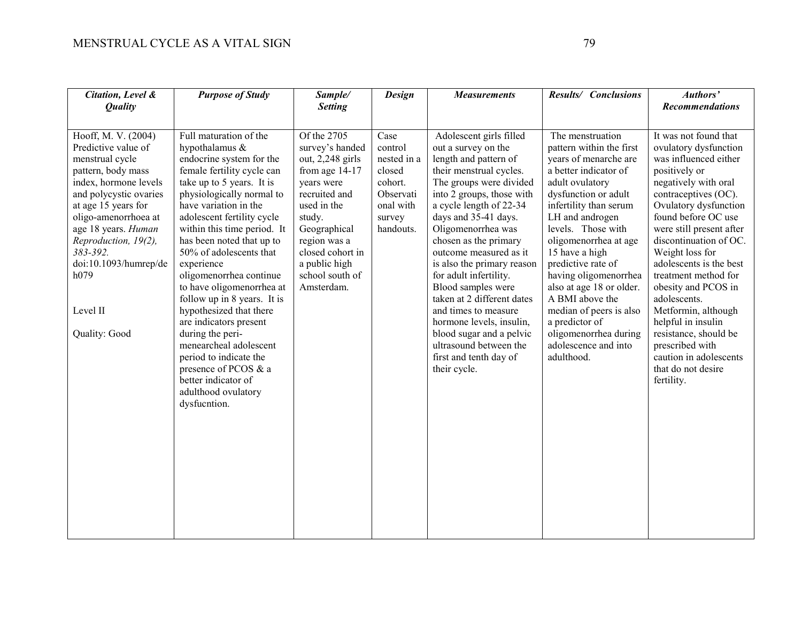| Citation, Level &<br><b>Quality</b>                                                                                                                                                                                                                                                                            | <b>Purpose of Study</b>                                                                                                                                                                                                                                                                                                                                                                                                                                                                                                                                                                                                            | Sample/<br><b>Setting</b>                                                                                                                                                                                                            | <b>Design</b>                                                                                        | <b>Measurements</b>                                                                                                                                                                                                                                                                                                                                                                                                                                                                                                                                    | Results/ Conclusions                                                                                                                                                                                                                                                                                                                                                                                                                                              | Authors'<br><b>Recommendations</b>                                                                                                                                                                                                                                                                                                                                                                                                                                                                                 |
|----------------------------------------------------------------------------------------------------------------------------------------------------------------------------------------------------------------------------------------------------------------------------------------------------------------|------------------------------------------------------------------------------------------------------------------------------------------------------------------------------------------------------------------------------------------------------------------------------------------------------------------------------------------------------------------------------------------------------------------------------------------------------------------------------------------------------------------------------------------------------------------------------------------------------------------------------------|--------------------------------------------------------------------------------------------------------------------------------------------------------------------------------------------------------------------------------------|------------------------------------------------------------------------------------------------------|--------------------------------------------------------------------------------------------------------------------------------------------------------------------------------------------------------------------------------------------------------------------------------------------------------------------------------------------------------------------------------------------------------------------------------------------------------------------------------------------------------------------------------------------------------|-------------------------------------------------------------------------------------------------------------------------------------------------------------------------------------------------------------------------------------------------------------------------------------------------------------------------------------------------------------------------------------------------------------------------------------------------------------------|--------------------------------------------------------------------------------------------------------------------------------------------------------------------------------------------------------------------------------------------------------------------------------------------------------------------------------------------------------------------------------------------------------------------------------------------------------------------------------------------------------------------|
| Hooff, M. V. (2004)<br>Predictive value of<br>menstrual cycle<br>pattern, body mass<br>index, hormone levels<br>and polycystic ovaries<br>at age 15 years for<br>oligo-amenorrhoea at<br>age 18 years. Human<br>Reproduction, 19(2),<br>383-392.<br>doi:10.1093/humrep/de<br>h079<br>Level II<br>Quality: Good | Full maturation of the<br>hypothalamus &<br>endocrine system for the<br>female fertility cycle can<br>take up to 5 years. It is<br>physiologically normal to<br>have variation in the<br>adolescent fertility cycle<br>within this time period. It<br>has been noted that up to<br>50% of adolescents that<br>experience<br>oligomenorrhea continue<br>to have oligomenorrhea at<br>follow up in 8 years. It is<br>hypothesized that there<br>are indicators present<br>during the peri-<br>menearcheal adolescent<br>period to indicate the<br>presence of PCOS & a<br>better indicator of<br>adulthood ovulatory<br>dysfucntion. | Of the 2705<br>survey's handed<br>out, 2,248 girls<br>from age $14-17$<br>years were<br>recruited and<br>used in the<br>study.<br>Geographical<br>region was a<br>closed cohort in<br>a public high<br>school south of<br>Amsterdam. | Case<br>control<br>nested in a<br>closed<br>cohort.<br>Observati<br>onal with<br>survey<br>handouts. | Adolescent girls filled<br>out a survey on the<br>length and pattern of<br>their menstrual cycles.<br>The groups were divided<br>into 2 groups, those with<br>a cycle length of 22-34<br>days and 35-41 days.<br>Oligomenorrhea was<br>chosen as the primary<br>outcome measured as it<br>is also the primary reason<br>for adult infertility.<br>Blood samples were<br>taken at 2 different dates<br>and times to measure<br>hormone levels, insulin,<br>blood sugar and a pelvic<br>ultrasound between the<br>first and tenth day of<br>their cycle. | The menstruation<br>pattern within the first<br>years of menarche are<br>a better indicator of<br>adult ovulatory<br>dysfunction or adult<br>infertility than serum<br>LH and androgen<br>levels. Those with<br>oligomenorrhea at age<br>15 have a high<br>predictive rate of<br>having oligomenorrhea<br>also at age 18 or older.<br>A BMI above the<br>median of peers is also<br>a predictor of<br>oligomenorrhea during<br>adolescence and into<br>adulthood. | It was not found that<br>ovulatory dysfunction<br>was influenced either<br>positively or<br>negatively with oral<br>contraceptives (OC).<br>Ovulatory dysfunction<br>found before OC use<br>were still present after<br>discontinuation of OC.<br>Weight loss for<br>adolescents is the best<br>treatment method for<br>obesity and PCOS in<br>adolescents.<br>Metformin, although<br>helpful in insulin<br>resistance, should be<br>prescribed with<br>caution in adolescents<br>that do not desire<br>fertility. |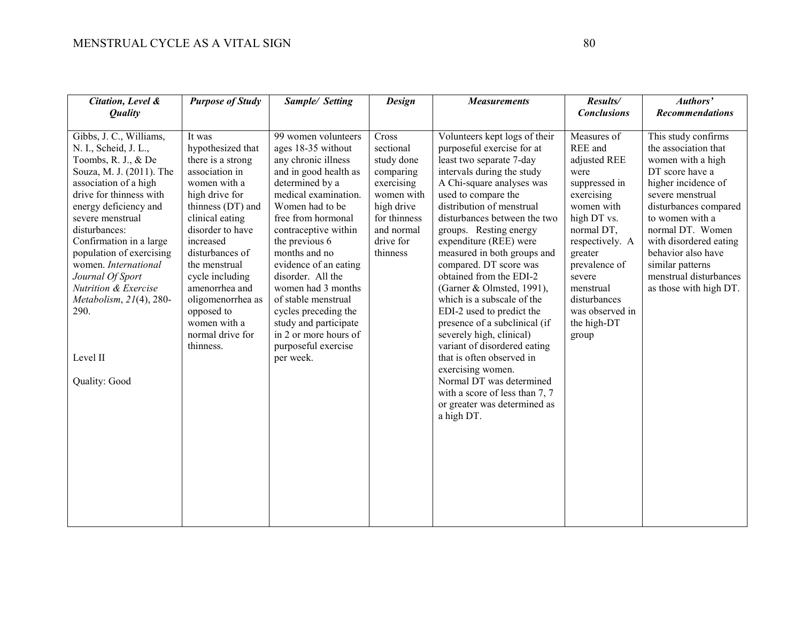| Citation, Level &<br><b>Quality</b>                                                                                                                                                                                                                                                                                                                                                                                         | <b>Purpose of Study</b>                                                                                                                                                                                                                                                                                                                    | Sample/ Setting                                                                                                                                                                                                                                                                                                                                                                                                                                   | <b>Design</b>                                                                                                                                  | <b>Measurements</b>                                                                                                                                                                                                                                                                                                                                                                                                                                                                                                                                                                                                                                                                                                               | Results/<br><b>Conclusions</b>                                                                                                                                                                                                                            | Authors'<br><b>Recommendations</b>                                                                                                                                                                                                                                                                                     |
|-----------------------------------------------------------------------------------------------------------------------------------------------------------------------------------------------------------------------------------------------------------------------------------------------------------------------------------------------------------------------------------------------------------------------------|--------------------------------------------------------------------------------------------------------------------------------------------------------------------------------------------------------------------------------------------------------------------------------------------------------------------------------------------|---------------------------------------------------------------------------------------------------------------------------------------------------------------------------------------------------------------------------------------------------------------------------------------------------------------------------------------------------------------------------------------------------------------------------------------------------|------------------------------------------------------------------------------------------------------------------------------------------------|-----------------------------------------------------------------------------------------------------------------------------------------------------------------------------------------------------------------------------------------------------------------------------------------------------------------------------------------------------------------------------------------------------------------------------------------------------------------------------------------------------------------------------------------------------------------------------------------------------------------------------------------------------------------------------------------------------------------------------------|-----------------------------------------------------------------------------------------------------------------------------------------------------------------------------------------------------------------------------------------------------------|------------------------------------------------------------------------------------------------------------------------------------------------------------------------------------------------------------------------------------------------------------------------------------------------------------------------|
| Gibbs, J. C., Williams,<br>N. I., Scheid, J. L.,<br>Toombs, R. J., & De<br>Souza, M. J. (2011). The<br>association of a high<br>drive for thinness with<br>energy deficiency and<br>severe menstrual<br>disturbances:<br>Confirmation in a large<br>population of exercising<br>women. International<br>Journal Of Sport<br><b>Nutrition &amp; Exercise</b><br>Metabolism, 21(4), 280-<br>290.<br>Level II<br>Quality: Good | It was<br>hypothesized that<br>there is a strong<br>association in<br>women with a<br>high drive for<br>thinness (DT) and<br>clinical eating<br>disorder to have<br>increased<br>disturbances of<br>the menstrual<br>cycle including<br>amenorrhea and<br>oligomenorrhea as<br>opposed to<br>women with a<br>normal drive for<br>thinness. | 99 women volunteers<br>ages 18-35 without<br>any chronic illness<br>and in good health as<br>determined by a<br>medical examination.<br>Women had to be<br>free from hormonal<br>contraceptive within<br>the previous 6<br>months and no<br>evidence of an eating<br>disorder. All the<br>women had 3 months<br>of stable menstrual<br>cycles preceding the<br>study and participate<br>in 2 or more hours of<br>purposeful exercise<br>per week. | Cross<br>sectional<br>study done<br>comparing<br>exercising<br>women with<br>high drive<br>for thinness<br>and normal<br>drive for<br>thinness | Volunteers kept logs of their<br>purposeful exercise for at<br>least two separate 7-day<br>intervals during the study<br>A Chi-square analyses was<br>used to compare the<br>distribution of menstrual<br>disturbances between the two<br>groups. Resting energy<br>expenditure (REE) were<br>measured in both groups and<br>compared. DT score was<br>obtained from the EDI-2<br>(Garner & Olmsted, 1991),<br>which is a subscale of the<br>EDI-2 used to predict the<br>presence of a subclinical (if<br>severely high, clinical)<br>variant of disordered eating<br>that is often observed in<br>exercising women.<br>Normal DT was determined<br>with a score of less than 7, 7<br>or greater was determined as<br>a high DT. | Measures of<br>REE and<br>adjusted REE<br>were<br>suppressed in<br>exercising<br>women with<br>high DT vs.<br>normal DT,<br>respectively. A<br>greater<br>prevalence of<br>severe<br>menstrual<br>disturbances<br>was observed in<br>the high-DT<br>group | This study confirms<br>the association that<br>women with a high<br>DT score have a<br>higher incidence of<br>severe menstrual<br>disturbances compared<br>to women with a<br>normal DT. Women<br>with disordered eating<br>behavior also have<br>similar patterns<br>menstrual disturbances<br>as those with high DT. |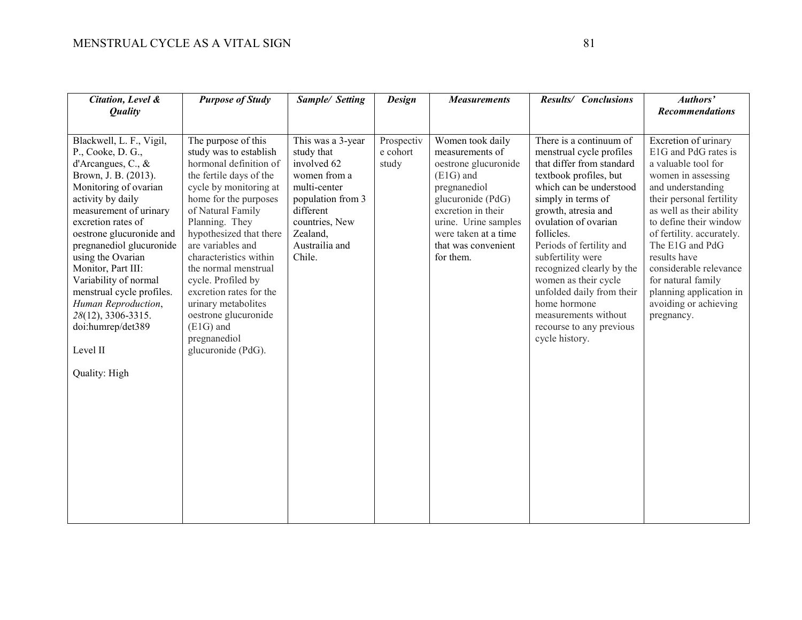| Citation, Level &<br><b>Quality</b>                                                                                                                                                                                                                                                                                                                                                                                                                  | <b>Purpose of Study</b>                                                                                                                                                                                                                                                                                                                                                                                                                             | Sample/ Setting                                                                                                                                                            | <b>Design</b>                   | <b>Measurements</b>                                                                                                                                                                                                       | Results/ Conclusions                                                                                                                                                                                                                                                                                                                                                                                                                              | Authors'<br><b>Recommendations</b>                                                                                                                                                                                                                                                                                                                                                 |
|------------------------------------------------------------------------------------------------------------------------------------------------------------------------------------------------------------------------------------------------------------------------------------------------------------------------------------------------------------------------------------------------------------------------------------------------------|-----------------------------------------------------------------------------------------------------------------------------------------------------------------------------------------------------------------------------------------------------------------------------------------------------------------------------------------------------------------------------------------------------------------------------------------------------|----------------------------------------------------------------------------------------------------------------------------------------------------------------------------|---------------------------------|---------------------------------------------------------------------------------------------------------------------------------------------------------------------------------------------------------------------------|---------------------------------------------------------------------------------------------------------------------------------------------------------------------------------------------------------------------------------------------------------------------------------------------------------------------------------------------------------------------------------------------------------------------------------------------------|------------------------------------------------------------------------------------------------------------------------------------------------------------------------------------------------------------------------------------------------------------------------------------------------------------------------------------------------------------------------------------|
| Blackwell, L. F., Vigil,<br>P., Cooke, D. G.,<br>d'Arcangues, C., $\&$<br>Brown, J. B. (2013).<br>Monitoring of ovarian<br>activity by daily<br>measurement of urinary<br>excretion rates of<br>oestrone glucuronide and<br>pregnanediol glucuronide<br>using the Ovarian<br>Monitor, Part III:<br>Variability of normal<br>menstrual cycle profiles.<br>Human Reproduction,<br>28(12), 3306-3315.<br>doi:humrep/det389<br>Level II<br>Quality: High | The purpose of this<br>study was to establish<br>hormonal definition of<br>the fertile days of the<br>cycle by monitoring at<br>home for the purposes<br>of Natural Family<br>Planning. They<br>hypothesized that there<br>are variables and<br>characteristics within<br>the normal menstrual<br>cycle. Profiled by<br>excretion rates for the<br>urinary metabolites<br>oestrone glucuronide<br>$(E1G)$ and<br>pregnanediol<br>glucuronide (PdG). | This was a 3-year<br>study that<br>involved 62<br>women from a<br>multi-center<br>population from 3<br>different<br>countries, New<br>Zealand,<br>Austrailia and<br>Chile. | Prospectiv<br>e cohort<br>study | Women took daily<br>measurements of<br>oestrone glucuronide<br>$(E1G)$ and<br>pregnanediol<br>glucuronide (PdG)<br>excretion in their<br>urine. Urine samples<br>were taken at a time<br>that was convenient<br>for them. | There is a continuum of<br>menstrual cycle profiles<br>that differ from standard<br>textbook profiles, but<br>which can be understood<br>simply in terms of<br>growth, atresia and<br>ovulation of ovarian<br>follicles.<br>Periods of fertility and<br>subfertility were<br>recognized clearly by the<br>women as their cycle<br>unfolded daily from their<br>home hormone<br>measurements without<br>recourse to any previous<br>cycle history. | Excretion of urinary<br>E1G and PdG rates is<br>a valuable tool for<br>women in assessing<br>and understanding<br>their personal fertility<br>as well as their ability<br>to define their window<br>of fertility. accurately.<br>The E1G and PdG<br>results have<br>considerable relevance<br>for natural family<br>planning application in<br>avoiding or achieving<br>pregnancy. |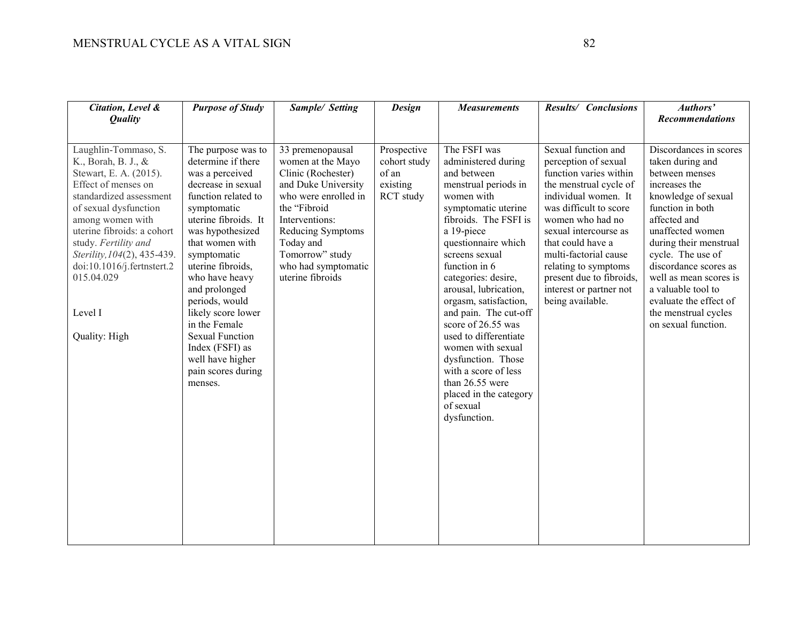| Citation, Level &<br><b>Quality</b>                                                                                                                                                                                                                                                                                               | <b>Purpose of Study</b>                                                                                                                                                                                                                                                                                                                                                                                                  | Sample/ Setting                                                                                                                                                                                                                              | <b>Design</b>                                                 | <b>Measurements</b>                                                                                                                                                                                                                                                                                                                                                                                                                                                                                            | Results/ Conclusions                                                                                                                                                                                                                                                                                                                            | Authors'<br><b>Recommendations</b>                                                                                                                                                                                                                                                                                                                            |
|-----------------------------------------------------------------------------------------------------------------------------------------------------------------------------------------------------------------------------------------------------------------------------------------------------------------------------------|--------------------------------------------------------------------------------------------------------------------------------------------------------------------------------------------------------------------------------------------------------------------------------------------------------------------------------------------------------------------------------------------------------------------------|----------------------------------------------------------------------------------------------------------------------------------------------------------------------------------------------------------------------------------------------|---------------------------------------------------------------|----------------------------------------------------------------------------------------------------------------------------------------------------------------------------------------------------------------------------------------------------------------------------------------------------------------------------------------------------------------------------------------------------------------------------------------------------------------------------------------------------------------|-------------------------------------------------------------------------------------------------------------------------------------------------------------------------------------------------------------------------------------------------------------------------------------------------------------------------------------------------|---------------------------------------------------------------------------------------------------------------------------------------------------------------------------------------------------------------------------------------------------------------------------------------------------------------------------------------------------------------|
| Laughlin-Tommaso, S.<br>K., Borah, B. J., &<br>Stewart, E. A. (2015).<br>Effect of menses on<br>standardized assessment<br>of sexual dysfunction<br>among women with<br>uterine fibroids: a cohort<br>study. Fertility and<br>Sterility, 104(2), 435-439.<br>doi:10.1016/j.fertnstert.2<br>015.04.029<br>Level I<br>Quality: High | The purpose was to<br>determine if there<br>was a perceived<br>decrease in sexual<br>function related to<br>symptomatic<br>uterine fibroids. It<br>was hypothesized<br>that women with<br>symptomatic<br>uterine fibroids,<br>who have heavy<br>and prolonged<br>periods, would<br>likely score lower<br>in the Female<br><b>Sexual Function</b><br>Index (FSFI) as<br>well have higher<br>pain scores during<br>menses. | 33 premenopausal<br>women at the Mayo<br>Clinic (Rochester)<br>and Duke University<br>who were enrolled in<br>the "Fibroid<br>Interventions:<br>Reducing Symptoms<br>Today and<br>Tomorrow" study<br>who had symptomatic<br>uterine fibroids | Prospective<br>cohort study<br>of an<br>existing<br>RCT study | The FSFI was<br>administered during<br>and between<br>menstrual periods in<br>women with<br>symptomatic uterine<br>fibroids. The FSFI is<br>a 19-piece<br>questionnaire which<br>screens sexual<br>function in 6<br>categories: desire,<br>arousal, lubrication,<br>orgasm, satisfaction,<br>and pain. The cut-off<br>score of 26.55 was<br>used to differentiate<br>women with sexual<br>dysfunction. Those<br>with a score of less<br>than 26.55 were<br>placed in the category<br>of sexual<br>dysfunction. | Sexual function and<br>perception of sexual<br>function varies within<br>the menstrual cycle of<br>individual women. It<br>was difficult to score<br>women who had no<br>sexual intercourse as<br>that could have a<br>multi-factorial cause<br>relating to symptoms<br>present due to fibroids,<br>interest or partner not<br>being available. | Discordances in scores<br>taken during and<br>between menses<br>increases the<br>knowledge of sexual<br>function in both<br>affected and<br>unaffected women<br>during their menstrual<br>cycle. The use of<br>discordance scores as<br>well as mean scores is<br>a valuable tool to<br>evaluate the effect of<br>the menstrual cycles<br>on sexual function. |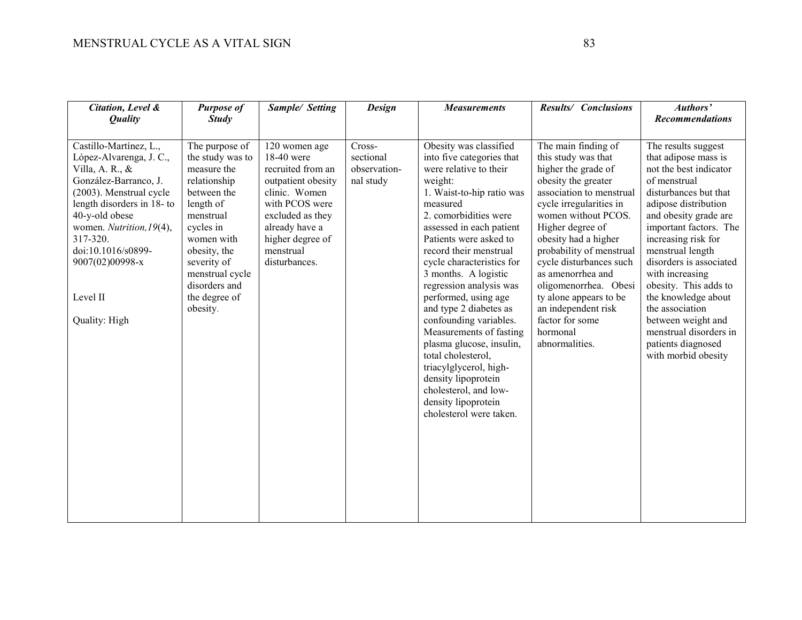| Citation, Level &<br><b>Quality</b>                                                                                                                                                                                                                                                       | <b>Purpose of</b><br><b>Study</b>                                                                                                                                                                                                     | Sample/ Setting                                                                                                                                                                                   | <b>Design</b>                                    | <b>Measurements</b>                                                                                                                                                                                                                                                                                                                                                                                                                                                                                                                                                                                             | Results/ Conclusions                                                                                                                                                                                                                                                                                                                                                                                                      | Authors'<br><b>Recommendations</b>                                                                                                                                                                                                                                                                                                                                                                                                                 |
|-------------------------------------------------------------------------------------------------------------------------------------------------------------------------------------------------------------------------------------------------------------------------------------------|---------------------------------------------------------------------------------------------------------------------------------------------------------------------------------------------------------------------------------------|---------------------------------------------------------------------------------------------------------------------------------------------------------------------------------------------------|--------------------------------------------------|-----------------------------------------------------------------------------------------------------------------------------------------------------------------------------------------------------------------------------------------------------------------------------------------------------------------------------------------------------------------------------------------------------------------------------------------------------------------------------------------------------------------------------------------------------------------------------------------------------------------|---------------------------------------------------------------------------------------------------------------------------------------------------------------------------------------------------------------------------------------------------------------------------------------------------------------------------------------------------------------------------------------------------------------------------|----------------------------------------------------------------------------------------------------------------------------------------------------------------------------------------------------------------------------------------------------------------------------------------------------------------------------------------------------------------------------------------------------------------------------------------------------|
| Castillo-Martínez, L.,<br>López-Alvarenga, J. C.,<br>Villa, A. R., $\&$<br>González-Barranco, J.<br>(2003). Menstrual cycle<br>length disorders in 18- to<br>40-y-old obese<br>women. Nutrition, 19(4),<br>317-320.<br>doi:10.1016/s0899-<br>9007(02)00998-x<br>Level II<br>Quality: High | The purpose of<br>the study was to<br>measure the<br>relationship<br>between the<br>length of<br>menstrual<br>cycles in<br>women with<br>obesity, the<br>severity of<br>menstrual cycle<br>disorders and<br>the degree of<br>obesity. | 120 women age<br>18-40 were<br>recruited from an<br>outpatient obesity<br>clinic. Women<br>with PCOS were<br>excluded as they<br>already have a<br>higher degree of<br>menstrual<br>disturbances. | Cross-<br>sectional<br>observation-<br>nal study | Obesity was classified<br>into five categories that<br>were relative to their<br>weight:<br>1. Waist-to-hip ratio was<br>measured<br>2. comorbidities were<br>assessed in each patient<br>Patients were asked to<br>record their menstrual<br>cycle characteristics for<br>3 months. A logistic<br>regression analysis was<br>performed, using age<br>and type 2 diabetes as<br>confounding variables.<br>Measurements of fasting<br>plasma glucose, insulin,<br>total cholesterol,<br>triacylglycerol, high-<br>density lipoprotein<br>cholesterol, and low-<br>density lipoprotein<br>cholesterol were taken. | The main finding of<br>this study was that<br>higher the grade of<br>obesity the greater<br>association to menstrual<br>cycle irregularities in<br>women without PCOS.<br>Higher degree of<br>obesity had a higher<br>probability of menstrual<br>cycle disturbances such<br>as amenorrhea and<br>oligomenorrhea. Obesi<br>ty alone appears to be<br>an independent risk<br>factor for some<br>hormonal<br>abnormalities. | The results suggest<br>that adipose mass is<br>not the best indicator<br>of menstrual<br>disturbances but that<br>adipose distribution<br>and obesity grade are<br>important factors. The<br>increasing risk for<br>menstrual length<br>disorders is associated<br>with increasing<br>obesity. This adds to<br>the knowledge about<br>the association<br>between weight and<br>menstrual disorders in<br>patients diagnosed<br>with morbid obesity |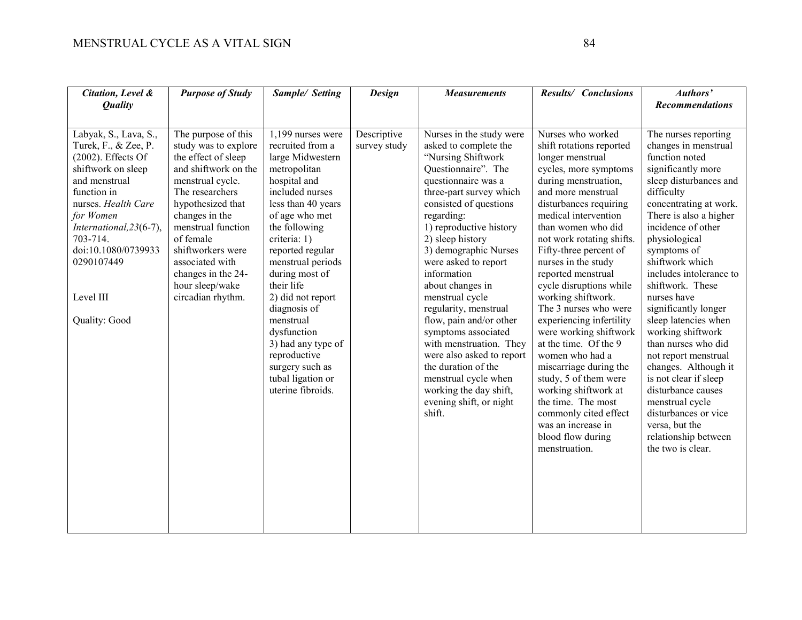| Citation, Level &<br><b>Quality</b>                                                                                                                                                                                                                                        | <b>Purpose of Study</b>                                                                                                                                                                                                                                                                                           | Sample/ Setting                                                                                                                                                                                                                                                                                                                                                                                                                    | <b>Design</b>               | <b>Measurements</b>                                                                                                                                                                                                                                                                                                                                                                                                                                                                                                                                                                             | Results/ Conclusions                                                                                                                                                                                                                                                                                                                                                                                                                                                                                                                                                                                                                                                                   | Authors'<br><b>Recommendations</b>                                                                                                                                                                                                                                                                                                                                                                                                                                                                                                                                                                                           |
|----------------------------------------------------------------------------------------------------------------------------------------------------------------------------------------------------------------------------------------------------------------------------|-------------------------------------------------------------------------------------------------------------------------------------------------------------------------------------------------------------------------------------------------------------------------------------------------------------------|------------------------------------------------------------------------------------------------------------------------------------------------------------------------------------------------------------------------------------------------------------------------------------------------------------------------------------------------------------------------------------------------------------------------------------|-----------------------------|-------------------------------------------------------------------------------------------------------------------------------------------------------------------------------------------------------------------------------------------------------------------------------------------------------------------------------------------------------------------------------------------------------------------------------------------------------------------------------------------------------------------------------------------------------------------------------------------------|----------------------------------------------------------------------------------------------------------------------------------------------------------------------------------------------------------------------------------------------------------------------------------------------------------------------------------------------------------------------------------------------------------------------------------------------------------------------------------------------------------------------------------------------------------------------------------------------------------------------------------------------------------------------------------------|------------------------------------------------------------------------------------------------------------------------------------------------------------------------------------------------------------------------------------------------------------------------------------------------------------------------------------------------------------------------------------------------------------------------------------------------------------------------------------------------------------------------------------------------------------------------------------------------------------------------------|
| Labyak, S., Lava, S.,<br>Turek, F., & Zee, P.<br>$(2002)$ . Effects Of<br>shiftwork on sleep<br>and menstrual<br>function in<br>nurses. Health Care<br>for Women<br>International, 23(6-7),<br>703-714.<br>doi:10.1080/0739933<br>0290107449<br>Level III<br>Quality: Good | The purpose of this<br>study was to explore<br>the effect of sleep<br>and shiftwork on the<br>menstrual cycle.<br>The researchers<br>hypothesized that<br>changes in the<br>menstrual function<br>of female<br>shiftworkers were<br>associated with<br>changes in the 24-<br>hour sleep/wake<br>circadian rhythm. | 1,199 nurses were<br>recruited from a<br>large Midwestern<br>metropolitan<br>hospital and<br>included nurses<br>less than 40 years<br>of age who met<br>the following<br>criteria: 1)<br>reported regular<br>menstrual periods<br>during most of<br>their life<br>2) did not report<br>diagnosis of<br>menstrual<br>dysfunction<br>3) had any type of<br>reproductive<br>surgery such as<br>tubal ligation or<br>uterine fibroids. | Descriptive<br>survey study | Nurses in the study were<br>asked to complete the<br>"Nursing Shiftwork<br>Questionnaire". The<br>questionnaire was a<br>three-part survey which<br>consisted of questions<br>regarding:<br>1) reproductive history<br>2) sleep history<br>3) demographic Nurses<br>were asked to report<br>information<br>about changes in<br>menstrual cycle<br>regularity, menstrual<br>flow, pain and/or other<br>symptoms associated<br>with menstruation. They<br>were also asked to report<br>the duration of the<br>menstrual cycle when<br>working the day shift,<br>evening shift, or night<br>shift. | Nurses who worked<br>shift rotations reported<br>longer menstrual<br>cycles, more symptoms<br>during menstruation,<br>and more menstrual<br>disturbances requiring<br>medical intervention<br>than women who did<br>not work rotating shifts.<br>Fifty-three percent of<br>nurses in the study<br>reported menstrual<br>cycle disruptions while<br>working shiftwork.<br>The 3 nurses who were<br>experiencing infertility<br>were working shiftwork<br>at the time. Of the 9<br>women who had a<br>miscarriage during the<br>study, 5 of them were<br>working shiftwork at<br>the time. The most<br>commonly cited effect<br>was an increase in<br>blood flow during<br>menstruation. | The nurses reporting<br>changes in menstrual<br>function noted<br>significantly more<br>sleep disturbances and<br>difficulty<br>concentrating at work.<br>There is also a higher<br>incidence of other<br>physiological<br>symptoms of<br>shiftwork which<br>includes intolerance to<br>shiftwork. These<br>nurses have<br>significantly longer<br>sleep latencies when<br>working shiftwork<br>than nurses who did<br>not report menstrual<br>changes. Although it<br>is not clear if sleep<br>disturbance causes<br>menstrual cycle<br>disturbances or vice<br>versa, but the<br>relationship between<br>the two is clear. |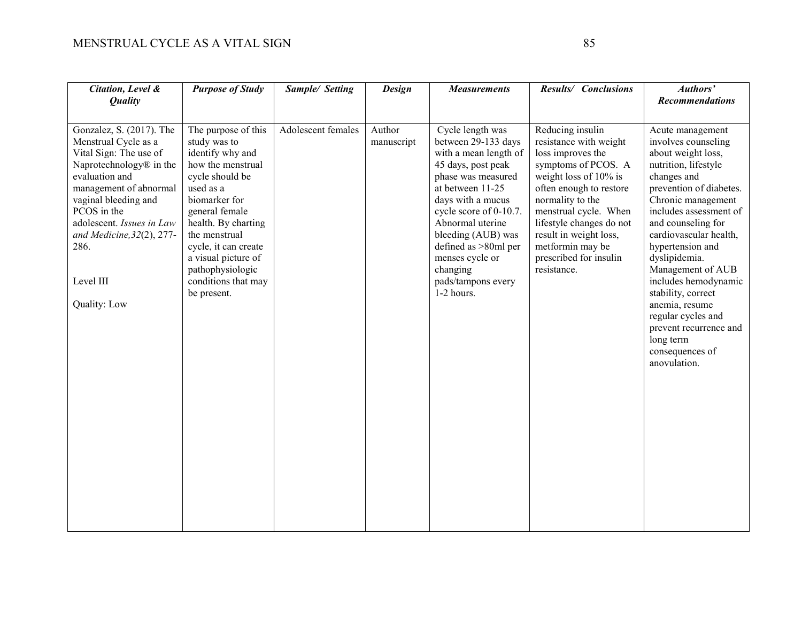| Citation, Level &<br><b>Quality</b>                                                                                                                                                                                                                                                                 | <b>Purpose of Study</b>                                                                                                                                                                                                                                                                          | Sample/ Setting    | <b>Design</b>        | <b>Measurements</b>                                                                                                                                                                                                                                                                                                  | Results/ Conclusions                                                                                                                                                                                                                                                                                          | Authors'<br><b>Recommendations</b>                                                                                                                                                                                                                                                                                                                                                                                                                        |
|-----------------------------------------------------------------------------------------------------------------------------------------------------------------------------------------------------------------------------------------------------------------------------------------------------|--------------------------------------------------------------------------------------------------------------------------------------------------------------------------------------------------------------------------------------------------------------------------------------------------|--------------------|----------------------|----------------------------------------------------------------------------------------------------------------------------------------------------------------------------------------------------------------------------------------------------------------------------------------------------------------------|---------------------------------------------------------------------------------------------------------------------------------------------------------------------------------------------------------------------------------------------------------------------------------------------------------------|-----------------------------------------------------------------------------------------------------------------------------------------------------------------------------------------------------------------------------------------------------------------------------------------------------------------------------------------------------------------------------------------------------------------------------------------------------------|
| Gonzalez, S. (2017). The<br>Menstrual Cycle as a<br>Vital Sign: The use of<br>Naprotechnology <sup>®</sup> in the<br>evaluation and<br>management of abnormal<br>vaginal bleeding and<br>PCOS in the<br>adolescent. Issues in Law<br>and Medicine, 32(2), 277-<br>286.<br>Level III<br>Quality: Low | The purpose of this<br>study was to<br>identify why and<br>how the menstrual<br>cycle should be<br>used as a<br>biomarker for<br>general female<br>health. By charting<br>the menstrual<br>cycle, it can create<br>a visual picture of<br>pathophysiologic<br>conditions that may<br>be present. | Adolescent females | Author<br>manuscript | Cycle length was<br>between 29-133 days<br>with a mean length of<br>45 days, post peak<br>phase was measured<br>at between 11-25<br>days with a mucus<br>cycle score of 0-10.7.<br>Abnormal uterine<br>bleeding (AUB) was<br>defined as >80ml per<br>menses cycle or<br>changing<br>pads/tampons every<br>1-2 hours. | Reducing insulin<br>resistance with weight<br>loss improves the<br>symptoms of PCOS. A<br>weight loss of $10\%$ is<br>often enough to restore<br>normality to the<br>menstrual cycle. When<br>lifestyle changes do not<br>result in weight loss,<br>metformin may be<br>prescribed for insulin<br>resistance. | Acute management<br>involves counseling<br>about weight loss,<br>nutrition, lifestyle<br>changes and<br>prevention of diabetes.<br>Chronic management<br>includes assessment of<br>and counseling for<br>cardiovascular health,<br>hypertension and<br>dyslipidemia.<br>Management of AUB<br>includes hemodynamic<br>stability, correct<br>anemia, resume<br>regular cycles and<br>prevent recurrence and<br>long term<br>consequences of<br>anovulation. |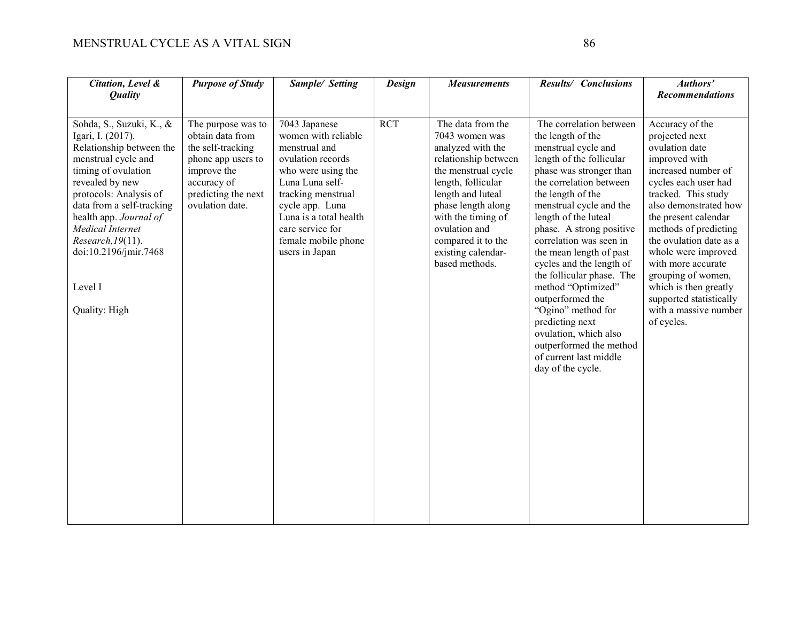| Citation, Level &<br><b>Quality</b>                                                                                                                                                                                                                                                                                       | <b>Purpose of Study</b>                                                                                                                                   | Sample/ Setting                                                                                                                                                                                                                                     | <b>Design</b> | <b>Measurements</b>                                                                                                                                                                                                                                                           | Results/ Conclusions                                                                                                                                                                                                                                                                                                                                                                                                                                                                                                                                           | Authors'<br><b>Recommendations</b>                                                                                                                                                                                                                                                                                                                                                                            |
|---------------------------------------------------------------------------------------------------------------------------------------------------------------------------------------------------------------------------------------------------------------------------------------------------------------------------|-----------------------------------------------------------------------------------------------------------------------------------------------------------|-----------------------------------------------------------------------------------------------------------------------------------------------------------------------------------------------------------------------------------------------------|---------------|-------------------------------------------------------------------------------------------------------------------------------------------------------------------------------------------------------------------------------------------------------------------------------|----------------------------------------------------------------------------------------------------------------------------------------------------------------------------------------------------------------------------------------------------------------------------------------------------------------------------------------------------------------------------------------------------------------------------------------------------------------------------------------------------------------------------------------------------------------|---------------------------------------------------------------------------------------------------------------------------------------------------------------------------------------------------------------------------------------------------------------------------------------------------------------------------------------------------------------------------------------------------------------|
| Sohda, S., Suzuki, K., &<br>Igari, I. (2017).<br>Relationship between the<br>menstrual cycle and<br>timing of ovulation<br>revealed by new<br>protocols: Analysis of<br>data from a self-tracking<br>health app. Journal of<br>Medical Internet<br>Research, 19(11).<br>doi:10.2196/jmir.7468<br>Level I<br>Quality: High | The purpose was to<br>obtain data from<br>the self-tracking<br>phone app users to<br>improve the<br>accuracy of<br>predicting the next<br>ovulation date. | 7043 Japanese<br>women with reliable<br>menstrual and<br>ovulation records<br>who were using the<br>Luna Luna self-<br>tracking menstrual<br>cycle app. Luna<br>Luna is a total health<br>care service for<br>female mobile phone<br>users in Japan | <b>RCT</b>    | The data from the<br>7043 women was<br>analyzed with the<br>relationship between<br>the menstrual cycle<br>length, follicular<br>length and luteal<br>phase length along<br>with the timing of<br>ovulation and<br>compared it to the<br>existing calendar-<br>based methods. | The correlation between<br>the length of the<br>menstrual cycle and<br>length of the follicular<br>phase was stronger than<br>the correlation between<br>the length of the<br>menstrual cycle and the<br>length of the luteal<br>phase. A strong positive<br>correlation was seen in<br>the mean length of past<br>cycles and the length of<br>the follicular phase. The<br>method "Optimized"<br>outperformed the<br>"Ogino" method for<br>predicting next<br>ovulation, which also<br>outperformed the method<br>of current last middle<br>day of the cycle. | Accuracy of the<br>projected next<br>ovulation date<br>improved with<br>increased number of<br>cycles each user had<br>tracked. This study<br>also demonstrated how<br>the present calendar<br>methods of predicting<br>the ovulation date as a<br>whole were improved<br>with more accurate<br>grouping of women,<br>which is then greatly<br>supported statistically<br>with a massive number<br>of cycles. |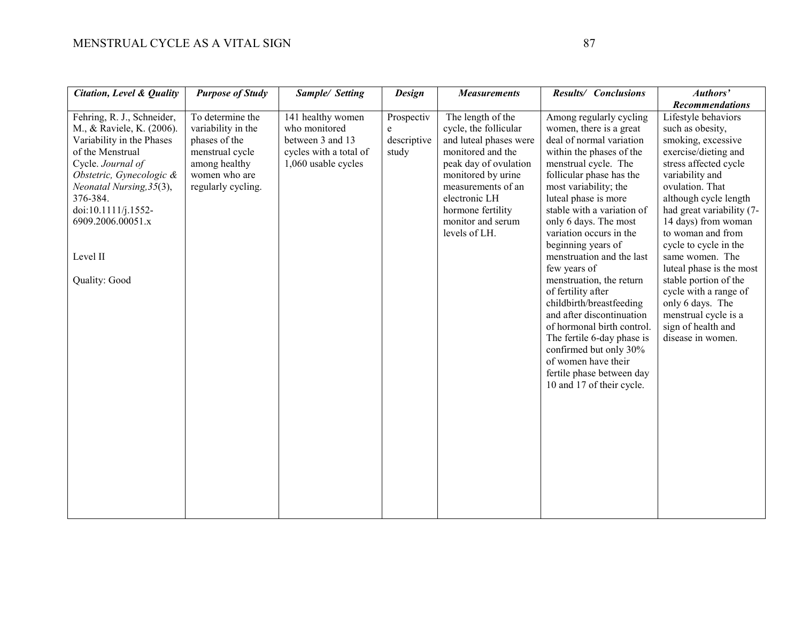| <b>Citation, Level &amp; Quality</b>                                                                                                                                                                                                                                       | <b>Purpose of Study</b>                                                                                                            | Sample/ Setting                                                                                         | <b>Design</b>                           | <b>Measurements</b>                                                                                                                                                                                                                        | Results/ Conclusions                                                                                                                                                                                                                                                                                                                                                                                                                                                                                                                                                                                                                                   | Authors'<br><b>Recommendations</b>                                                                                                                                                                                                                                                                                                                                                                                                                                      |
|----------------------------------------------------------------------------------------------------------------------------------------------------------------------------------------------------------------------------------------------------------------------------|------------------------------------------------------------------------------------------------------------------------------------|---------------------------------------------------------------------------------------------------------|-----------------------------------------|--------------------------------------------------------------------------------------------------------------------------------------------------------------------------------------------------------------------------------------------|--------------------------------------------------------------------------------------------------------------------------------------------------------------------------------------------------------------------------------------------------------------------------------------------------------------------------------------------------------------------------------------------------------------------------------------------------------------------------------------------------------------------------------------------------------------------------------------------------------------------------------------------------------|-------------------------------------------------------------------------------------------------------------------------------------------------------------------------------------------------------------------------------------------------------------------------------------------------------------------------------------------------------------------------------------------------------------------------------------------------------------------------|
| Fehring, R. J., Schneider,<br>M., & Raviele, K. (2006).<br>Variability in the Phases<br>of the Menstrual<br>Cycle. Journal of<br>Obstetric, Gynecologic &<br>Neonatal Nursing, 35(3),<br>376-384.<br>doi:10.1111/j.1552-<br>6909.2006.00051.x<br>Level II<br>Quality: Good | To determine the<br>variability in the<br>phases of the<br>menstrual cycle<br>among healthy<br>women who are<br>regularly cycling. | 141 healthy women<br>who monitored<br>between 3 and 13<br>cycles with a total of<br>1,060 usable cycles | Prospectiv<br>e<br>descriptive<br>study | The length of the<br>cycle, the follicular<br>and luteal phases were<br>monitored and the<br>peak day of ovulation<br>monitored by urine<br>measurements of an<br>electronic LH<br>hormone fertility<br>monitor and serum<br>levels of LH. | Among regularly cycling<br>women, there is a great<br>deal of normal variation<br>within the phases of the<br>menstrual cycle. The<br>follicular phase has the<br>most variability; the<br>luteal phase is more<br>stable with a variation of<br>only 6 days. The most<br>variation occurs in the<br>beginning years of<br>menstruation and the last<br>few years of<br>menstruation, the return<br>of fertility after<br>childbirth/breastfeeding<br>and after discontinuation<br>of hormonal birth control.<br>The fertile 6-day phase is<br>confirmed but only 30%<br>of women have their<br>fertile phase between day<br>10 and 17 of their cycle. | Lifestyle behaviors<br>such as obesity,<br>smoking, excessive<br>exercise/dieting and<br>stress affected cycle<br>variability and<br>ovulation. That<br>although cycle length<br>had great variability (7-<br>14 days) from woman<br>to woman and from<br>cycle to cycle in the<br>same women. The<br>luteal phase is the most<br>stable portion of the<br>cycle with a range of<br>only 6 days. The<br>menstrual cycle is a<br>sign of health and<br>disease in women. |